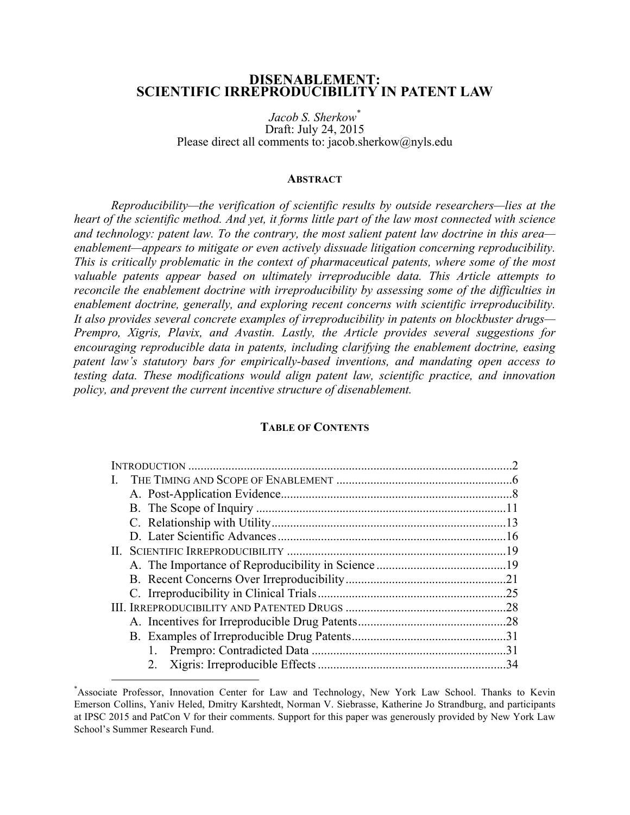# **DISENABLEMENT: SCIENTIFIC IRREPRODUCIBILITY IN PATENT LAW**

*Jacob S. Sherkow\** Draft: July 24, 2015 Please direct all comments to: jacob.sherkow@nyls.edu

#### **ABSTRACT**

*Reproducibility—the verification of scientific results by outside researchers—lies at the heart of the scientific method. And yet, it forms little part of the law most connected with science and technology: patent law. To the contrary, the most salient patent law doctrine in this area enablement—appears to mitigate or even actively dissuade litigation concerning reproducibility. This is critically problematic in the context of pharmaceutical patents, where some of the most valuable patents appear based on ultimately irreproducible data. This Article attempts to reconcile the enablement doctrine with irreproducibility by assessing some of the difficulties in enablement doctrine, generally, and exploring recent concerns with scientific irreproducibility. It also provides several concrete examples of irreproducibility in patents on blockbuster drugs— Prempro, Xigris, Plavix, and Avastin. Lastly, the Article provides several suggestions for encouraging reproducible data in patents, including clarifying the enablement doctrine, easing patent law's statutory bars for empirically-based inventions, and mandating open access to testing data. These modifications would align patent law, scientific practice, and innovation policy, and prevent the current incentive structure of disenablement.*

#### **TABLE OF CONTENTS**

| .28 |
|-----|
|     |
|     |
|     |
| .34 |

<sup>\*&</sup>lt;br>Associate Professor, Innovation Center for Law and Technology, New York Law School. Thanks to Kevin Emerson Collins, Yaniv Heled, Dmitry Karshtedt, Norman V. Siebrasse, Katherine Jo Strandburg, and participants at IPSC 2015 and PatCon V for their comments. Support for this paper was generously provided by New York Law School's Summer Research Fund.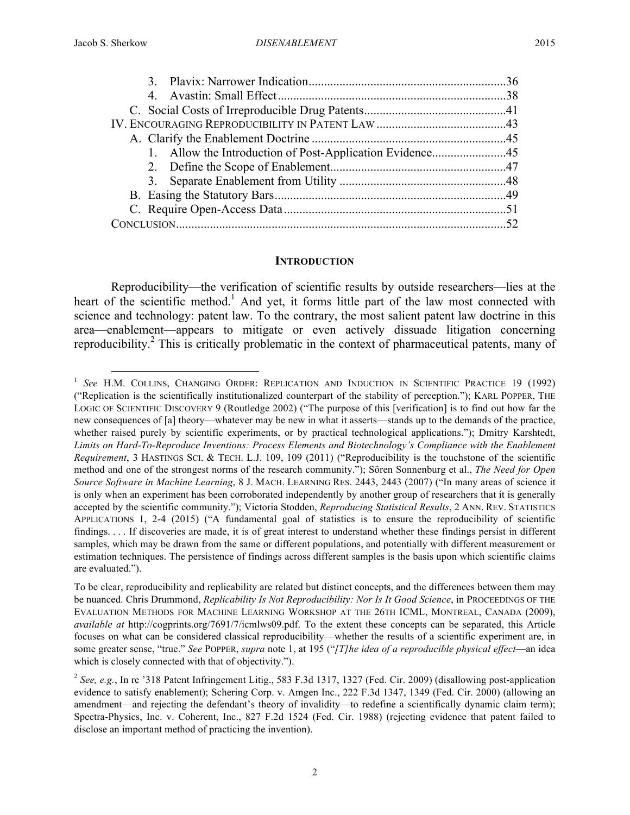| 52 |
|----|

#### **INTRODUCTION**

Reproducibility—the verification of scientific results by outside researchers—lies at the heart of the scientific method.<sup>1</sup> And yet, it forms little part of the law most connected with science and technology: patent law. To the contrary, the most salient patent law doctrine in this area—enablement—appears to mitigate or even actively dissuade litigation concerning reproducibility.<sup>2</sup> This is critically problematic in the context of pharmaceutical patents, many of

<sup>&</sup>lt;sup>1</sup> See H.M. COLLINS, CHANGING ORDER: REPLICATION AND INDUCTION IN SCIENTIFIC PRACTICE 19 (1992) ("Replication is the scientifically institutionalized counterpart of the stability of perception."); KARL POPPER, THE LOGIC OF SCIENTIFIC DISCOVERY 9 (Routledge 2002) ("The purpose of this [verification] is to find out how far the new consequences of [a] theory—whatever may be new in what it asserts—stands up to the demands of the practice, whether raised purely by scientific experiments, or by practical technological applications."); Dmitry Karshtedt, *Limits on Hard-To-Reproduce Inventions: Process Elements and Biotechnology's Compliance with the Enablement Requirement*, 3 HASTINGS SCI. & TECH. L.J. 109, 109 (2011) ("Reproducibility is the touchstone of the scientific method and one of the strongest norms of the research community."); Sören Sonnenburg et al., *The Need for Open Source Software in Machine Learning*, 8 J. MACH. LEARNING RES. 2443, 2443 (2007) ("In many areas of science it is only when an experiment has been corroborated independently by another group of researchers that it is generally accepted by the scientific community."); Victoria Stodden, *Reproducing Statistical Results*, 2 ANN. REV. STATISTICS APPLICATIONS 1, 2-4 (2015) ("A fundamental goal of statistics is to ensure the reproducibility of scientific findings. . . . If discoveries are made, it is of great interest to understand whether these findings persist in different samples, which may be drawn from the same or different populations, and potentially with different measurement or estimation techniques. The persistence of findings across different samples is the basis upon which scientific claims are evaluated.").

To be clear, reproducibility and replicability are related but distinct concepts, and the differences between them may be nuanced. Chris Drummond, *Replicability Is Not Reproducibility: Nor Is It Good Science*, in PROCEEDINGS OF THE EVALUATION METHODS FOR MACHINE LEARNING WORKSHOP AT THE 26TH ICML, MONTREAL, CANADA (2009), *available at* http://cogprints.org/7691/7/icmlws09.pdf. To the extent these concepts can be separated, this Article focuses on what can be considered classical reproducibility—whether the results of a scientific experiment are, in some greater sense, "true." *See* POPPER, *supra* note 1, at 195 ("*[T]he idea of a reproducible physical effect*—an idea which is closely connected with that of objectivity.").

<sup>2</sup> *See, e.g.*, In re '318 Patent Infringement Litig., 583 F.3d 1317, 1327 (Fed. Cir. 2009) (disallowing post-application evidence to satisfy enablement); Schering Corp. v. Amgen Inc., 222 F.3d 1347, 1349 (Fed. Cir. 2000) (allowing an amendment—and rejecting the defendant's theory of invalidity—to redefine a scientifically dynamic claim term); Spectra-Physics, Inc. v. Coherent, Inc., 827 F.2d 1524 (Fed. Cir. 1988) (rejecting evidence that patent failed to disclose an important method of practicing the invention).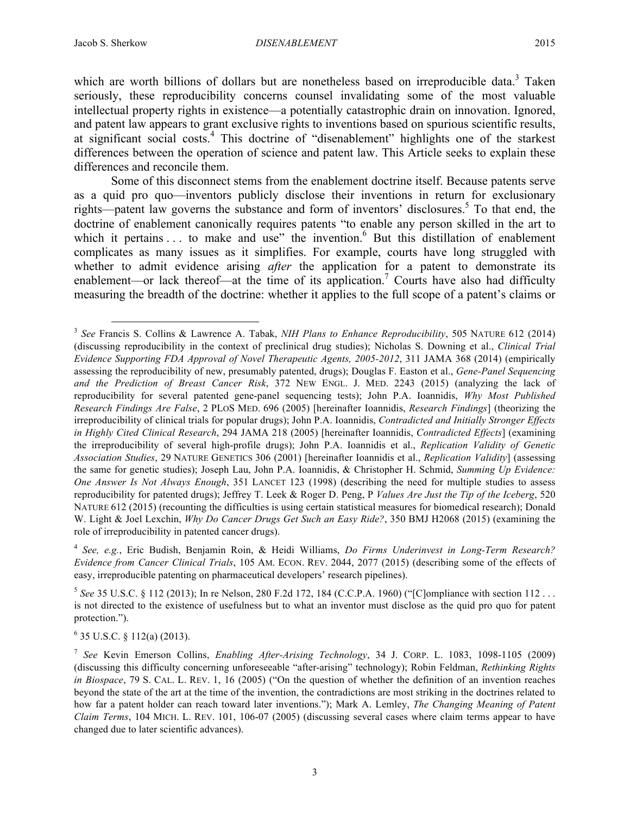which are worth billions of dollars but are nonetheless based on irreproducible data.<sup>3</sup> Taken seriously, these reproducibility concerns counsel invalidating some of the most valuable intellectual property rights in existence—a potentially catastrophic drain on innovation. Ignored, and patent law appears to grant exclusive rights to inventions based on spurious scientific results, at significant social costs.<sup>4</sup> This doctrine of "disenablement" highlights one of the starkest differences between the operation of science and patent law. This Article seeks to explain these differences and reconcile them.

Some of this disconnect stems from the enablement doctrine itself. Because patents serve as a quid pro quo—inventors publicly disclose their inventions in return for exclusionary rights—patent law governs the substance and form of inventors' disclosures.<sup>5</sup> To that end, the doctrine of enablement canonically requires patents "to enable any person skilled in the art to which it pertains  $\dots$  to make and use" the invention.<sup>6</sup> But this distillation of enablement complicates as many issues as it simplifies. For example, courts have long struggled with whether to admit evidence arising *after* the application for a patent to demonstrate its enablement—or lack thereof—at the time of its application.<sup>7</sup> Courts have also had difficulty measuring the breadth of the doctrine: whether it applies to the full scope of a patent's claims or

<sup>4</sup> *See, e.g.*, Eric Budish, Benjamin Roin, & Heidi Williams, *Do Firms Underinvest in Long-Term Research? Evidence from Cancer Clinical Trials*, 105 AM. ECON. REV. 2044, 2077 (2015) (describing some of the effects of easy, irreproducible patenting on pharmaceutical developers' research pipelines).

 $5$  *See* 35 U.S.C. § 112 (2013); In re Nelson, 280 F.2d 172, 184 (C.C.P.A. 1960) ("[C]ompliance with section 112 ... is not directed to the existence of usefulness but to what an inventor must disclose as the quid pro quo for patent protection.").

 $6$  35 U.S.C.  $8$  112(a) (2013).

 <sup>3</sup> *See* Francis S. Collins & Lawrence A. Tabak, *NIH Plans to Enhance Reproducibility*, 505 NATURE 612 (2014) (discussing reproducibility in the context of preclinical drug studies); Nicholas S. Downing et al., *Clinical Trial Evidence Supporting FDA Approval of Novel Therapeutic Agents, 2005-2012*, 311 JAMA 368 (2014) (empirically assessing the reproducibility of new, presumably patented, drugs); Douglas F. Easton et al., *Gene-Panel Sequencing and the Prediction of Breast Cancer Risk*, 372 NEW ENGL. J. MED. 2243 (2015) (analyzing the lack of reproducibility for several patented gene-panel sequencing tests); John P.A. Ioannidis, *Why Most Published Research Findings Are False*, 2 PLOS MED. 696 (2005) [hereinafter Ioannidis, *Research Findings*] (theorizing the irreproducibility of clinical trials for popular drugs); John P.A. Ioannidis, *Contradicted and Initially Stronger Effects in Highly Cited Clinical Research*, 294 JAMA 218 (2005) [hereinafter Ioannidis, *Contradicted Effects*] (examining the irreproducibility of several high-profile drugs); John P.A. Ioannidis et al., *Replication Validity of Genetic Association Studies*, 29 NATURE GENETICS 306 (2001) [hereinafter Ioannidis et al., *Replication Validity*] (assessing the same for genetic studies); Joseph Lau, John P.A. Ioannidis, & Christopher H. Schmid, *Summing Up Evidence: One Answer Is Not Always Enough*, 351 LANCET 123 (1998) (describing the need for multiple studies to assess reproducibility for patented drugs); Jeffrey T. Leek & Roger D. Peng, P *Values Are Just the Tip of the Iceberg*, 520 NATURE 612 (2015) (recounting the difficulties is using certain statistical measures for biomedical research); Donald W. Light & Joel Lexchin, *Why Do Cancer Drugs Get Such an Easy Ride?*, 350 BMJ H2068 (2015) (examining the role of irreproducibility in patented cancer drugs).

<sup>7</sup> *See* Kevin Emerson Collins, *Enabling After-Arising Technology*, 34 J. CORP. L. 1083, 1098-1105 (2009) (discussing this difficulty concerning unforeseeable "after-arising" technology); Robin Feldman, *Rethinking Rights in Biospace*, 79 S. CAL. L. REV. 1, 16 (2005) ("On the question of whether the definition of an invention reaches beyond the state of the art at the time of the invention, the contradictions are most striking in the doctrines related to how far a patent holder can reach toward later inventions."); Mark A. Lemley, *The Changing Meaning of Patent Claim Terms*, 104 MICH. L. REV. 101, 106-07 (2005) (discussing several cases where claim terms appear to have changed due to later scientific advances).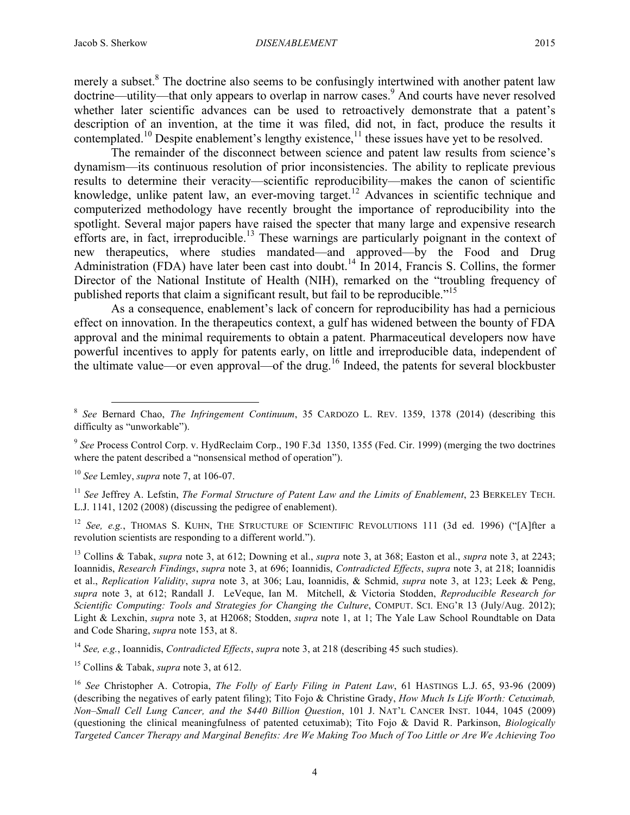merely a subset.<sup>8</sup> The doctrine also seems to be confusingly intertwined with another patent law doctrine—utility—that only appears to overlap in narrow cases.<sup>9</sup> And courts have never resolved whether later scientific advances can be used to retroactively demonstrate that a patent's description of an invention, at the time it was filed, did not, in fact, produce the results it contemplated.<sup>10</sup> Despite enablement's lengthy existence,<sup>11</sup> these issues have yet to be resolved.

The remainder of the disconnect between science and patent law results from science's dynamism—its continuous resolution of prior inconsistencies. The ability to replicate previous results to determine their veracity—scientific reproducibility—makes the canon of scientific knowledge, unlike patent law, an ever-moving target.<sup>12</sup> Advances in scientific technique and computerized methodology have recently brought the importance of reproducibility into the spotlight. Several major papers have raised the specter that many large and expensive research efforts are, in fact, irreproducible.<sup>13</sup> These warnings are particularly poignant in the context of new therapeutics, where studies mandated—and approved—by the Food and Drug Administration (FDA) have later been cast into doubt.<sup>14</sup> In 2014, Francis S. Collins, the former Director of the National Institute of Health (NIH), remarked on the "troubling frequency of published reports that claim a significant result, but fail to be reproducible."<sup>15</sup>

As a consequence, enablement's lack of concern for reproducibility has had a pernicious effect on innovation. In the therapeutics context, a gulf has widened between the bounty of FDA approval and the minimal requirements to obtain a patent. Pharmaceutical developers now have powerful incentives to apply for patents early, on little and irreproducible data, independent of the ultimate value—or even approval—of the drug.<sup>16</sup> Indeed, the patents for several blockbuster

<sup>10</sup> *See* Lemley, *supra* note 7, at 106-07.

<sup>11</sup> *See* Jeffrey A. Lefstin, *The Formal Structure of Patent Law and the Limits of Enablement*, 23 BERKELEY TECH. L.J. 1141, 1202 (2008) (discussing the pedigree of enablement).

<sup>12</sup> *See, e.g.*, THOMAS S. KUHN, THE STRUCTURE OF SCIENTIFIC REVOLUTIONS 111 (3d ed. 1996) ("[A]fter a revolution scientists are responding to a different world.").

<sup>13</sup> Collins & Tabak, *supra* note 3, at 612; Downing et al., *supra* note 3, at 368; Easton et al., *supra* note 3, at 2243; Ioannidis, *Research Findings*, *supra* note 3, at 696; Ioannidis, *Contradicted Effects*, *supra* note 3, at 218; Ioannidis et al., *Replication Validity*, *supra* note 3, at 306; Lau, Ioannidis, & Schmid, *supra* note 3, at 123; Leek & Peng, *supra* note 3, at 612; Randall J. LeVeque, Ian M. Mitchell, & Victoria Stodden, *Reproducible Research for Scientific Computing: Tools and Strategies for Changing the Culture*, COMPUT. SCI. ENG'R 13 (July/Aug. 2012); Light & Lexchin, *supra* note 3, at H2068; Stodden, *supra* note 1, at 1; The Yale Law School Roundtable on Data and Code Sharing, *supra* note 153, at 8.

<sup>14</sup> *See, e.g.*, Ioannidis, *Contradicted Effects*, *supra* note 3, at 218 (describing 45 such studies).

<sup>15</sup> Collins & Tabak, *supra* note 3, at 612.

4

 <sup>8</sup> *See* Bernard Chao, *The Infringement Continuum*, 35 CARDOZO L. REV. 1359, 1378 (2014) (describing this difficulty as "unworkable").

<sup>&</sup>lt;sup>9</sup> See Process Control Corp. v. HydReclaim Corp., 190 F.3d 1350, 1355 (Fed. Cir. 1999) (merging the two doctrines where the patent described a "nonsensical method of operation").

<sup>16</sup> *See* Christopher A. Cotropia, *The Folly of Early Filing in Patent Law*, 61 HASTINGS L.J. 65, 93-96 (2009) (describing the negatives of early patent filing); Tito Fojo & Christine Grady, *How Much Is Life Worth: Cetuximab, Non–Small Cell Lung Cancer, and the \$440 Billion Question*, 101 J. NAT'L CANCER INST. 1044, 1045 (2009) (questioning the clinical meaningfulness of patented cetuximab); Tito Fojo & David R. Parkinson, *Biologically Targeted Cancer Therapy and Marginal Benefits: Are We Making Too Much of Too Little or Are We Achieving Too*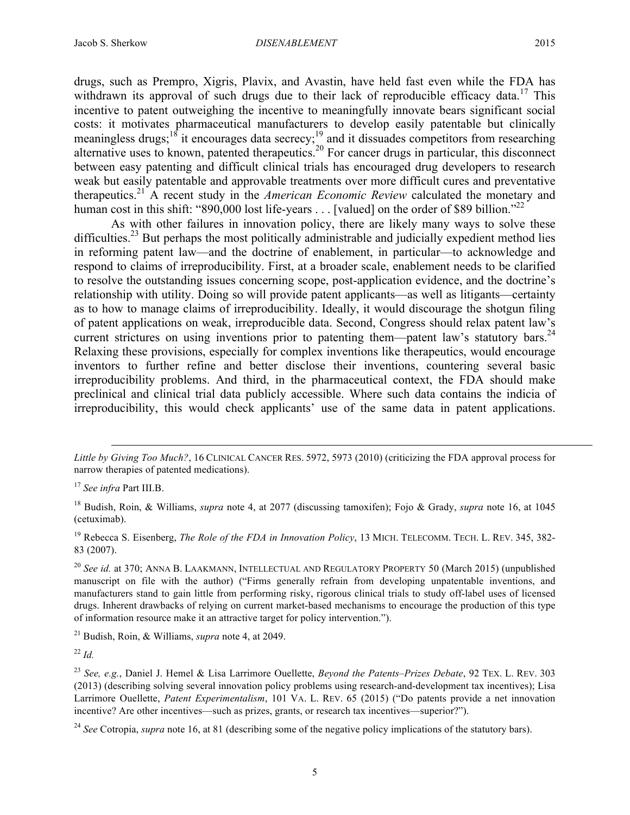drugs, such as Prempro, Xigris, Plavix, and Avastin, have held fast even while the FDA has withdrawn its approval of such drugs due to their lack of reproducible efficacy data.<sup>17</sup> This incentive to patent outweighing the incentive to meaningfully innovate bears significant social costs: it motivates pharmaceutical manufacturers to develop easily patentable but clinically meaningless drugs;<sup>18</sup> it encourages data secrecy;<sup>19</sup> and it dissuades competitors from researching alternative uses to known, patented therapeutics.<sup>20</sup> For cancer drugs in particular, this disconnect between easy patenting and difficult clinical trials has encouraged drug developers to research weak but easily patentable and approvable treatments over more difficult cures and preventative therapeutics. <sup>21</sup> A recent study in the *American Economic Review* calculated the monetary and human cost in this shift: "890,000 lost life-years . . . [valued] on the order of \$89 billion."<sup>22</sup>

As with other failures in innovation policy, there are likely many ways to solve these difficulties.<sup>23</sup> But perhaps the most politically administrable and judicially expedient method lies in reforming patent law—and the doctrine of enablement, in particular—to acknowledge and respond to claims of irreproducibility. First, at a broader scale, enablement needs to be clarified to resolve the outstanding issues concerning scope, post-application evidence, and the doctrine's relationship with utility. Doing so will provide patent applicants—as well as litigants—certainty as to how to manage claims of irreproducibility. Ideally, it would discourage the shotgun filing of patent applications on weak, irreproducible data. Second, Congress should relax patent law's current strictures on using inventions prior to patenting them—patent law's statutory bars.<sup>24</sup> Relaxing these provisions, especially for complex inventions like therapeutics, would encourage inventors to further refine and better disclose their inventions, countering several basic irreproducibility problems. And third, in the pharmaceutical context, the FDA should make preclinical and clinical trial data publicly accessible. Where such data contains the indicia of irreproducibility, this would check applicants' use of the same data in patent applications.

 $\overline{a}$ 

<sup>19</sup> Rebecca S. Eisenberg, *The Role of the FDA in Innovation Policy*, 13 MICH. TELECOMM. TECH. L. REV. 345, 382- 83 (2007).

<sup>20</sup> *See id.* at 370; ANNA B. LAAKMANN, INTELLECTUAL AND REGULATORY PROPERTY 50 (March 2015) (unpublished manuscript on file with the author) ("Firms generally refrain from developing unpatentable inventions, and manufacturers stand to gain little from performing risky, rigorous clinical trials to study off-label uses of licensed drugs. Inherent drawbacks of relying on current market-based mechanisms to encourage the production of this type of information resource make it an attractive target for policy intervention.").

<sup>21</sup> Budish, Roin, & Williams, *supra* note 4, at 2049.

<sup>22</sup> *Id.*

*Little by Giving Too Much?*, 16 CLINICAL CANCER RES. 5972, 5973 (2010) (criticizing the FDA approval process for narrow therapies of patented medications).

<sup>17</sup> *See infra* Part III.B.

<sup>18</sup> Budish, Roin, & Williams, *supra* note 4, at 2077 (discussing tamoxifen); Fojo & Grady, *supra* note 16, at 1045 (cetuximab).

<sup>23</sup> *See, e.g.*, Daniel J. Hemel & Lisa Larrimore Ouellette, *Beyond the Patents–Prizes Debate*, 92 TEX. L. REV. 303 (2013) (describing solving several innovation policy problems using research-and-development tax incentives); Lisa Larrimore Ouellette, *Patent Experimentalism*, 101 VA. L. REV. 65 (2015) ("Do patents provide a net innovation incentive? Are other incentives—such as prizes, grants, or research tax incentives—superior?").

<sup>&</sup>lt;sup>24</sup> *See* Cotropia, *supra* note 16, at 81 (describing some of the negative policy implications of the statutory bars).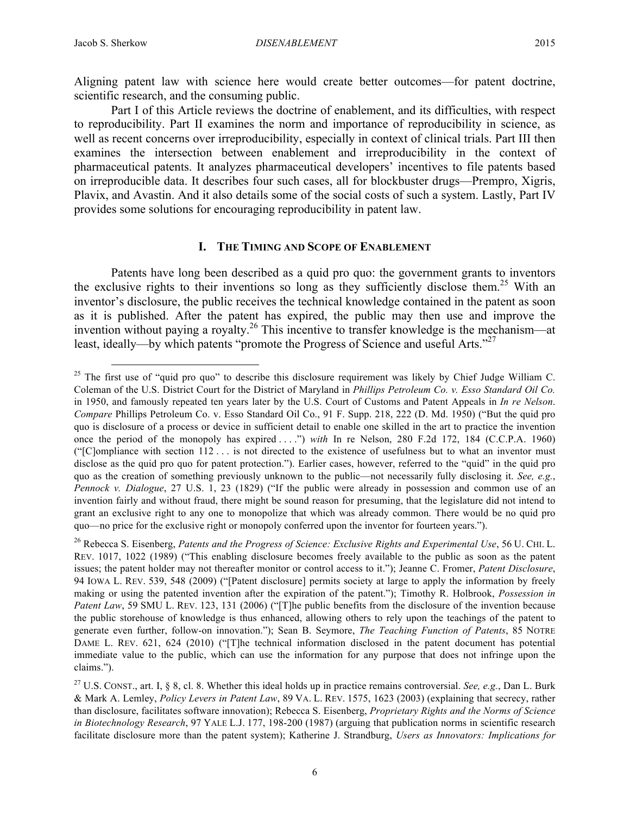Aligning patent law with science here would create better outcomes—for patent doctrine, scientific research, and the consuming public.

Part I of this Article reviews the doctrine of enablement, and its difficulties, with respect to reproducibility. Part II examines the norm and importance of reproducibility in science, as well as recent concerns over irreproducibility, especially in context of clinical trials. Part III then examines the intersection between enablement and irreproducibility in the context of pharmaceutical patents. It analyzes pharmaceutical developers' incentives to file patents based on irreproducible data. It describes four such cases, all for blockbuster drugs—Prempro, Xigris, Plavix, and Avastin. And it also details some of the social costs of such a system. Lastly, Part IV provides some solutions for encouraging reproducibility in patent law.

#### **I. THE TIMING AND SCOPE OF ENABLEMENT**

Patents have long been described as a quid pro quo: the government grants to inventors the exclusive rights to their inventions so long as they sufficiently disclose them.<sup>25</sup> With an inventor's disclosure, the public receives the technical knowledge contained in the patent as soon as it is published. After the patent has expired, the public may then use and improve the invention without paying a royalty.26 This incentive to transfer knowledge is the mechanism—at least, ideally—by which patents "promote the Progress of Science and useful Arts."<sup>27</sup>

 $25$  The first use of "quid pro quo" to describe this disclosure requirement was likely by Chief Judge William C. Coleman of the U.S. District Court for the District of Maryland in *Phillips Petroleum Co. v. Esso Standard Oil Co.* in 1950, and famously repeated ten years later by the U.S. Court of Customs and Patent Appeals in *In re Nelson*. *Compare* Phillips Petroleum Co. v. Esso Standard Oil Co., 91 F. Supp. 218, 222 (D. Md. 1950) ("But the quid pro quo is disclosure of a process or device in sufficient detail to enable one skilled in the art to practice the invention once the period of the monopoly has expired . . . .") *with* In re Nelson, 280 F.2d 172, 184 (C.C.P.A. 1960) ("[C]ompliance with section 112 . . . is not directed to the existence of usefulness but to what an inventor must disclose as the quid pro quo for patent protection."). Earlier cases, however, referred to the "quid" in the quid pro quo as the creation of something previously unknown to the public—not necessarily fully disclosing it. *See, e.g.*, *Pennock v. Dialogue*, 27 U.S. 1, 23 (1829) ("If the public were already in possession and common use of an invention fairly and without fraud, there might be sound reason for presuming, that the legislature did not intend to grant an exclusive right to any one to monopolize that which was already common. There would be no quid pro quo—no price for the exclusive right or monopoly conferred upon the inventor for fourteen years.").

<sup>26</sup> Rebecca S. Eisenberg, *Patents and the Progress of Science: Exclusive Rights and Experimental Use*, 56 U. CHI. L. REV. 1017, 1022 (1989) ("This enabling disclosure becomes freely available to the public as soon as the patent issues; the patent holder may not thereafter monitor or control access to it."); Jeanne C. Fromer, *Patent Disclosure*, 94 IOWA L. REV. 539, 548 (2009) ("[Patent disclosure] permits society at large to apply the information by freely making or using the patented invention after the expiration of the patent."); Timothy R. Holbrook, *Possession in Patent Law*, 59 SMU L. REV. 123, 131 (2006) ("[T]he public benefits from the disclosure of the invention because the public storehouse of knowledge is thus enhanced, allowing others to rely upon the teachings of the patent to generate even further, follow-on innovation."); Sean B. Seymore, *The Teaching Function of Patents*, 85 NOTRE DAME L. REV. 621, 624 (2010) ("[T]he technical information disclosed in the patent document has potential immediate value to the public, which can use the information for any purpose that does not infringe upon the claims.").

<sup>27</sup> U.S. CONST., art. I, § 8, cl. 8. Whether this ideal holds up in practice remains controversial. *See, e.g.*, Dan L. Burk & Mark A. Lemley, *Policy Levers in Patent Law*, 89 VA. L. REV. 1575, 1623 (2003) (explaining that secrecy, rather than disclosure, facilitates software innovation); Rebecca S. Eisenberg, *Proprietary Rights and the Norms of Science in Biotechnology Research*, 97 YALE L.J. 177, 198-200 (1987) (arguing that publication norms in scientific research facilitate disclosure more than the patent system); Katherine J. Strandburg, *Users as Innovators: Implications for*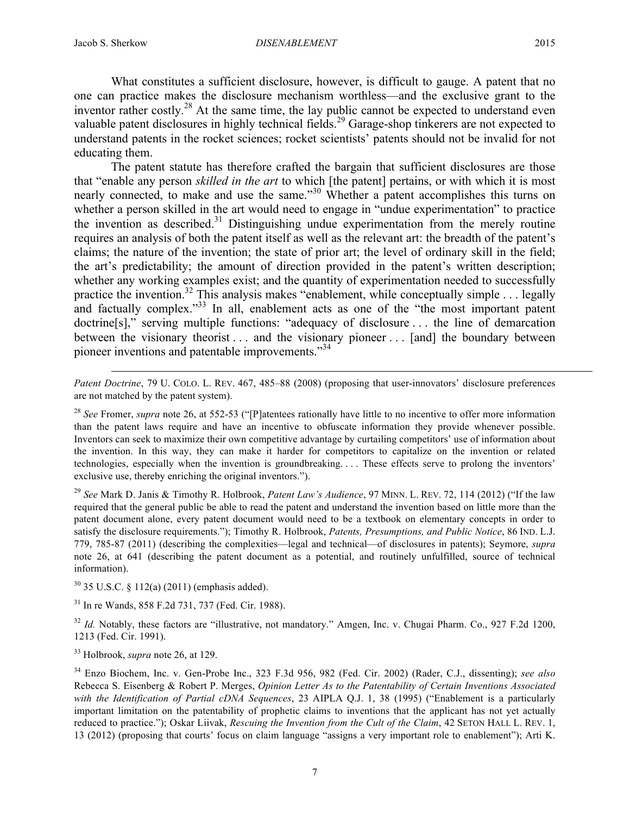$\overline{a}$ 

What constitutes a sufficient disclosure, however, is difficult to gauge. A patent that no one can practice makes the disclosure mechanism worthless—and the exclusive grant to the inventor rather costly.<sup>28</sup> At the same time, the lay public cannot be expected to understand even valuable patent disclosures in highly technical fields.<sup>29</sup> Garage-shop tinkerers are not expected to understand patents in the rocket sciences; rocket scientists' patents should not be invalid for not educating them.

The patent statute has therefore crafted the bargain that sufficient disclosures are those that "enable any person *skilled in the art* to which [the patent] pertains, or with which it is most nearly connected, to make and use the same."<sup>30</sup> Whether a patent accomplishes this turns on whether a person skilled in the art would need to engage in "undue experimentation" to practice the invention as described.<sup>31</sup> Distinguishing undue experimentation from the merely routine requires an analysis of both the patent itself as well as the relevant art: the breadth of the patent's claims; the nature of the invention; the state of prior art; the level of ordinary skill in the field; the art's predictability; the amount of direction provided in the patent's written description; whether any working examples exist; and the quantity of experimentation needed to successfully practice the invention.<sup>32</sup> This analysis makes "enablement, while conceptually simple . . . legally and factually complex."<sup>33</sup> In all, enablement acts as one of the "the most important patent doctrine[s]," serving multiple functions: "adequacy of disclosure . . . the line of demarcation between the visionary theorist . . . and the visionary pioneer . . . [and] the boundary between pioneer inventions and patentable improvements."<sup>34</sup>

*Patent Doctrine*, 79 U. COLO. L. REV. 467, 485–88 (2008) (proposing that user-innovators' disclosure preferences are not matched by the patent system).

<sup>28</sup> *See* Fromer, *supra* note 26, at 552-53 ("[P]atentees rationally have little to no incentive to offer more information than the patent laws require and have an incentive to obfuscate information they provide whenever possible. Inventors can seek to maximize their own competitive advantage by curtailing competitors' use of information about the invention. In this way, they can make it harder for competitors to capitalize on the invention or related technologies, especially when the invention is groundbreaking. . . . These effects serve to prolong the inventors' exclusive use, thereby enriching the original inventors.").

<sup>29</sup> *See* Mark D. Janis & Timothy R. Holbrook, *Patent Law's Audience*, 97 MINN. L. REV. 72, 114 (2012) ("If the law required that the general public be able to read the patent and understand the invention based on little more than the patent document alone, every patent document would need to be a textbook on elementary concepts in order to satisfy the disclosure requirements."); Timothy R. Holbrook, *Patents, Presumptions, and Public Notice*, 86 IND. L.J. 779, 785-87 (2011) (describing the complexities—legal and technical—of disclosures in patents); Seymore, *supra*  note 26, at 641 (describing the patent document as a potential, and routinely unfulfilled, source of technical information).

<sup>30</sup> 35 U.S.C. § 112(a) (2011) (emphasis added).

<sup>31</sup> In re Wands, 858 F.2d 731, 737 (Fed. Cir. 1988).

<sup>32</sup> *Id.* Notably, these factors are "illustrative, not mandatory." Amgen, Inc. v. Chugai Pharm. Co., 927 F.2d 1200, 1213 (Fed. Cir. 1991).

<sup>33</sup> Holbrook, *supra* note 26, at 129.

<sup>34</sup> Enzo Biochem, Inc. v. Gen-Probe Inc., 323 F.3d 956, 982 (Fed. Cir. 2002) (Rader, C.J., dissenting); *see also* Rebecca S. Eisenberg & Robert P. Merges, *Opinion Letter As to the Patentability of Certain Inventions Associated with the Identification of Partial cDNA Sequences*, 23 AIPLA Q.J. 1, 38 (1995) ("Enablement is a particularly important limitation on the patentability of prophetic claims to inventions that the applicant has not yet actually reduced to practice."); Oskar Liivak, *Rescuing the Invention from the Cult of the Claim*, 42 SETON HALL L. REV. 1, 13 (2012) (proposing that courts' focus on claim language "assigns a very important role to enablement"); Arti K.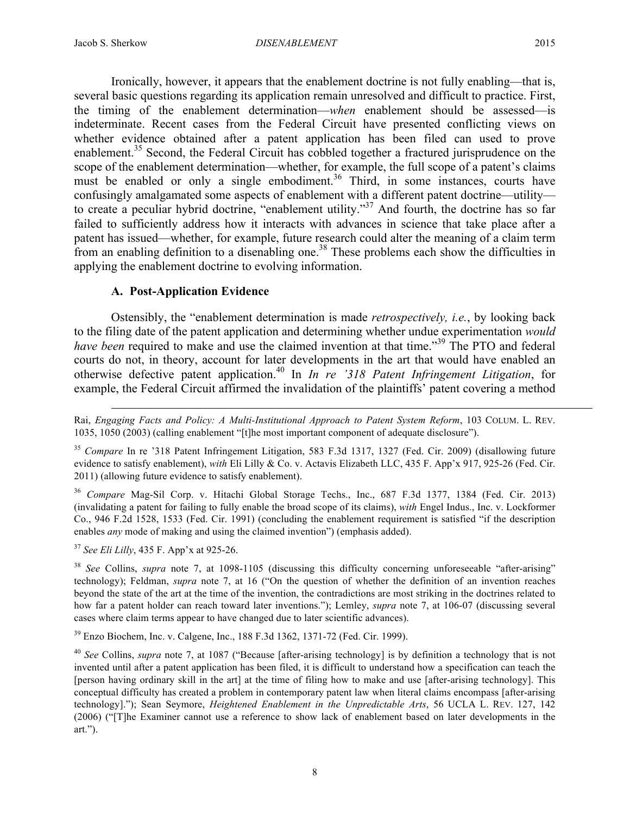Ironically, however, it appears that the enablement doctrine is not fully enabling—that is, several basic questions regarding its application remain unresolved and difficult to practice. First, the timing of the enablement determination—*when* enablement should be assessed—is indeterminate. Recent cases from the Federal Circuit have presented conflicting views on whether evidence obtained after a patent application has been filed can used to prove enablement.<sup>35</sup> Second, the Federal Circuit has cobbled together a fractured jurisprudence on the scope of the enablement determination—whether, for example, the full scope of a patent's claims must be enabled or only a single embodiment.<sup>36</sup> Third, in some instances, courts have confusingly amalgamated some aspects of enablement with a different patent doctrine—utility to create a peculiar hybrid doctrine, "enablement utility."<sup>37</sup> And fourth, the doctrine has so far failed to sufficiently address how it interacts with advances in science that take place after a patent has issued—whether, for example, future research could alter the meaning of a claim term from an enabling definition to a disenabling one.<sup>38</sup> These problems each show the difficulties in applying the enablement doctrine to evolving information.

# **A. Post-Application Evidence**

Ostensibly, the "enablement determination is made *retrospectively, i.e.*, by looking back to the filing date of the patent application and determining whether undue experimentation *would have been* required to make and use the claimed invention at that time."39 The PTO and federal courts do not, in theory, account for later developments in the art that would have enabled an otherwise defective patent application.<sup>40</sup> In *In re '318 Patent Infringement Litigation*, for example, the Federal Circuit affirmed the invalidation of the plaintiffs' patent covering a method

<sup>35</sup> *Compare* In re '318 Patent Infringement Litigation, 583 F.3d 1317, 1327 (Fed. Cir. 2009) (disallowing future evidence to satisfy enablement), *with* Eli Lilly & Co. v. Actavis Elizabeth LLC, 435 F. App'x 917, 925-26 (Fed. Cir. 2011) (allowing future evidence to satisfy enablement).

<sup>36</sup> *Compare* Mag-Sil Corp. v. Hitachi Global Storage Techs., Inc., 687 F.3d 1377, 1384 (Fed. Cir. 2013) (invalidating a patent for failing to fully enable the broad scope of its claims), *with* Engel Indus., Inc. v. Lockformer Co., 946 F.2d 1528, 1533 (Fed. Cir. 1991) (concluding the enablement requirement is satisfied "if the description enables *any* mode of making and using the claimed invention") (emphasis added).

<sup>37</sup> *See Eli Lilly*, 435 F. App'x at 925-26.

 $\overline{a}$ 

<sup>38</sup> *See* Collins, *supra* note 7, at 1098-1105 (discussing this difficulty concerning unforeseeable "after-arising" technology); Feldman, *supra* note 7, at 16 ("On the question of whether the definition of an invention reaches beyond the state of the art at the time of the invention, the contradictions are most striking in the doctrines related to how far a patent holder can reach toward later inventions."); Lemley, *supra* note 7, at 106-07 (discussing several cases where claim terms appear to have changed due to later scientific advances).

<sup>39</sup> Enzo Biochem, Inc. v. Calgene, Inc., 188 F.3d 1362, 1371-72 (Fed. Cir. 1999).

8

Rai, *Engaging Facts and Policy: A Multi-Institutional Approach to Patent System Reform*, 103 COLUM. L. REV. 1035, 1050 (2003) (calling enablement "[t]he most important component of adequate disclosure").

<sup>40</sup> *See* Collins, *supra* note 7, at 1087 ("Because [after-arising technology] is by definition a technology that is not invented until after a patent application has been filed, it is difficult to understand how a specification can teach the [person having ordinary skill in the art] at the time of filing how to make and use [after-arising technology]. This conceptual difficulty has created a problem in contemporary patent law when literal claims encompass [after-arising technology]."); Sean Seymore, *Heightened Enablement in the Unpredictable Arts*, 56 UCLA L. REV. 127, 142 (2006) ("[T]he Examiner cannot use a reference to show lack of enablement based on later developments in the art.").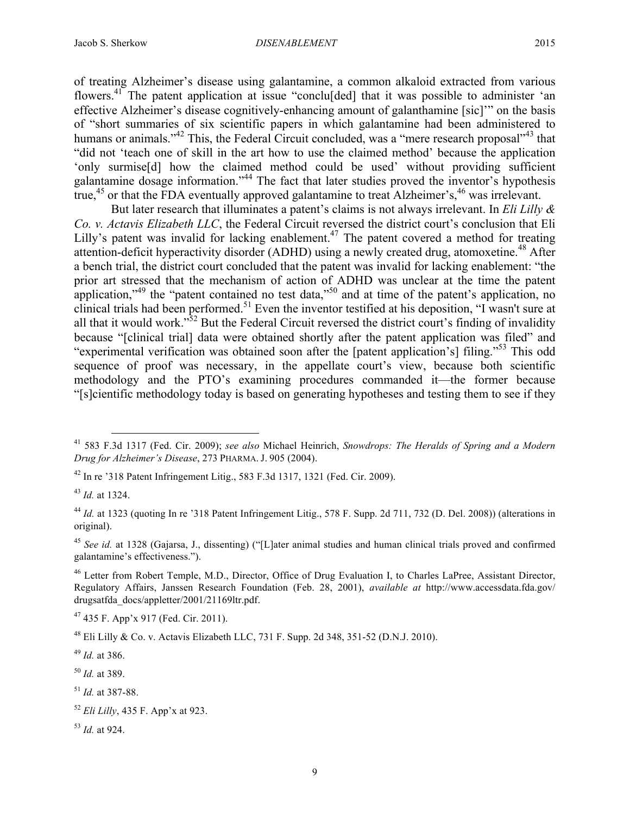of treating Alzheimer's disease using galantamine, a common alkaloid extracted from various flowers.<sup>41</sup> The patent application at issue "conclu[ded] that it was possible to administer 'an effective Alzheimer's disease cognitively-enhancing amount of galanthamine [sic]'" on the basis of "short summaries of six scientific papers in which galantamine had been administered to humans or animals."<sup>42</sup> This, the Federal Circuit concluded, was a "mere research proposal"<sup>43</sup> that "did not 'teach one of skill in the art how to use the claimed method' because the application 'only surmise[d] how the claimed method could be used' without providing sufficient galantamine dosage information."<sup>44</sup> The fact that later studies proved the inventor's hypothesis true,<sup>45</sup> or that the FDA eventually approved galantamine to treat Alzheimer's,<sup>46</sup> was irrelevant.

But later research that illuminates a patent's claims is not always irrelevant. In *Eli Lilly & Co. v. Actavis Elizabeth LLC*, the Federal Circuit reversed the district court's conclusion that Eli Lilly's patent was invalid for lacking enablement.<sup>47</sup> The patent covered a method for treating attention-deficit hyperactivity disorder (ADHD) using a newly created drug, atomoxetine.<sup>48</sup> After a bench trial, the district court concluded that the patent was invalid for lacking enablement: "the prior art stressed that the mechanism of action of ADHD was unclear at the time the patent application,"<sup>49</sup> the "patent contained no test data,"<sup>50</sup> and at time of the patent's application, no clinical trials had been performed.<sup>51</sup> Even the inventor testified at his deposition, "I wasn't sure at all that it would work."<sup>52</sup> But the Federal Circuit reversed the district court's finding of invalidity because "[clinical trial] data were obtained shortly after the patent application was filed" and "experimental verification was obtained soon after the [patent application's] filing." <sup>53</sup> This odd sequence of proof was necessary, in the appellate court's view, because both scientific methodology and the PTO's examining procedures commanded it—the former because "[s]cientific methodology today is based on generating hypotheses and testing them to see if they

 $47$  435 F. App'x 917 (Fed. Cir. 2011).

 <sup>41</sup> 583 F.3d 1317 (Fed. Cir. 2009); *see also* Michael Heinrich, *Snowdrops: The Heralds of Spring and a Modern Drug for Alzheimer's Disease*, 273 PHARMA. J. 905 (2004).

 $42$  In re '318 Patent Infringement Litig., 583 F.3d 1317, 1321 (Fed. Cir. 2009).

<sup>43</sup> *Id.* at 1324.

<sup>&</sup>lt;sup>44</sup> *Id.* at 1323 (quoting In re '318 Patent Infringement Litig., 578 F. Supp. 2d 711, 732 (D. Del. 2008)) (alterations in original).

<sup>45</sup> *See id.* at 1328 (Gajarsa, J., dissenting) ("[L]ater animal studies and human clinical trials proved and confirmed galantamine's effectiveness.").

<sup>46</sup> Letter from Robert Temple, M.D., Director, Office of Drug Evaluation I, to Charles LaPree, Assistant Director, Regulatory Affairs, Janssen Research Foundation (Feb. 28, 2001), *available at* http://www.accessdata.fda.gov/ drugsatfda\_docs/appletter/2001/21169ltr.pdf.

 $^{48}$  Eli Lilly & Co. v. Actavis Elizabeth LLC, 731 F. Supp. 2d 348, 351-52 (D.N.J. 2010).

<sup>49</sup> *Id.* at 386.

<sup>50</sup> *Id.* at 389.

<sup>51</sup> *Id.* at 387-88.

<sup>52</sup> *Eli Lilly*, 435 F. App'x at 923.

<sup>53</sup> *Id.* at 924.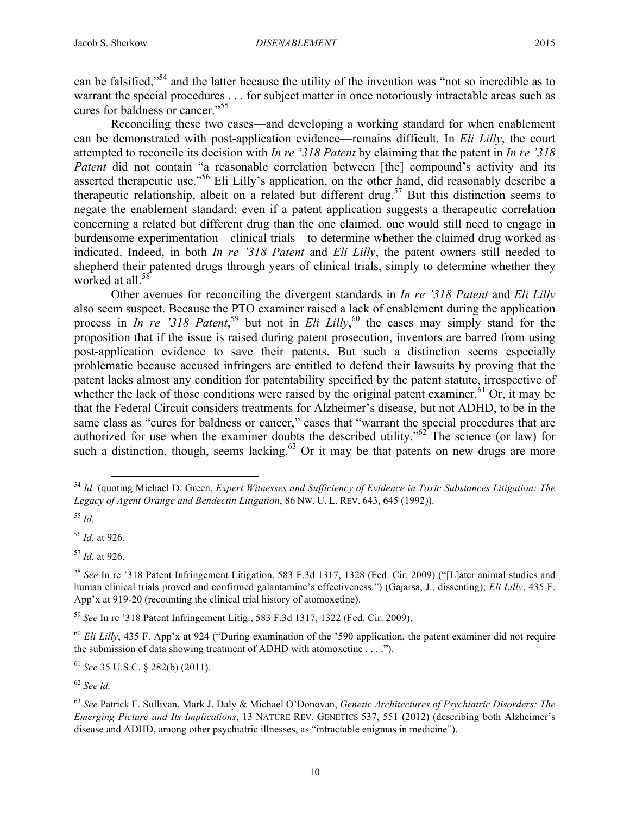can be falsified,"54 and the latter because the utility of the invention was "not so incredible as to warrant the special procedures . . . for subject matter in once notoriously intractable areas such as cures for baldness or cancer." 55

Reconciling these two cases—and developing a working standard for when enablement can be demonstrated with post-application evidence—remains difficult. In *Eli Lilly*, the court attempted to reconcile its decision with *In re '318 Patent* by claiming that the patent in *In re '318 Patent* did not contain "a reasonable correlation between [the] compound's activity and its asserted therapeutic use."<sup>56</sup> Eli Lilly's application, on the other hand, did reasonably describe a therapeutic relationship, albeit on a related but different drug.<sup>57</sup> But this distinction seems to negate the enablement standard: even if a patent application suggests a therapeutic correlation concerning a related but different drug than the one claimed, one would still need to engage in burdensome experimentation—clinical trials—to determine whether the claimed drug worked as indicated. Indeed, in both *In re '318 Patent* and *Eli Lilly*, the patent owners still needed to shepherd their patented drugs through years of clinical trials, simply to determine whether they worked at all.<sup>58</sup>

Other avenues for reconciling the divergent standards in *In re '318 Patent* and *Eli Lilly* also seem suspect. Because the PTO examiner raised a lack of enablement during the application process in *In re '318 Patent*<sup>59</sup>, but not in *Eli Lilly*,<sup>60</sup> the cases may simply stand for the proposition that if the issue is raised during patent prosecution, inventors are barred from using post-application evidence to save their patents. But such a distinction seems especially problematic because accused infringers are entitled to defend their lawsuits by proving that the patent lacks almost any condition for patentability specified by the patent statute, irrespective of whether the lack of those conditions were raised by the original patent examiner.<sup>61</sup> Or, it may be that the Federal Circuit considers treatments for Alzheimer's disease, but not ADHD, to be in the same class as "cures for baldness or cancer," cases that "warrant the special procedures that are authorized for use when the examiner doubts the described utility." $62^{\circ}$  The science (or law) for such a distinction, though, seems lacking. $63$  Or it may be that patents on new drugs are more

<sup>59</sup> *See* In re '318 Patent Infringement Litig., 583 F.3d 1317, 1322 (Fed. Cir. 2009).

<sup>60</sup> *Eli Lilly*, 435 F. App'x at 924 ("During examination of the '590 application, the patent examiner did not require the submission of data showing treatment of ADHD with atomoxetine . . . .").

<sup>61</sup> *See* 35 U.S.C. § 282(b) (2011).

<sup>62</sup> *See id.*

 <sup>54</sup> *Id.* (quoting Michael D. Green, *Expert Witnesses and Sufficiency of Evidence in Toxic Substances Litigation: The Legacy of Agent Orange and Bendectin Litigation*, 86 NW. U. L. REV. 643, 645 (1992)).

<sup>55</sup> *Id.*

<sup>56</sup> *Id.* at 926.

<sup>57</sup> *Id.* at 926.

<sup>58</sup> *See* In re '318 Patent Infringement Litigation, 583 F.3d 1317, 1328 (Fed. Cir. 2009) ("[L]ater animal studies and human clinical trials proved and confirmed galantamine's effectiveness.") (Gajarsa, J., dissenting); *Eli Lilly*, 435 F. App'x at 919-20 (recounting the clinical trial history of atomoxetine).

<sup>63</sup> *See* Patrick F. Sullivan, Mark J. Daly & Michael O'Donovan, *Genetic Architectures of Psychiatric Disorders: The Emerging Picture and Its Implications*, 13 NATURE REV. GENETICS 537, 551 (2012) (describing both Alzheimer's disease and ADHD, among other psychiatric illnesses, as "intractable enigmas in medicine").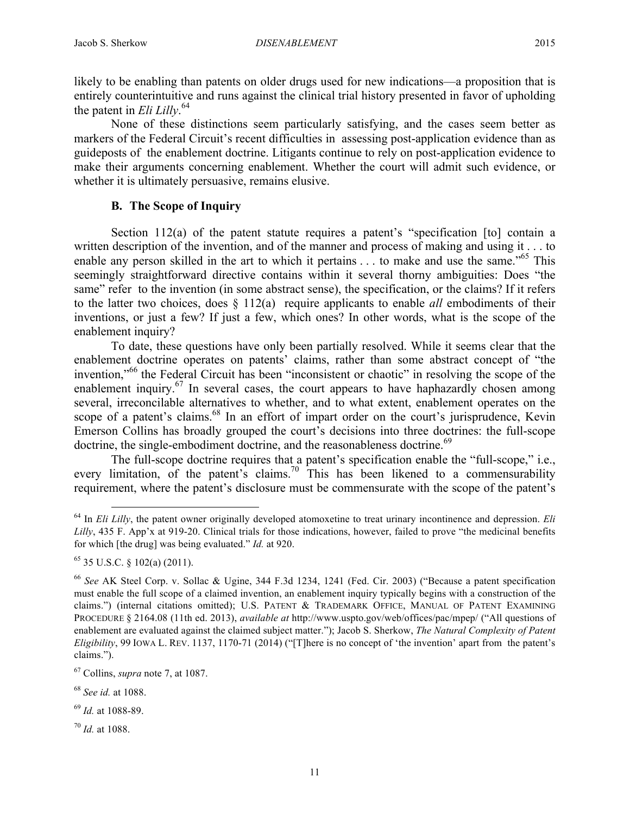likely to be enabling than patents on older drugs used for new indications—a proposition that is entirely counterintuitive and runs against the clinical trial history presented in favor of upholding the patent in *Eli Lilly*. 64

None of these distinctions seem particularly satisfying, and the cases seem better as markers of the Federal Circuit's recent difficulties in assessing post-application evidence than as guideposts of the enablement doctrine. Litigants continue to rely on post-application evidence to make their arguments concerning enablement. Whether the court will admit such evidence, or whether it is ultimately persuasive, remains elusive.

# **B. The Scope of Inquiry**

Section 112(a) of the patent statute requires a patent's "specification [to] contain a written description of the invention, and of the manner and process of making and using it . . . to enable any person skilled in the art to which it pertains  $\ldots$  to make and use the same."<sup>65</sup> This seemingly straightforward directive contains within it several thorny ambiguities: Does "the same" refer to the invention (in some abstract sense), the specification, or the claims? If it refers to the latter two choices, does § 112(a) require applicants to enable *all* embodiments of their inventions, or just a few? If just a few, which ones? In other words, what is the scope of the enablement inquiry?

To date, these questions have only been partially resolved. While it seems clear that the enablement doctrine operates on patents' claims, rather than some abstract concept of "the invention,"<sup>66</sup> the Federal Circuit has been "inconsistent or chaotic" in resolving the scope of the enablement inquiry.<sup>67</sup> In several cases, the court appears to have haphazardly chosen among several, irreconcilable alternatives to whether, and to what extent, enablement operates on the scope of a patent's claims.<sup>68</sup> In an effort of impart order on the court's jurisprudence, Kevin Emerson Collins has broadly grouped the court's decisions into three doctrines: the full-scope doctrine, the single-embodiment doctrine, and the reasonableness doctrine.<sup>69</sup>

The full-scope doctrine requires that a patent's specification enable the "full-scope," i.e., every limitation, of the patent's claims.<sup>70</sup> This has been likened to a commensurability requirement, where the patent's disclosure must be commensurate with the scope of the patent's

 <sup>64</sup> In *Eli Lilly*, the patent owner originally developed atomoxetine to treat urinary incontinence and depression. *Eli Lilly*, 435 F. App'x at 919-20. Clinical trials for those indications, however, failed to prove "the medicinal benefits for which [the drug] was being evaluated." *Id.* at 920.

<sup>65</sup> 35 U.S.C. § 102(a) (2011).

<sup>66</sup> *See* AK Steel Corp. v. Sollac & Ugine, 344 F.3d 1234, 1241 (Fed. Cir. 2003) ("Because a patent specification must enable the full scope of a claimed invention, an enablement inquiry typically begins with a construction of the claims.") (internal citations omitted); U.S. PATENT & TRADEMARK OFFICE, MANUAL OF PATENT EXAMINING PROCEDURE § 2164.08 (11th ed. 2013), *available at* http://www.uspto.gov/web/offices/pac/mpep/ ("All questions of enablement are evaluated against the claimed subject matter."); Jacob S. Sherkow, *The Natural Complexity of Patent Eligibility*, 99 IOWA L. REV. 1137, 1170-71 (2014) ("[T]here is no concept of 'the invention' apart from the patent's claims.").

<sup>67</sup> Collins, *supra* note 7, at 1087.

<sup>68</sup> *See id.* at 1088.

<sup>69</sup> *Id.* at 1088-89.

<sup>70</sup> *Id.* at 1088.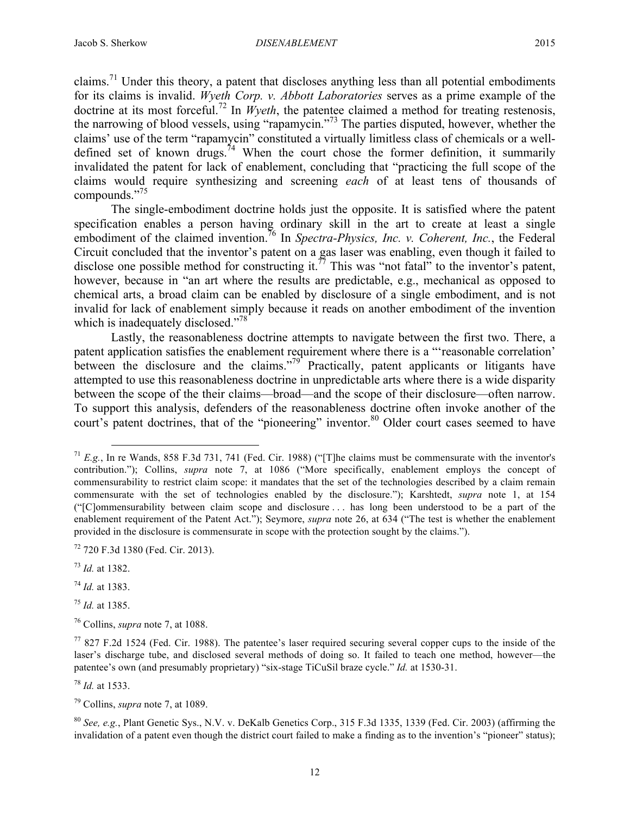claims.<sup>71</sup> Under this theory, a patent that discloses anything less than all potential embodiments for its claims is invalid. *Wyeth Corp. v. Abbott Laboratories* serves as a prime example of the doctrine at its most forceful. <sup>72</sup> In *Wyeth*, the patentee claimed a method for treating restenosis, the narrowing of blood vessels, using "rapamycin."<sup>73</sup> The parties disputed, however, whether the claims' use of the term "rapamycin" constituted a virtually limitless class of chemicals or a welldefined set of known drugs.<sup>74</sup> When the court chose the former definition, it summarily invalidated the patent for lack of enablement, concluding that "practicing the full scope of the claims would require synthesizing and screening *each* of at least tens of thousands of compounds." 75

The single-embodiment doctrine holds just the opposite. It is satisfied where the patent specification enables a person having ordinary skill in the art to create at least a single embodiment of the claimed invention.<sup>76</sup> In *Spectra-Physics, Inc. v. Coherent, Inc.*, the Federal Circuit concluded that the inventor's patent on a gas laser was enabling, even though it failed to disclose one possible method for constructing it.<sup>77</sup> This was "not fatal" to the inventor's patent, however, because in "an art where the results are predictable, e.g., mechanical as opposed to chemical arts, a broad claim can be enabled by disclosure of a single embodiment, and is not invalid for lack of enablement simply because it reads on another embodiment of the invention which is inadequately disclosed."<sup>78</sup>

Lastly, the reasonableness doctrine attempts to navigate between the first two. There, a patent application satisfies the enablement requirement where there is a "'reasonable correlation' between the disclosure and the claims."<sup>79</sup> Practically, patent applicants or litigants have attempted to use this reasonableness doctrine in unpredictable arts where there is a wide disparity between the scope of the their claims—broad—and the scope of their disclosure—often narrow. To support this analysis, defenders of the reasonableness doctrine often invoke another of the court's patent doctrines, that of the "pioneering" inventor.<sup>80</sup> Older court cases seemed to have

<sup>74</sup> *Id.* at 1383.

<sup>75</sup> *Id.* at 1385.

<sup>76</sup> Collins, *supra* note 7, at 1088.

<sup>78</sup> *Id.* at 1533.

<sup>79</sup> Collins, *supra* note 7, at 1089.

<sup>80</sup> *See, e.g.*, Plant Genetic Sys., N.V. v. DeKalb Genetics Corp., 315 F.3d 1335, 1339 (Fed. Cir. 2003) (affirming the invalidation of a patent even though the district court failed to make a finding as to the invention's "pioneer" status);

 <sup>71</sup> *E.g.*, In re Wands, 858 F.3d 731, 741 (Fed. Cir. 1988) ("[T]he claims must be commensurate with the inventor's contribution."); Collins, *supra* note 7, at 1086 ("More specifically, enablement employs the concept of commensurability to restrict claim scope: it mandates that the set of the technologies described by a claim remain commensurate with the set of technologies enabled by the disclosure."); Karshtedt, *supra* note 1, at 154 ("[C]ommensurability between claim scope and disclosure . . . has long been understood to be a part of the enablement requirement of the Patent Act."); Seymore, *supra* note 26, at 634 ("The test is whether the enablement provided in the disclosure is commensurate in scope with the protection sought by the claims.").

<sup>72</sup> 720 F.3d 1380 (Fed. Cir. 2013).

<sup>73</sup> *Id.* at 1382.

 $77827$  F.2d 1524 (Fed. Cir. 1988). The patentee's laser required securing several copper cups to the inside of the laser's discharge tube, and disclosed several methods of doing so. It failed to teach one method, however—the patentee's own (and presumably proprietary) "six-stage TiCuSil braze cycle." *Id.* at 1530-31.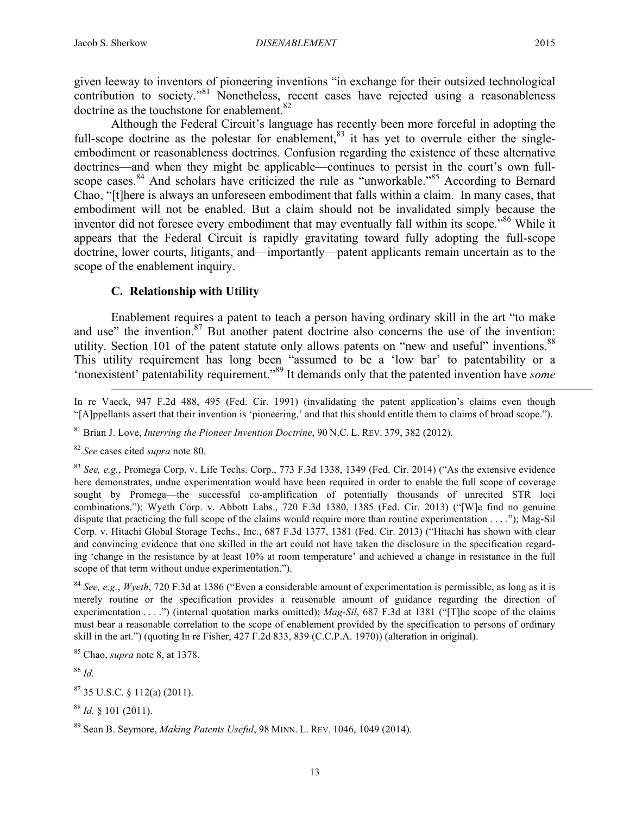given leeway to inventors of pioneering inventions "in exchange for their outsized technological  $\overline{\text{contribution}}$  to society."<sup>81</sup> Nonetheless, recent cases have rejected using a reasonableness doctrine as the touchstone for enablement.<sup>82</sup>

Although the Federal Circuit's language has recently been more forceful in adopting the full-scope doctrine as the polestar for enablement, $83$  it has yet to overrule either the singleembodiment or reasonableness doctrines. Confusion regarding the existence of these alternative doctrines—and when they might be applicable—continues to persist in the court's own fullscope cases.<sup>84</sup> And scholars have criticized the rule as "unworkable."<sup>85</sup> According to Bernard Chao, "[t]here is always an unforeseen embodiment that falls within a claim. In many cases, that embodiment will not be enabled. But a claim should not be invalidated simply because the inventor did not foresee every embodiment that may eventually fall within its scope."<sup>86</sup> While it appears that the Federal Circuit is rapidly gravitating toward fully adopting the full-scope doctrine, lower courts, litigants, and—importantly—patent applicants remain uncertain as to the scope of the enablement inquiry.

# **C. Relationship with Utility**

Enablement requires a patent to teach a person having ordinary skill in the art "to make and use" the invention. $87$  But another patent doctrine also concerns the use of the invention: utility. Section 101 of the patent statute only allows patents on "new and useful" inventions.<sup>88</sup> This utility requirement has long been "assumed to be a 'low bar' to patentability or a 'nonexistent' patentability requirement." <sup>89</sup> It demands only that the patented invention have *some*

In re Vaeck, 947 F.2d 488, 495 (Fed. Cir. 1991) (invalidating the patent application's claims even though "[A]ppellants assert that their invention is 'pioneering,' and that this should entitle them to claims of broad scope.").

<sup>81</sup> Brian J. Love, *Interring the Pioneer Invention Doctrine*, 90 N.C. L. REV. 379, 382 (2012).

<sup>82</sup> *See* cases cited *supra* note 80.

 $\overline{a}$ 

<sup>83</sup> *See, e.g.*, Promega Corp. v. Life Techs. Corp., 773 F.3d 1338, 1349 (Fed. Cir. 2014) ("As the extensive evidence here demonstrates, undue experimentation would have been required in order to enable the full scope of coverage sought by Promega—the successful co-amplification of potentially thousands of unrecited STR loci combinations."); Wyeth Corp. v. Abbott Labs., 720 F.3d 1380, 1385 (Fed. Cir. 2013) ("[W]e find no genuine dispute that practicing the full scope of the claims would require more than routine experimentation . . . ."); Mag-Sil Corp. v. Hitachi Global Storage Techs., Inc., 687 F.3d 1377, 1381 (Fed. Cir. 2013) ("Hitachi has shown with clear and convincing evidence that one skilled in the art could not have taken the disclosure in the specification regarding 'change in the resistance by at least 10% at room temperature' and achieved a change in resistance in the full scope of that term without undue experimentation.").

<sup>84</sup> *See, e.g.*, *Wyeth*, 720 F.3d at 1386 ("Even a considerable amount of experimentation is permissible, as long as it is merely routine or the specification provides a reasonable amount of guidance regarding the direction of experimentation . . . .") (internal quotation marks omitted); *Mag-Sil*, 687 F.3d at 1381 ("[T]he scope of the claims must bear a reasonable correlation to the scope of enablement provided by the specification to persons of ordinary skill in the art.") (quoting In re Fisher, 427 F.2d 833, 839 (C.C.P.A. 1970)) (alteration in original).

<sup>85</sup> Chao, *supra* note 8, at 1378.

<sup>86</sup> *Id.*

 $87$  35 U.S.C. § 112(a) (2011).

<sup>88</sup> *Id.* § 101 (2011).

<sup>89</sup> Sean B. Seymore, *Making Patents Useful*, 98 MINN. L. REV. 1046, 1049 (2014).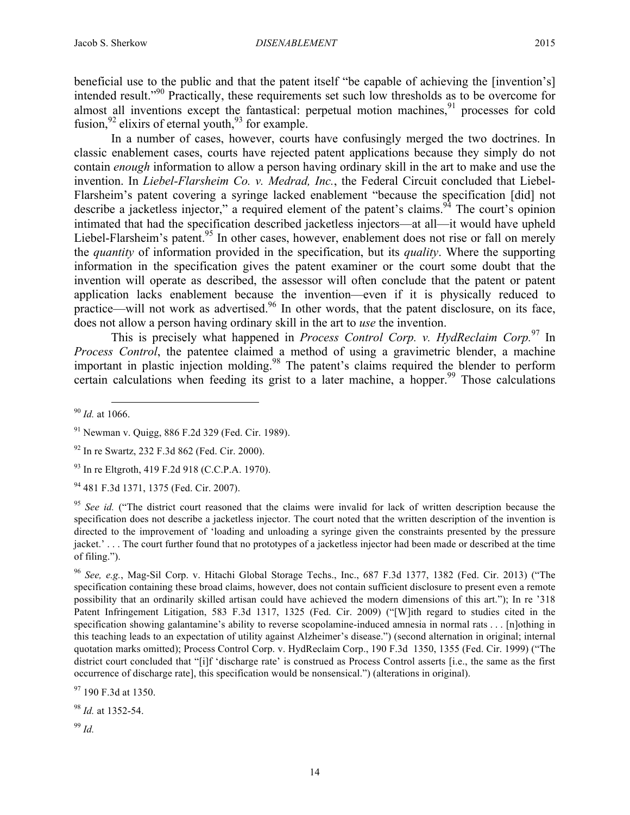beneficial use to the public and that the patent itself "be capable of achieving the [invention's] intended result."<sup>90</sup> Practically, these requirements set such low thresholds as to be overcome for almost all inventions except the fantastical: perpetual motion machines,  $91$  processes for cold

fusion,  $92$  elixirs of eternal youth,  $93$  for example.

In a number of cases, however, courts have confusingly merged the two doctrines. In classic enablement cases, courts have rejected patent applications because they simply do not contain *enough* information to allow a person having ordinary skill in the art to make and use the invention. In *Liebel-Flarsheim Co. v. Medrad, Inc.*, the Federal Circuit concluded that Liebel-Flarsheim's patent covering a syringe lacked enablement "because the specification [did] not describe a jacketless injector," a required element of the patent's claims.<sup>94</sup> The court's opinion intimated that had the specification described jacketless injectors—at all—it would have upheld Liebel-Flarsheim's patent.<sup>95</sup> In other cases, however, enablement does not rise or fall on merely the *quantity* of information provided in the specification, but its *quality*. Where the supporting information in the specification gives the patent examiner or the court some doubt that the invention will operate as described, the assessor will often conclude that the patent or patent application lacks enablement because the invention—even if it is physically reduced to practice—will not work as advertised.<sup>96</sup> In other words, that the patent disclosure, on its face, does not allow a person having ordinary skill in the art to *use* the invention.

This is precisely what happened in *Process Control Corp. v. HydReclaim Corp.*<sup>97</sup> In *Process Control*, the patentee claimed a method of using a gravimetric blender, a machine important in plastic injection molding.<sup>98</sup> The patent's claims required the blender to perform certain calculations when feeding its grist to a later machine, a hopper.<sup>99</sup> Those calculations

<sup>94</sup> 481 F.3d 1371, 1375 (Fed. Cir. 2007).

<sup>95</sup> See id. ("The district court reasoned that the claims were invalid for lack of written description because the specification does not describe a jacketless injector. The court noted that the written description of the invention is directed to the improvement of 'loading and unloading a syringe given the constraints presented by the pressure jacket.' . . . The court further found that no prototypes of a jacketless injector had been made or described at the time of filing.").

<sup>96</sup> *See, e.g.*, Mag-Sil Corp. v. Hitachi Global Storage Techs., Inc., 687 F.3d 1377, 1382 (Fed. Cir. 2013) ("The specification containing these broad claims, however, does not contain sufficient disclosure to present even a remote possibility that an ordinarily skilled artisan could have achieved the modern dimensions of this art."); In re '318 Patent Infringement Litigation, 583 F.3d 1317, 1325 (Fed. Cir. 2009) ("[W]ith regard to studies cited in the specification showing galantamine's ability to reverse scopolamine-induced amnesia in normal rats . . . [n]othing in this teaching leads to an expectation of utility against Alzheimer's disease.") (second alternation in original; internal quotation marks omitted); Process Control Corp. v. HydReclaim Corp., 190 F.3d 1350, 1355 (Fed. Cir. 1999) ("The district court concluded that "[i]f 'discharge rate' is construed as Process Control asserts [i.e., the same as the first occurrence of discharge rate], this specification would be nonsensical.") (alterations in original).

<sup>97</sup> 190 F.3d at 1350.

<sup>98</sup> *Id.* at 1352-54.

<sup>99</sup> *Id.*

 <sup>90</sup> *Id.* at 1066.

<sup>91</sup> Newman v. Quigg, 886 F.2d 329 (Fed. Cir. 1989).

<sup>92</sup> In re Swartz, 232 F.3d 862 (Fed. Cir. 2000).

<sup>93</sup> In re Eltgroth, 419 F.2d 918 (C.C.P.A. 1970).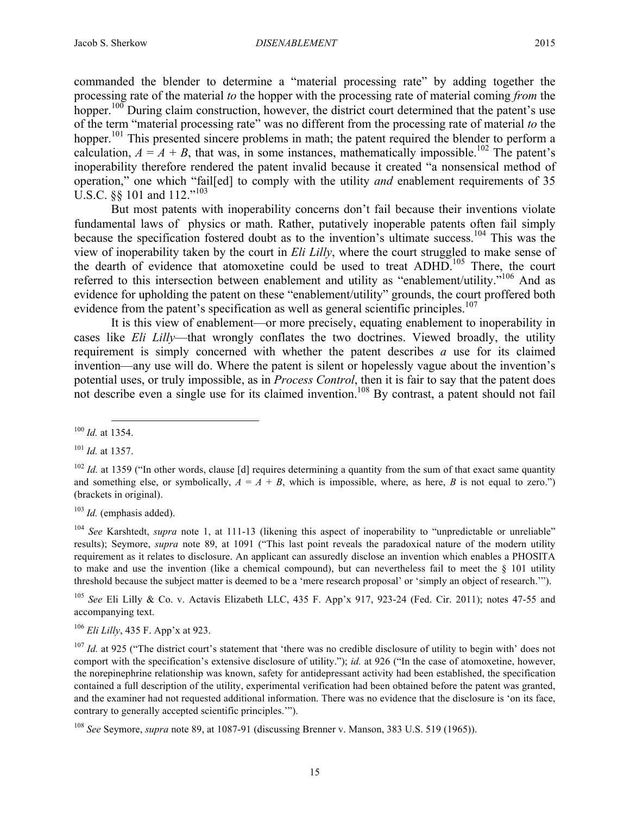commanded the blender to determine a "material processing rate" by adding together the processing rate of the material *to* the hopper with the processing rate of material coming *from* the hopper.<sup>100</sup> During claim construction, however, the district court determined that the patent's use of the term "material processing rate" was no different from the processing rate of material *to* the hopper.<sup>101</sup> This presented sincere problems in math; the patent required the blender to perform a calculation,  $A = A + B$ , that was, in some instances, mathematically impossible.<sup>102</sup> The patent's inoperability therefore rendered the patent invalid because it created "a nonsensical method of operation," one which "fail[ed] to comply with the utility *and* enablement requirements of 35 U.S.C. §§ 101 and 112."<sup>103</sup>

But most patents with inoperability concerns don't fail because their inventions violate fundamental laws of physics or math. Rather, putatively inoperable patents often fail simply because the specification fostered doubt as to the invention's ultimate success.<sup>104</sup> This was the view of inoperability taken by the court in *Eli Lilly*, where the court struggled to make sense of the dearth of evidence that atomoxetine could be used to treat ADHD.<sup>105</sup> There, the court referred to this intersection between enablement and utility as "enablement/utility."<sup>106</sup> And as evidence for upholding the patent on these "enablement/utility" grounds, the court proffered both evidence from the patent's specification as well as general scientific principles.<sup>107</sup>

It is this view of enablement—or more precisely, equating enablement to inoperability in cases like *Eli Lilly*—that wrongly conflates the two doctrines. Viewed broadly, the utility requirement is simply concerned with whether the patent describes *a* use for its claimed invention—any use will do. Where the patent is silent or hopelessly vague about the invention's potential uses, or truly impossible, as in *Process Control*, then it is fair to say that the patent does not describe even a single use for its claimed invention.<sup>108</sup> By contrast, a patent should not fail

<sup>103</sup> *Id.* (emphasis added).

<sup>105</sup> *See* Eli Lilly & Co. v. Actavis Elizabeth LLC, 435 F. App'x 917, 923-24 (Fed. Cir. 2011); notes 47-55 and accompanying text.

<sup>106</sup> *Eli Lilly*, 435 F. App'x at 923.

 <sup>100</sup> *Id.* at 1354.

<sup>101</sup> *Id.* at 1357.

<sup>&</sup>lt;sup>102</sup> *Id.* at 1359 ("In other words, clause [d] requires determining a quantity from the sum of that exact same quantity and something else, or symbolically,  $A = A + B$ , which is impossible, where, as here, *B* is not equal to zero.") (brackets in original).

<sup>&</sup>lt;sup>104</sup> See Karshtedt, *supra* note 1, at 111-13 (likening this aspect of inoperability to "unpredictable or unreliable" results); Seymore, *supra* note 89, at 1091 ("This last point reveals the paradoxical nature of the modern utility requirement as it relates to disclosure. An applicant can assuredly disclose an invention which enables a PHOSITA to make and use the invention (like a chemical compound), but can nevertheless fail to meet the § 101 utility threshold because the subject matter is deemed to be a 'mere research proposal' or 'simply an object of research.'").

<sup>&</sup>lt;sup>107</sup> *Id.* at 925 ("The district court's statement that 'there was no credible disclosure of utility to begin with' does not comport with the specification's extensive disclosure of utility."); *id.* at 926 ("In the case of atomoxetine, however, the norepinephrine relationship was known, safety for antidepressant activity had been established, the specification contained a full description of the utility, experimental verification had been obtained before the patent was granted, and the examiner had not requested additional information. There was no evidence that the disclosure is 'on its face, contrary to generally accepted scientific principles.'").

<sup>108</sup> *See* Seymore, *supra* note 89, at 1087-91 (discussing Brenner v. Manson, 383 U.S. 519 (1965)).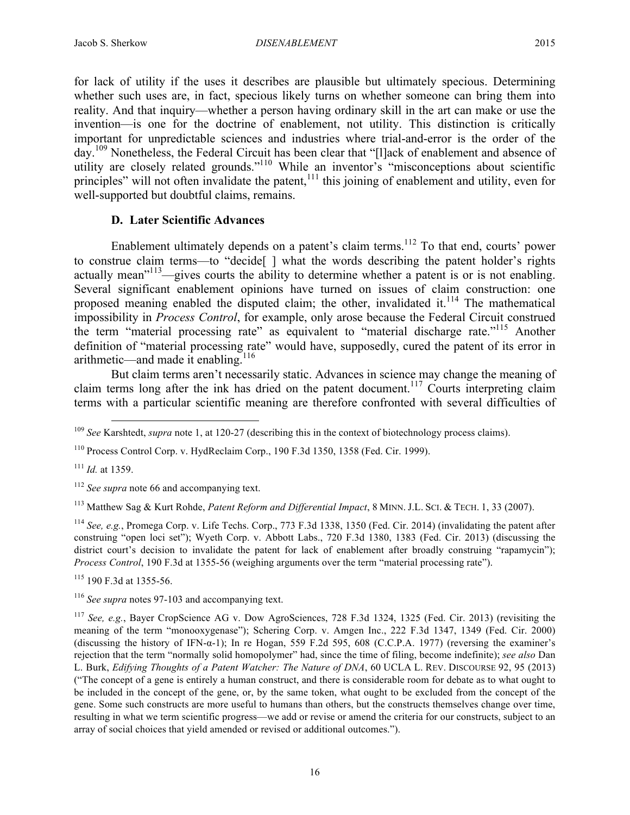for lack of utility if the uses it describes are plausible but ultimately specious. Determining whether such uses are, in fact, specious likely turns on whether someone can bring them into reality. And that inquiry—whether a person having ordinary skill in the art can make or use the invention—is one for the doctrine of enablement, not utility. This distinction is critically important for unpredictable sciences and industries where trial-and-error is the order of the day.<sup>109</sup> Nonetheless, the Federal Circuit has been clear that "[I]ack of enablement and absence of utility are closely related grounds."<sup>110</sup> While an inventor's "misconceptions about scientific principles" will not often invalidate the patent,<sup>111</sup> this joining of enablement and utility, even for well-supported but doubtful claims, remains.

## **D. Later Scientific Advances**

Enablement ultimately depends on a patent's claim terms.<sup>112</sup> To that end, courts' power to construe claim terms—to "decide[ ] what the words describing the patent holder's rights actually mean<sup>"113</sup>—gives courts the ability to determine whether a patent is or is not enabling. Several significant enablement opinions have turned on issues of claim construction: one proposed meaning enabled the disputed claim; the other, invalidated it.<sup>114</sup> The mathematical impossibility in *Process Control*, for example, only arose because the Federal Circuit construed the term "material processing rate" as equivalent to "material discharge rate."<sup>115</sup> Another definition of "material processing rate" would have, supposedly, cured the patent of its error in arithmetic—and made it enabling.116

But claim terms aren't necessarily static. Advances in science may change the meaning of claim terms long after the ink has dried on the patent document.<sup>117</sup> Courts interpreting claim terms with a particular scientific meaning are therefore confronted with several difficulties of

<sup>111</sup> *Id.* at 1359.

<sup>113</sup> Matthew Sag & Kurt Rohde, *Patent Reform and Differential Impact*, 8 MINN. J.L. SCI. & TECH. 1, 33 (2007).

<sup>114</sup> *See, e.g.*, Promega Corp. v. Life Techs. Corp., 773 F.3d 1338, 1350 (Fed. Cir. 2014) (invalidating the patent after construing "open loci set"); Wyeth Corp. v. Abbott Labs., 720 F.3d 1380, 1383 (Fed. Cir. 2013) (discussing the district court's decision to invalidate the patent for lack of enablement after broadly construing "rapamycin"); *Process Control*, 190 F.3d at 1355-56 (weighing arguments over the term "material processing rate").

<sup>115</sup> 190 F.3d at 1355-56.

<sup>116</sup> *See supra* notes 97-103 and accompanying text.

<sup>117</sup> *See, e.g.*, Bayer CropScience AG v. Dow AgroSciences, 728 F.3d 1324, 1325 (Fed. Cir. 2013) (revisiting the meaning of the term "monooxygenase"); Schering Corp. v. Amgen Inc., 222 F.3d 1347, 1349 (Fed. Cir. 2000) (discussing the history of IFN- $\alpha$ -1); In re Hogan, 559 F.2d 595, 608 (C.C.P.A. 1977) (reversing the examiner's rejection that the term "normally solid homopolymer" had, since the time of filing, become indefinite); *see also* Dan L. Burk, *Edifying Thoughts of a Patent Watcher: The Nature of DNA*, 60 UCLA L. REV. DISCOURSE 92, 95 (2013) ("The concept of a gene is entirely a human construct, and there is considerable room for debate as to what ought to be included in the concept of the gene, or, by the same token, what ought to be excluded from the concept of the gene. Some such constructs are more useful to humans than others, but the constructs themselves change over time, resulting in what we term scientific progress—we add or revise or amend the criteria for our constructs, subject to an array of social choices that yield amended or revised or additional outcomes.").

 <sup>109</sup> *See* Karshtedt, *supra* note 1, at 120-27 (describing this in the context of biotechnology process claims).

<sup>110</sup> Process Control Corp. v. HydReclaim Corp., 190 F.3d 1350, 1358 (Fed. Cir. 1999).

<sup>112</sup> *See supra* note 66 and accompanying text.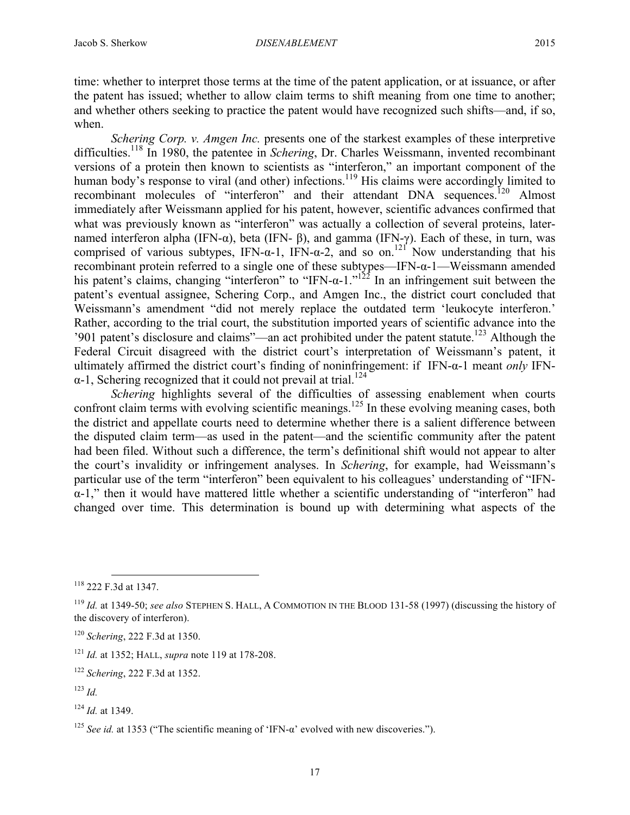time: whether to interpret those terms at the time of the patent application, or at issuance, or after the patent has issued; whether to allow claim terms to shift meaning from one time to another; and whether others seeking to practice the patent would have recognized such shifts—and, if so, when.

*Schering Corp. v. Amgen Inc.* presents one of the starkest examples of these interpretive difficulties.<sup>118</sup> In 1980, the patentee in *Schering*, Dr. Charles Weissmann, invented recombinant versions of a protein then known to scientists as "interferon," an important component of the human body's response to viral (and other) infections.<sup>119</sup> His claims were accordingly limited to recombinant molecules of "interferon" and their attendant DNA sequences.<sup>120</sup> Almost immediately after Weissmann applied for his patent, however, scientific advances confirmed that what was previously known as "interferon" was actually a collection of several proteins, laternamed interferon alpha (IFN-α), beta (IFN-β), and gamma (IFN-γ). Each of these, in turn, was comprised of various subtypes, IFN- $\alpha$ -1, IFN- $\alpha$ -2, and so on.<sup>121</sup> Now understanding that his recombinant protein referred to a single one of these subtypes—IFN-α-1—Weissmann amended his patent's claims, changing "interferon" to "IFN- $\alpha$ -1."<sup>122</sup> In an infringement suit between the patent's eventual assignee, Schering Corp., and Amgen Inc., the district court concluded that Weissmann's amendment "did not merely replace the outdated term 'leukocyte interferon.' Rather, according to the trial court, the substitution imported years of scientific advance into the '901 patent's disclosure and claims''—an act prohibited under the patent statute.<sup>123</sup> Although the Federal Circuit disagreed with the district court's interpretation of Weissmann's patent, it ultimately affirmed the district court's finding of noninfringement: if IFN-α-1 meant *only* IFN- $\alpha$ -1, Schering recognized that it could not prevail at trial.<sup>124</sup>

*Schering* highlights several of the difficulties of assessing enablement when courts confront claim terms with evolving scientific meanings.<sup>125</sup> In these evolving meaning cases, both the district and appellate courts need to determine whether there is a salient difference between the disputed claim term—as used in the patent—and the scientific community after the patent had been filed. Without such a difference, the term's definitional shift would not appear to alter the court's invalidity or infringement analyses. In *Schering*, for example, had Weissmann's particular use of the term "interferon" been equivalent to his colleagues' understanding of "IFNα-1," then it would have mattered little whether a scientific understanding of "interferon" had changed over time. This determination is bound up with determining what aspects of the

<sup>124</sup> *Id.* at 1349.

 $118$  222 F 3d at 1347.

<sup>119</sup> *Id.* at 1349-50; *see also* STEPHEN S. HALL, A COMMOTION IN THE BLOOD 131-58 (1997) (discussing the history of the discovery of interferon).

<sup>120</sup> *Schering*, 222 F.3d at 1350.

<sup>121</sup> *Id.* at 1352; HALL, *supra* note 119 at 178-208.

<sup>122</sup> *Schering*, 222 F.3d at 1352.

<sup>123</sup> *Id.*

<sup>125</sup> *See id.* at 1353 ("The scientific meaning of 'IFN-α' evolved with new discoveries.").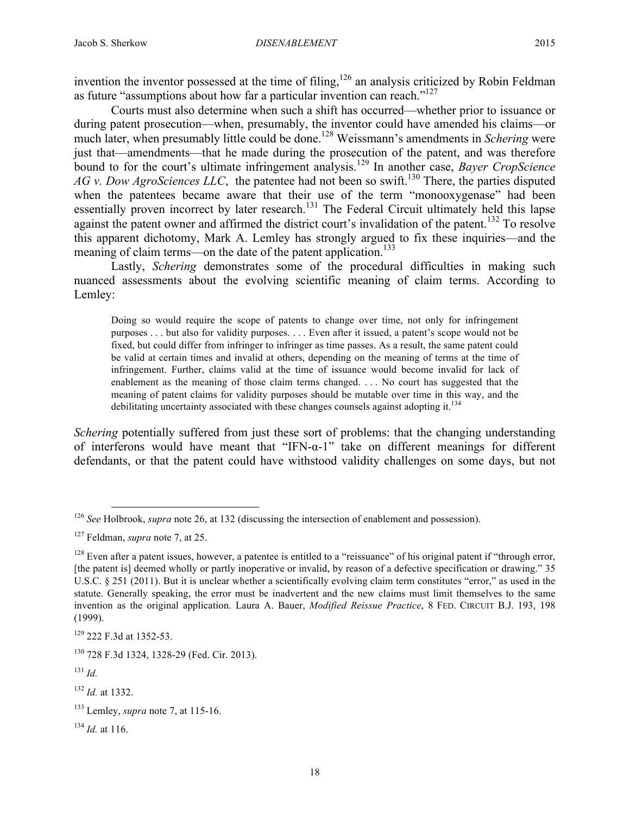invention the inventor possessed at the time of filing,<sup>126</sup> an analysis criticized by Robin Feldman as future "assumptions about how far a particular invention can reach."127

Courts must also determine when such a shift has occurred—whether prior to issuance or during patent prosecution—when, presumably, the inventor could have amended his claims—or much later, when presumably little could be done. <sup>128</sup> Weissmann's amendments in *Schering* were just that—amendments—that he made during the prosecution of the patent, and was therefore bound to for the court's ultimate infringement analysis.<sup>129</sup> In another case, *Bayer CropScience AG v. Dow AgroSciences LLC*, the patentee had not been so swift.<sup>130</sup> There, the parties disputed when the patentees became aware that their use of the term "monooxygenase" had been essentially proven incorrect by later research.<sup>131</sup> The Federal Circuit ultimately held this lapse against the patent owner and affirmed the district court's invalidation of the patent.<sup>132</sup> To resolve this apparent dichotomy, Mark A. Lemley has strongly argued to fix these inquiries—and the meaning of claim terms—on the date of the patent application.<sup>133</sup>

Lastly, *Schering* demonstrates some of the procedural difficulties in making such nuanced assessments about the evolving scientific meaning of claim terms. According to Lemley:

Doing so would require the scope of patents to change over time, not only for infringement purposes . . . but also for validity purposes. . . . Even after it issued, a patent's scope would not be fixed, but could differ from infringer to infringer as time passes. As a result, the same patent could be valid at certain times and invalid at others, depending on the meaning of terms at the time of infringement. Further, claims valid at the time of issuance would become invalid for lack of enablement as the meaning of those claim terms changed. . . . No court has suggested that the meaning of patent claims for validity purposes should be mutable over time in this way, and the debilitating uncertainty associated with these changes counsels against adopting it. $^{134}$ 

*Schering* potentially suffered from just these sort of problems: that the changing understanding of interferons would have meant that "IFN-α-1" take on different meanings for different defendants, or that the patent could have withstood validity challenges on some days, but not

 <sup>126</sup> *See* Holbrook, *supra* note 26, at 132 (discussing the intersection of enablement and possession).

<sup>127</sup> Feldman, *supra* note 7, at 25.

 $128$  Even after a patent issues, however, a patentee is entitled to a "reissuance" of his original patent if "through error, [the patent is] deemed wholly or partly inoperative or invalid, by reason of a defective specification or drawing." 35 U.S.C. § 251 (2011). But it is unclear whether a scientifically evolving claim term constitutes "error," as used in the statute. Generally speaking, the error must be inadvertent and the new claims must limit themselves to the same invention as the original application. Laura A. Bauer, *Modified Reissue Practice*, 8 FED. CIRCUIT B.J. 193, 198 (1999).

<sup>&</sup>lt;sup>129</sup> 222 F.3d at 1352-53.

<sup>130</sup> 728 F.3d 1324, 1328-29 (Fed. Cir. 2013).

<sup>131</sup> *Id.*

<sup>132</sup> *Id.* at 1332.

<sup>133</sup> Lemley, *supra* note 7, at 115-16.

 $^{134}$  *Id.* at 116.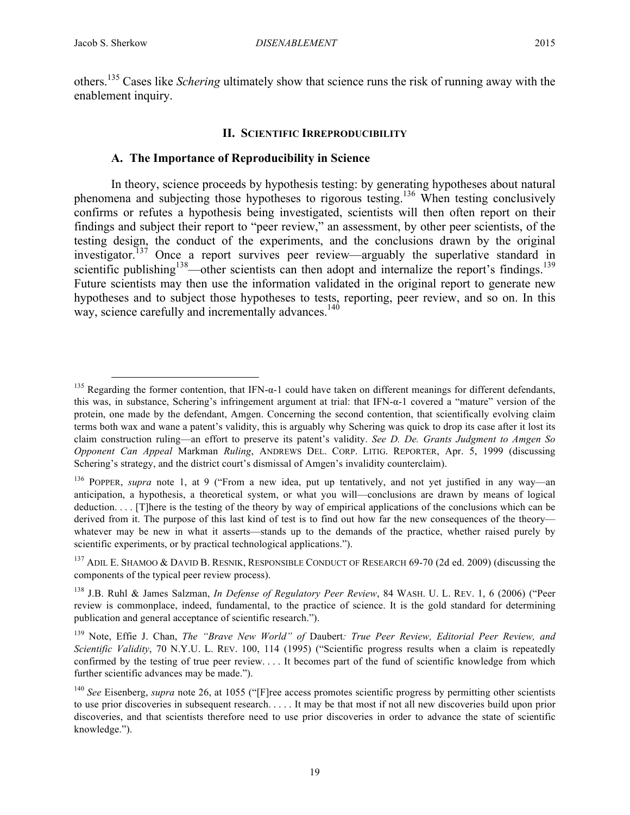others.<sup>135</sup> Cases like *Schering* ultimately show that science runs the risk of running away with the enablement inquiry.

#### **II. SCIENTIFIC IRREPRODUCIBILITY**

## **A. The Importance of Reproducibility in Science**

In theory, science proceeds by hypothesis testing: by generating hypotheses about natural phenomena and subjecting those hypotheses to rigorous testing.136 When testing conclusively confirms or refutes a hypothesis being investigated, scientists will then often report on their findings and subject their report to "peer review," an assessment, by other peer scientists, of the testing design, the conduct of the experiments, and the conclusions drawn by the original investigator.<sup>137</sup> Once a report survives peer review—arguably the superlative standard in scientific publishing<sup>138</sup>—other scientists can then adopt and internalize the report's findings.<sup>139</sup> Future scientists may then use the information validated in the original report to generate new hypotheses and to subject those hypotheses to tests, reporting, peer review, and so on. In this way, science carefully and incrementally advances.<sup>140</sup>

<sup>&</sup>lt;sup>135</sup> Regarding the former contention, that IFN- $\alpha$ -1 could have taken on different meanings for different defendants, this was, in substance, Schering's infringement argument at trial: that IFN-α-1 covered a "mature" version of the protein, one made by the defendant, Amgen. Concerning the second contention, that scientifically evolving claim terms both wax and wane a patent's validity, this is arguably why Schering was quick to drop its case after it lost its claim construction ruling—an effort to preserve its patent's validity. *See D. De. Grants Judgment to Amgen So Opponent Can Appeal* Markman *Ruling*, ANDREWS DEL. CORP. LITIG. REPORTER, Apr. 5, 1999 (discussing Schering's strategy, and the district court's dismissal of Amgen's invalidity counterclaim).

<sup>136</sup> POPPER, *supra* note 1, at 9 ("From a new idea, put up tentatively, and not yet justified in any way—an anticipation, a hypothesis, a theoretical system, or what you will—conclusions are drawn by means of logical deduction. . . . [T]here is the testing of the theory by way of empirical applications of the conclusions which can be derived from it. The purpose of this last kind of test is to find out how far the new consequences of the theory whatever may be new in what it asserts—stands up to the demands of the practice, whether raised purely by scientific experiments, or by practical technological applications.").

<sup>&</sup>lt;sup>137</sup> ADIL E. SHAMOO & DAVID B. RESNIK, RESPONSIBLE CONDUCT OF RESEARCH 69-70 (2d ed. 2009) (discussing the components of the typical peer review process).

<sup>138</sup> J.B. Ruhl & James Salzman, *In Defense of Regulatory Peer Review*, 84 WASH. U. L. REV. 1, 6 (2006) ("Peer review is commonplace, indeed, fundamental, to the practice of science. It is the gold standard for determining publication and general acceptance of scientific research.").

<sup>139</sup> Note, Effie J. Chan, *The "Brave New World" of* Daubert*: True Peer Review, Editorial Peer Review, and Scientific Validity*, 70 N.Y.U. L. REV. 100, 114 (1995) ("Scientific progress results when a claim is repeatedly confirmed by the testing of true peer review. . . . It becomes part of the fund of scientific knowledge from which further scientific advances may be made.").

<sup>140</sup> *See* Eisenberg, *supra* note 26, at 1055 ("[F]ree access promotes scientific progress by permitting other scientists to use prior discoveries in subsequent research. . . . . It may be that most if not all new discoveries build upon prior discoveries, and that scientists therefore need to use prior discoveries in order to advance the state of scientific knowledge.").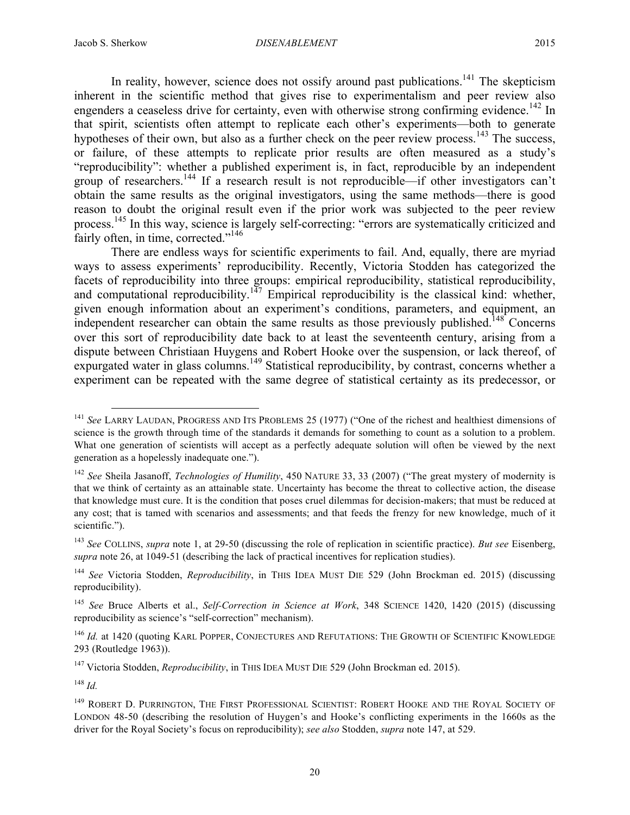In reality, however, science does not ossify around past publications.<sup>141</sup> The skepticism inherent in the scientific method that gives rise to experimentalism and peer review also engenders a ceaseless drive for certainty, even with otherwise strong confirming evidence.<sup>142</sup> In that spirit, scientists often attempt to replicate each other's experiments—both to generate hypotheses of their own, but also as a further check on the peer review process.<sup>143</sup> The success, or failure, of these attempts to replicate prior results are often measured as a study's "reproducibility": whether a published experiment is, in fact, reproducible by an independent group of researchers.<sup>144</sup> If a research result is not reproducible—if other investigators can't obtain the same results as the original investigators, using the same methods—there is good reason to doubt the original result even if the prior work was subjected to the peer review process.<sup>145</sup> In this way, science is largely self-correcting: "errors are systematically criticized and fairly often, in time, corrected."<sup>146</sup>

There are endless ways for scientific experiments to fail. And, equally, there are myriad ways to assess experiments' reproducibility. Recently, Victoria Stodden has categorized the facets of reproducibility into three groups: empirical reproducibility, statistical reproducibility, and computational reproducibility.<sup>147</sup> Empirical reproducibility is the classical kind: whether, given enough information about an experiment's conditions, parameters, and equipment, an independent researcher can obtain the same results as those previously published.<sup>148</sup> Concerns over this sort of reproducibility date back to at least the seventeenth century, arising from a dispute between Christiaan Huygens and Robert Hooke over the suspension, or lack thereof, of expurgated water in glass columns.<sup>149</sup> Statistical reproducibility, by contrast, concerns whether a experiment can be repeated with the same degree of statistical certainty as its predecessor, or

<sup>148</sup> *Id.*

<sup>&</sup>lt;sup>141</sup> See LARRY LAUDAN, PROGRESS AND ITS PROBLEMS 25 (1977) ("One of the richest and healthiest dimensions of science is the growth through time of the standards it demands for something to count as a solution to a problem. What one generation of scientists will accept as a perfectly adequate solution will often be viewed by the next generation as a hopelessly inadequate one.").

<sup>142</sup> *See* Sheila Jasanoff, *Technologies of Humility*, 450 NATURE 33, 33 (2007) ("The great mystery of modernity is that we think of certainty as an attainable state. Uncertainty has become the threat to collective action, the disease that knowledge must cure. It is the condition that poses cruel dilemmas for decision-makers; that must be reduced at any cost; that is tamed with scenarios and assessments; and that feeds the frenzy for new knowledge, much of it scientific.").

<sup>143</sup> *See* COLLINS, *supra* note 1, at 29-50 (discussing the role of replication in scientific practice). *But see* Eisenberg, *supra* note 26, at 1049-51 (describing the lack of practical incentives for replication studies).

<sup>&</sup>lt;sup>144</sup> See Victoria Stodden, *Reproducibility*, in THIS IDEA MUST DIE 529 (John Brockman ed. 2015) (discussing reproducibility).

<sup>145</sup> *See* Bruce Alberts et al., *Self-Correction in Science at Work*, 348 SCIENCE 1420, 1420 (2015) (discussing reproducibility as science's "self-correction" mechanism).

<sup>&</sup>lt;sup>146</sup> *Id.* at 1420 (quoting KARL POPPER, CONJECTURES AND REFUTATIONS: THE GROWTH OF SCIENTIFIC KNOWLEDGE 293 (Routledge 1963)).

<sup>147</sup> Victoria Stodden, *Reproducibility*, in THIS IDEA MUST DIE 529 (John Brockman ed. 2015).

<sup>&</sup>lt;sup>149</sup> ROBERT D. PURRINGTON, THE FIRST PROFESSIONAL SCIENTIST: ROBERT HOOKE AND THE ROYAL SOCIETY OF LONDON 48-50 (describing the resolution of Huygen's and Hooke's conflicting experiments in the 1660s as the driver for the Royal Society's focus on reproducibility); *see also* Stodden, *supra* note 147, at 529.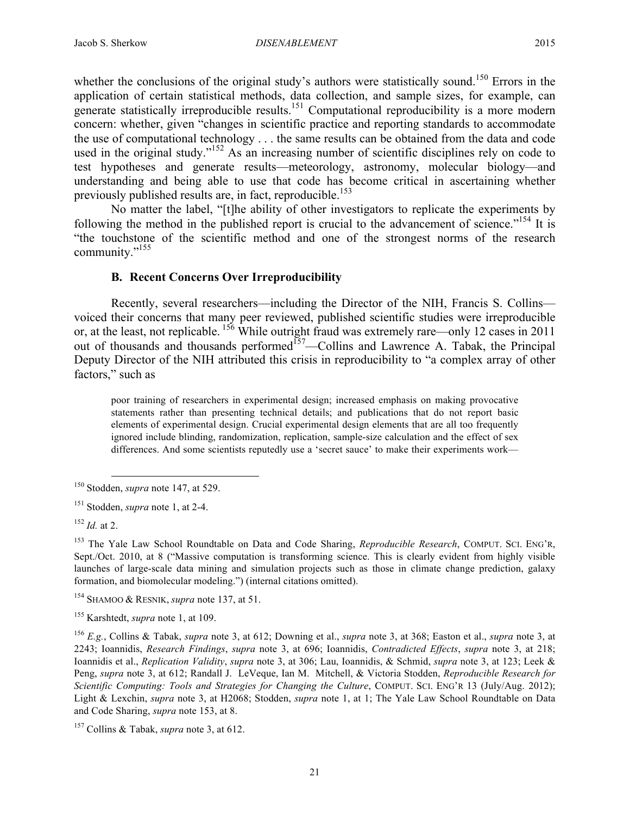community."<sup>155</sup>

whether the conclusions of the original study's authors were statistically sound.<sup>150</sup> Errors in the application of certain statistical methods, data collection, and sample sizes, for example, can generate statistically irreproducible results.<sup>151</sup> Computational reproducibility is a more modern concern: whether, given "changes in scientific practice and reporting standards to accommodate the use of computational technology . . . the same results can be obtained from the data and code used in the original study."<sup>152</sup> As an increasing number of scientific disciplines rely on code to test hypotheses and generate results—meteorology, astronomy, molecular biology—and

understanding and being able to use that code has become critical in ascertaining whether previously published results are, in fact, reproducible.<sup>153</sup> No matter the label, "[t]he ability of other investigators to replicate the experiments by following the method in the published report is crucial to the advancement of science."<sup>154</sup> It is "the touchstone of the scientific method and one of the strongest norms of the research

# **B. Recent Concerns Over Irreproducibility**

Recently, several researchers—including the Director of the NIH, Francis S. Collins voiced their concerns that many peer reviewed, published scientific studies were irreproducible or, at the least, not replicable. <sup>156</sup> While outright fraud was extremely rare—only 12 cases in 2011 out of thousands and thousands performed<sup>157</sup>—Collins and Lawrence A. Tabak, the Principal Deputy Director of the NIH attributed this crisis in reproducibility to "a complex array of other factors," such as

poor training of researchers in experimental design; increased emphasis on making provocative statements rather than presenting technical details; and publications that do not report basic elements of experimental design. Crucial experimental design elements that are all too frequently ignored include blinding, randomization, replication, sample-size calculation and the effect of sex differences. And some scientists reputedly use a 'secret sauce' to make their experiments work—

 <sup>150</sup> Stodden, *supra* note 147, at 529.

<sup>151</sup> Stodden, *supra* note 1, at 2-4.

<sup>152</sup> *Id.* at 2.

<sup>153</sup> The Yale Law School Roundtable on Data and Code Sharing, *Reproducible Research*, COMPUT. SCI. ENG'R, Sept./Oct. 2010, at 8 ("Massive computation is transforming science. This is clearly evident from highly visible launches of large-scale data mining and simulation projects such as those in climate change prediction, galaxy formation, and biomolecular modeling.") (internal citations omitted).

<sup>154</sup> SHAMOO & RESNIK, *supra* note 137, at 51.

<sup>155</sup> Karshtedt, *supra* note 1, at 109.

<sup>156</sup> *E.g.*, Collins & Tabak, *supra* note 3, at 612; Downing et al., *supra* note 3, at 368; Easton et al., *supra* note 3, at 2243; Ioannidis, *Research Findings*, *supra* note 3, at 696; Ioannidis, *Contradicted Effects*, *supra* note 3, at 218; Ioannidis et al., *Replication Validity*, *supra* note 3, at 306; Lau, Ioannidis, & Schmid, *supra* note 3, at 123; Leek & Peng, *supra* note 3, at 612; Randall J. LeVeque, Ian M. Mitchell, & Victoria Stodden, *Reproducible Research for Scientific Computing: Tools and Strategies for Changing the Culture*, COMPUT. SCI. ENG'R 13 (July/Aug. 2012); Light & Lexchin, *supra* note 3, at H2068; Stodden, *supra* note 1, at 1; The Yale Law School Roundtable on Data and Code Sharing, *supra* note 153, at 8.

<sup>157</sup> Collins & Tabak, *supra* note 3, at 612.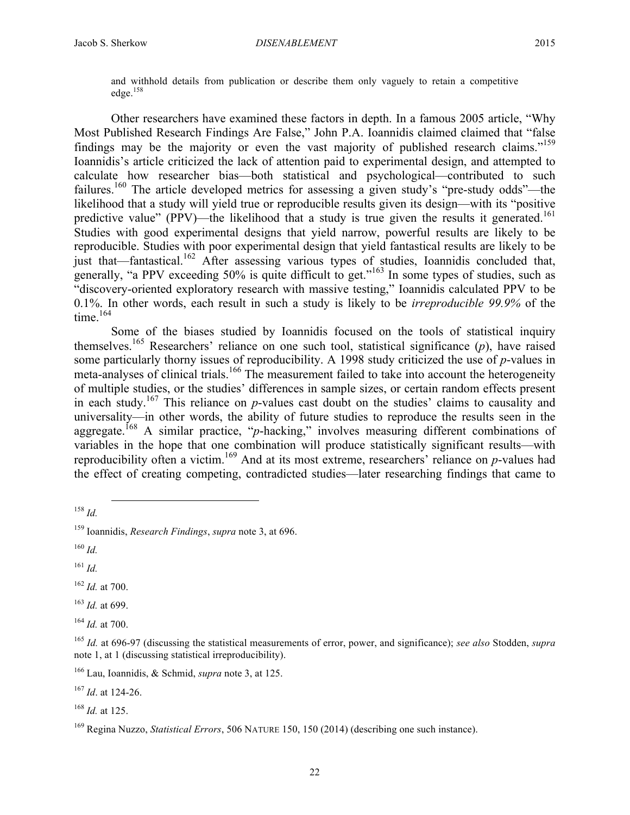and withhold details from publication or describe them only vaguely to retain a competitive edge.<sup>158</sup>

Other researchers have examined these factors in depth. In a famous 2005 article, "Why Most Published Research Findings Are False," John P.A. Ioannidis claimed claimed that "false findings may be the majority or even the vast majority of published research claims."<sup>159</sup> Ioannidis's article criticized the lack of attention paid to experimental design, and attempted to calculate how researcher bias—both statistical and psychological—contributed to such failures.<sup>160</sup> The article developed metrics for assessing a given study's "pre-study odds"—the likelihood that a study will yield true or reproducible results given its design—with its "positive predictive value" (PPV)—the likelihood that a study is true given the results it generated.<sup>161</sup> Studies with good experimental designs that yield narrow, powerful results are likely to be reproducible. Studies with poor experimental design that yield fantastical results are likely to be just that—fantastical.<sup>162</sup> After assessing various types of studies, Ioannidis concluded that, generally, "a PPV exceeding 50% is quite difficult to get."<sup>163</sup> In some types of studies, such as "discovery-oriented exploratory research with massive testing," Ioannidis calculated PPV to be 0.1%. In other words, each result in such a study is likely to be *irreproducible 99.9%* of the time.<sup>164</sup>

Some of the biases studied by Ioannidis focused on the tools of statistical inquiry themselves.<sup>165</sup> Researchers' reliance on one such tool, statistical significance (*p*), have raised some particularly thorny issues of reproducibility. A 1998 study criticized the use of *p*-values in meta-analyses of clinical trials.<sup>166</sup> The measurement failed to take into account the heterogeneity of multiple studies, or the studies' differences in sample sizes, or certain random effects present in each study.<sup>167</sup> This reliance on *p*-values cast doubt on the studies' claims to causality and universality—in other words, the ability of future studies to reproduce the results seen in the aggregate.<sup>168</sup> A similar practice, "*p*-hacking," involves measuring different combinations of variables in the hope that one combination will produce statistically significant results—with reproducibility often a victim.<sup>169</sup> And at its most extreme, researchers' reliance on *p*-values had the effect of creating competing, contradicted studies—later researching findings that came to

<sup>161</sup> *Id.*

<sup>162</sup> *Id.* at 700.

<sup>163</sup> *Id.* at 699.

<sup>164</sup> *Id.* at 700.

<sup>167</sup> *Id*. at 124-26.

<sup>168</sup> *Id.* at 125.

 <sup>158</sup> *Id.*

<sup>159</sup> Ioannidis, *Research Findings*, *supra* note 3, at 696.

<sup>160</sup> *Id.*

<sup>165</sup> *Id.* at 696-97 (discussing the statistical measurements of error, power, and significance); *see also* Stodden, *supra* note 1, at 1 (discussing statistical irreproducibility).

<sup>166</sup> Lau, Ioannidis, & Schmid, *supra* note 3, at 125.

<sup>169</sup> Regina Nuzzo, *Statistical Errors*, 506 NATURE 150, 150 (2014) (describing one such instance).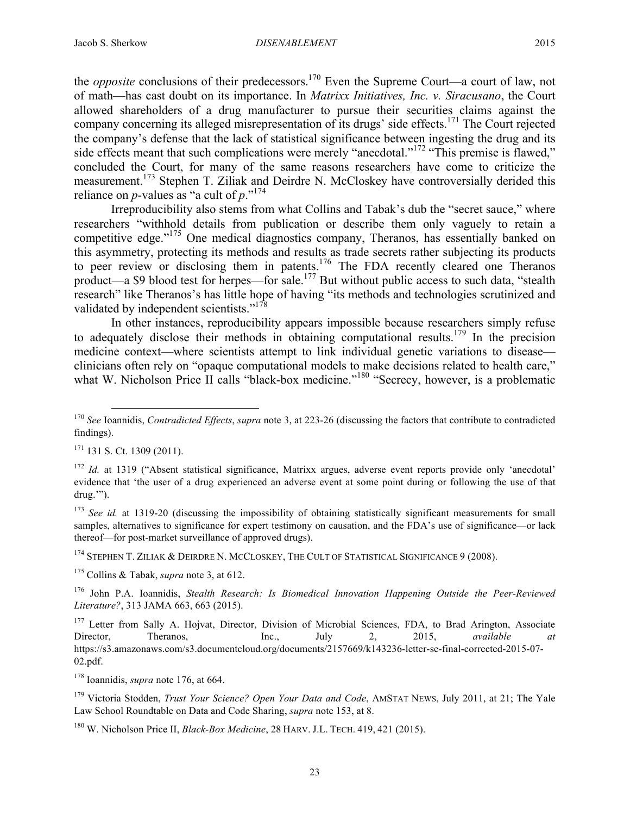the *opposite* conclusions of their predecessors.<sup>170</sup> Even the Supreme Court—a court of law, not of math—has cast doubt on its importance. In *Matrixx Initiatives, Inc. v. Siracusano*, the Court allowed shareholders of a drug manufacturer to pursue their securities claims against the company concerning its alleged misrepresentation of its drugs' side effects.<sup>171</sup> The Court rejected the company's defense that the lack of statistical significance between ingesting the drug and its side effects meant that such complications were merely "anecdotal."<sup>172</sup> "This premise is flawed," concluded the Court, for many of the same reasons researchers have come to criticize the measurement.<sup>173</sup> Stephen T. Ziliak and Deirdre N. McCloskey have controversially derided this reliance on *p*-values as "a cult of *p*."174

Irreproducibility also stems from what Collins and Tabak's dub the "secret sauce," where researchers "withhold details from publication or describe them only vaguely to retain a competitive edge."<sup>175</sup> One medical diagnostics company, Theranos, has essentially banked on this asymmetry, protecting its methods and results as trade secrets rather subjecting its products to peer review or disclosing them in patents.<sup>176</sup> The FDA recently cleared one Theranos product—a \$9 blood test for herpes—for sale.<sup>177</sup> But without public access to such data, "stealth research" like Theranos's has little hope of having "its methods and technologies scrutinized and validated by independent scientists."<sup>178</sup>

In other instances, reproducibility appears impossible because researchers simply refuse to adequately disclose their methods in obtaining computational results.<sup>179</sup> In the precision medicine context—where scientists attempt to link individual genetic variations to disease clinicians often rely on "opaque computational models to make decisions related to health care," what W. Nicholson Price II calls "black-box medicine."<sup>180</sup> "Secrecy, however, is a problematic

 $171$  131 S. Ct. 1309 (2011).

<sup>172</sup> *Id.* at 1319 ("Absent statistical significance, Matrixx argues, adverse event reports provide only 'anecdotal' evidence that 'the user of a drug experienced an adverse event at some point during or following the use of that drug.'").

<sup>173</sup> *See id.* at 1319-20 (discussing the impossibility of obtaining statistically significant measurements for small samples, alternatives to significance for expert testimony on causation, and the FDA's use of significance—or lack thereof—for post-market surveillance of approved drugs).

<sup>174</sup> STEPHEN T. ZILIAK & DEIRDRE N. MCCLOSKEY, THE CULT OF STATISTICAL SIGNIFICANCE 9 (2008).

<sup>175</sup> Collins & Tabak, *supra* note 3, at 612.

<sup>176</sup> John P.A. Ioannidis, *Stealth Research: Is Biomedical Innovation Happening Outside the Peer-Reviewed Literature?*, 313 JAMA 663, 663 (2015).

<sup>177</sup> Letter from Sally A. Hojvat, Director, Division of Microbial Sciences, FDA, to Brad Arington, Associate Director, Theranos, Inc., July 2, 2015, *available at* https://s3.amazonaws.com/s3.documentcloud.org/documents/2157669/k143236-letter-se-final-corrected-2015-07- 02.pdf.

<sup>178</sup> Ioannidis, *supra* note 176, at 664.

<sup>179</sup> Victoria Stodden, *Trust Your Science? Open Your Data and Code*, AMSTAT NEWS, July 2011, at 21; The Yale Law School Roundtable on Data and Code Sharing, *supra* note 153, at 8.

<sup>180</sup> W. Nicholson Price II, *Black-Box Medicine*, 28 HARV. J.L. TECH. 419, 421 (2015).

 <sup>170</sup> *See* Ioannidis, *Contradicted Effects*, *supra* note 3, at 223-26 (discussing the factors that contribute to contradicted findings).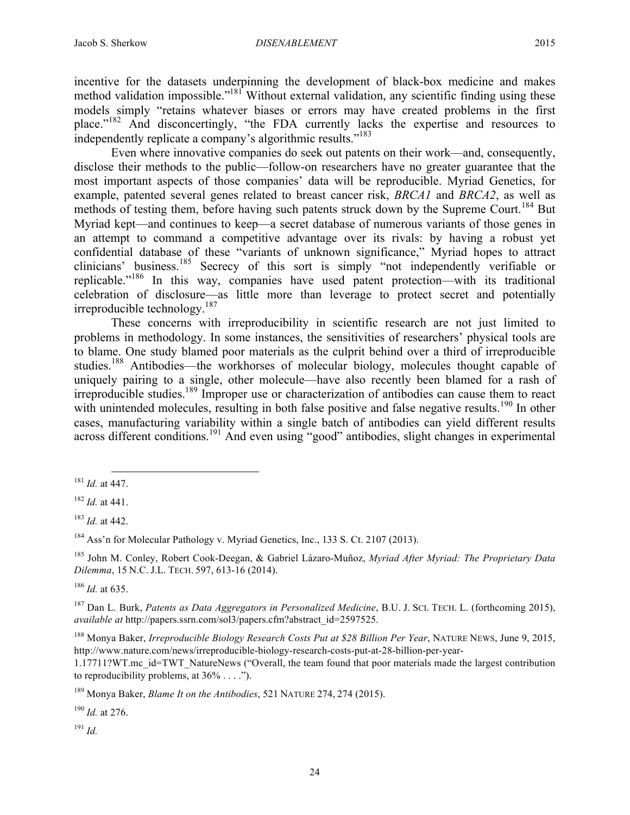incentive for the datasets underpinning the development of black-box medicine and makes method validation impossible."<sup>181</sup> Without external validation, any scientific finding using these models simply "retains whatever biases or errors may have created problems in the first place."<sup>182</sup> And disconcertingly, "the FDA currently lacks the expertise and resources to independently replicate a company's algorithmic results."183

Even where innovative companies do seek out patents on their work—and, consequently, disclose their methods to the public—follow-on researchers have no greater guarantee that the most important aspects of those companies' data will be reproducible. Myriad Genetics, for example, patented several genes related to breast cancer risk, *BRCA1* and *BRCA2*, as well as methods of testing them, before having such patents struck down by the Supreme Court.<sup>184</sup> But Myriad kept—and continues to keep—a secret database of numerous variants of those genes in an attempt to command a competitive advantage over its rivals: by having a robust yet confidential database of these "variants of unknown significance," Myriad hopes to attract clinicians' business.<sup>185</sup> Secrecy of this sort is simply "not independently verifiable or replicable."<sup>186</sup> In this way, companies have used patent protection—with its traditional celebration of disclosure—as little more than leverage to protect secret and potentially irreproducible technology. 187

These concerns with irreproducibility in scientific research are not just limited to problems in methodology. In some instances, the sensitivities of researchers' physical tools are to blame. One study blamed poor materials as the culprit behind over a third of irreproducible studies.<sup>188</sup> Antibodies—the workhorses of molecular biology, molecules thought capable of uniquely pairing to a single, other molecule—have also recently been blamed for a rash of irreproducible studies.189 Improper use or characterization of antibodies can cause them to react with unintended molecules, resulting in both false positive and false negative results.<sup>190</sup> In other cases, manufacturing variability within a single batch of antibodies can yield different results across different conditions.<sup>191</sup> And even using "good" antibodies, slight changes in experimental

<sup>185</sup> John M. Conley, Robert Cook-Deegan, & Gabriel Lázaro-Muñoz, *Myriad After Myriad: The Proprietary Data Dilemma*, 15 N.C. J.L. TECH. 597, 613-16 (2014).

<sup>186</sup> *Id.* at 635.

<sup>187</sup> Dan L. Burk, *Patents as Data Aggregators in Personalized Medicine*, B.U. J. SCI. TECH. L. (forthcoming 2015), *available at* http://papers.ssrn.com/sol3/papers.cfm?abstract\_id=2597525.

<sup>188</sup> Monya Baker, *Irreproducible Biology Research Costs Put at \$28 Billion Per Year*, NATURE NEWS, June 9, 2015, http://www.nature.com/news/irreproducible-biology-research-costs-put-at-28-billion-per-year-

1.17711?WT.mc\_id=TWT\_NatureNews ("Overall, the team found that poor materials made the largest contribution to reproducibility problems, at  $36\% \ldots$ .").

<sup>189</sup> Monya Baker, *Blame It on the Antibodies*, 521 NATURE 274, 274 (2015).

<sup>190</sup> *Id.* at 276.

<sup>191</sup> *Id.*

 <sup>181</sup> *Id.* at 447.

<sup>182</sup> *Id.* at 441.

<sup>183</sup> *Id.* at 442.

<sup>184</sup> Ass'n for Molecular Pathology v. Myriad Genetics, Inc., 133 S. Ct. 2107 (2013).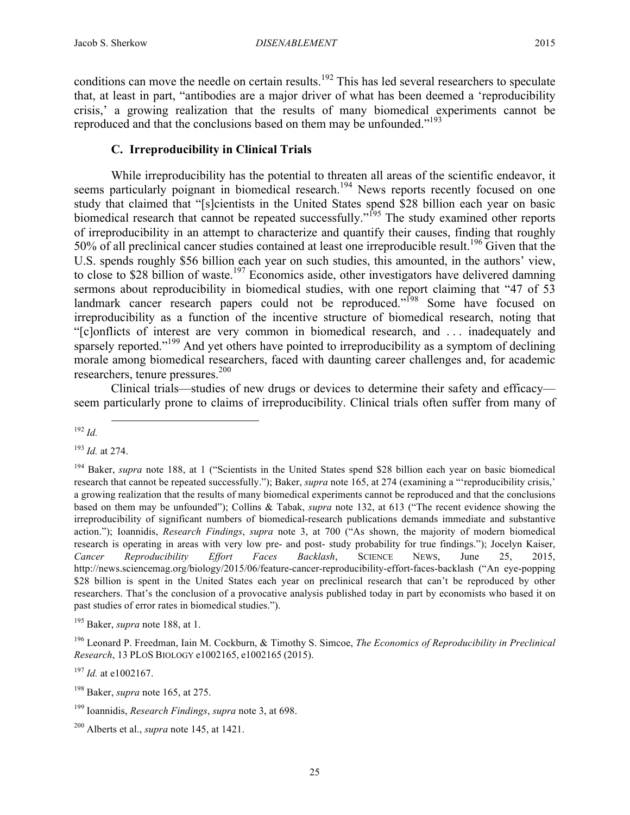conditions can move the needle on certain results.<sup>192</sup> This has led several researchers to speculate that, at least in part, "antibodies are a major driver of what has been deemed a 'reproducibility crisis,' a growing realization that the results of many biomedical experiments cannot be reproduced and that the conclusions based on them may be unfounded."<sup>193</sup>

## **C. Irreproducibility in Clinical Trials**

While irreproducibility has the potential to threaten all areas of the scientific endeavor, it seems particularly poignant in biomedical research.<sup>194</sup> News reports recently focused on one study that claimed that "[s]cientists in the United States spend \$28 billion each year on basic biomedical research that cannot be repeated successfully."<sup>195</sup> The study examined other reports of irreproducibility in an attempt to characterize and quantify their causes, finding that roughly 50% of all preclinical cancer studies contained at least one irreproducible result.<sup>196</sup> Given that the U.S. spends roughly \$56 billion each year on such studies, this amounted, in the authors' view, to close to \$28 billion of waste.<sup>197</sup> Economics aside, other investigators have delivered damning sermons about reproducibility in biomedical studies, with one report claiming that "47 of 53 landmark cancer research papers could not be reproduced."<sup>198</sup> Some have focused on irreproducibility as a function of the incentive structure of biomedical research, noting that "[c]onflicts of interest are very common in biomedical research, and . . . inadequately and sparsely reported."<sup>199</sup> And yet others have pointed to irreproducibility as a symptom of declining morale among biomedical researchers, faced with daunting career challenges and, for academic researchers, tenure pressures.<sup>200</sup>

Clinical trials—studies of new drugs or devices to determine their safety and efficacy seem particularly prone to claims of irreproducibility. Clinical trials often suffer from many of

<sup>193</sup> *Id.* at 274.

<sup>195</sup> Baker, *supra* note 188, at 1.

<sup>197</sup> *Id.* at e1002167.

 <sup>192</sup> *Id.*

<sup>194</sup> Baker, *supra* note 188, at 1 ("Scientists in the United States spend \$28 billion each year on basic biomedical research that cannot be repeated successfully."); Baker, *supra* note 165, at 274 (examining a "'reproducibility crisis,' a growing realization that the results of many biomedical experiments cannot be reproduced and that the conclusions based on them may be unfounded"); Collins & Tabak, *supra* note 132, at 613 ("The recent evidence showing the irreproducibility of significant numbers of biomedical-research publications demands immediate and substantive action."); Ioannidis, *Research Findings*, *supra* note 3, at 700 ("As shown, the majority of modern biomedical research is operating in areas with very low pre- and post- study probability for true findings."); Jocelyn Kaiser, *Cancer Reproducibility Effort Faces Backlash*, SCIENCE NEWS, June 25, 2015, http://news.sciencemag.org/biology/2015/06/feature-cancer-reproducibility-effort-faces-backlash ("An eye-popping \$28 billion is spent in the United States each year on preclinical research that can't be reproduced by other researchers. That's the conclusion of a provocative analysis published today in part by economists who based it on past studies of error rates in biomedical studies.").

<sup>196</sup> Leonard P. Freedman, Iain M. Cockburn, & Timothy S. Simcoe, *The Economics of Reproducibility in Preclinical Research*, 13 PLOS BIOLOGY e1002165, e1002165 (2015).

<sup>198</sup> Baker, *supra* note 165, at 275.

<sup>199</sup> Ioannidis, *Research Findings*, *supra* note 3, at 698.

<sup>200</sup> Alberts et al., *supra* note 145, at 1421.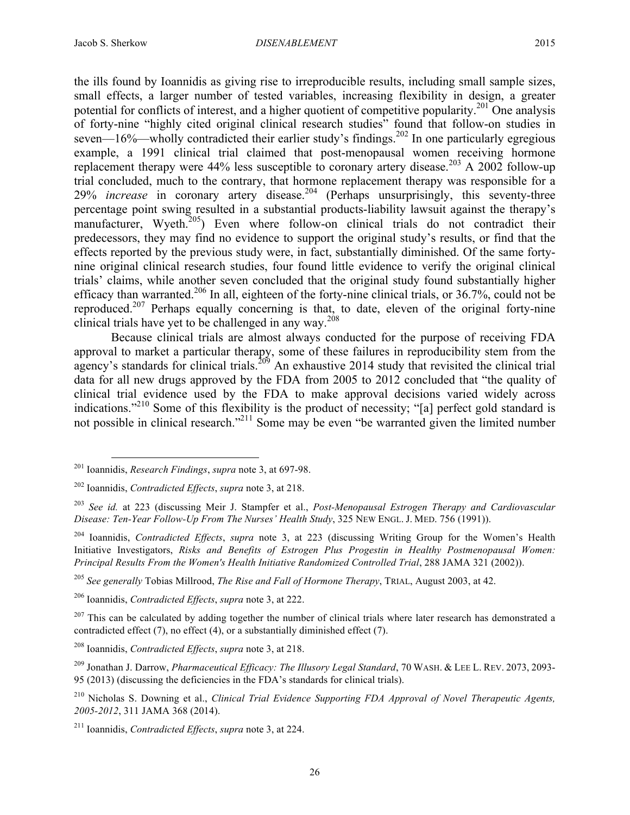the ills found by Ioannidis as giving rise to irreproducible results, including small sample sizes, small effects, a larger number of tested variables, increasing flexibility in design, a greater potential for conflicts of interest, and a higher quotient of competitive popularity.<sup>201</sup> One analysis of forty-nine "highly cited original clinical research studies" found that follow-on studies in seven— $16\%$ —wholly contradicted their earlier study's findings.<sup>202</sup> In one particularly egregious example, a 1991 clinical trial claimed that post-menopausal women receiving hormone replacement therapy were  $44\%$  less susceptible to coronary artery disease.<sup>203</sup> A 2002 follow-up trial concluded, much to the contrary, that hormone replacement therapy was responsible for a 29% *increase* in coronary artery disease.<sup>204</sup> (Perhaps unsurprisingly, this seventy-three percentage point swing resulted in a substantial products-liability lawsuit against the therapy's manufacturer, Wyeth.<sup>205</sup>) Even where follow-on clinical trials do not contradict their predecessors, they may find no evidence to support the original study's results, or find that the effects reported by the previous study were, in fact, substantially diminished. Of the same fortynine original clinical research studies, four found little evidence to verify the original clinical trials' claims, while another seven concluded that the original study found substantially higher efficacy than warranted.206 In all, eighteen of the forty-nine clinical trials, or 36.7%, could not be reproduced.<sup>207</sup> Perhaps equally concerning is that, to date, eleven of the original forty-nine clinical trials have yet to be challenged in any way.<sup>208</sup>

Because clinical trials are almost always conducted for the purpose of receiving FDA approval to market a particular therapy, some of these failures in reproducibility stem from the agency's standards for clinical trials.<sup>209</sup> An exhaustive 2014 study that revisited the clinical trial data for all new drugs approved by the FDA from 2005 to 2012 concluded that "the quality of clinical trial evidence used by the FDA to make approval decisions varied widely across indications."210 Some of this flexibility is the product of necessity; "[a] perfect gold standard is not possible in clinical research."<sup>211</sup> Some may be even "be warranted given the limited number

 <sup>201</sup> Ioannidis, *Research Findings*, *supra* note 3, at 697-98.

<sup>202</sup> Ioannidis, *Contradicted Effects*, *supra* note 3, at 218.

<sup>203</sup> *See id.* at 223 (discussing Meir J. Stampfer et al., *Post-Menopausal Estrogen Therapy and Cardiovascular Disease: Ten-Year Follow-Up From The Nurses' Health Study*, 325 NEW ENGL. J. MED. 756 (1991)).

<sup>204</sup> Ioannidis, *Contradicted Effects*, *supra* note 3, at 223 (discussing Writing Group for the Women's Health Initiative Investigators, *Risks and Benefits of Estrogen Plus Progestin in Healthy Postmenopausal Women: Principal Results From the Women's Health Initiative Randomized Controlled Trial*, 288 JAMA 321 (2002)).

<sup>205</sup> *See generally* Tobias Millrood, *The Rise and Fall of Hormone Therapy*, TRIAL, August 2003, at 42.

<sup>206</sup> Ioannidis, *Contradicted Effects*, *supra* note 3, at 222.

 $207$  This can be calculated by adding together the number of clinical trials where later research has demonstrated a contradicted effect (7), no effect (4), or a substantially diminished effect (7).

<sup>208</sup> Ioannidis, *Contradicted Effects*, *supra* note 3, at 218.

<sup>209</sup> Jonathan J. Darrow, *Pharmaceutical Efficacy: The Illusory Legal Standard*, 70 WASH. & LEE L. REV. 2073, 2093- 95 (2013) (discussing the deficiencies in the FDA's standards for clinical trials).

<sup>210</sup> Nicholas S. Downing et al., *Clinical Trial Evidence Supporting FDA Approval of Novel Therapeutic Agents, 2005-2012*, 311 JAMA 368 (2014).

<sup>211</sup> Ioannidis, *Contradicted Effects*, *supra* note 3, at 224.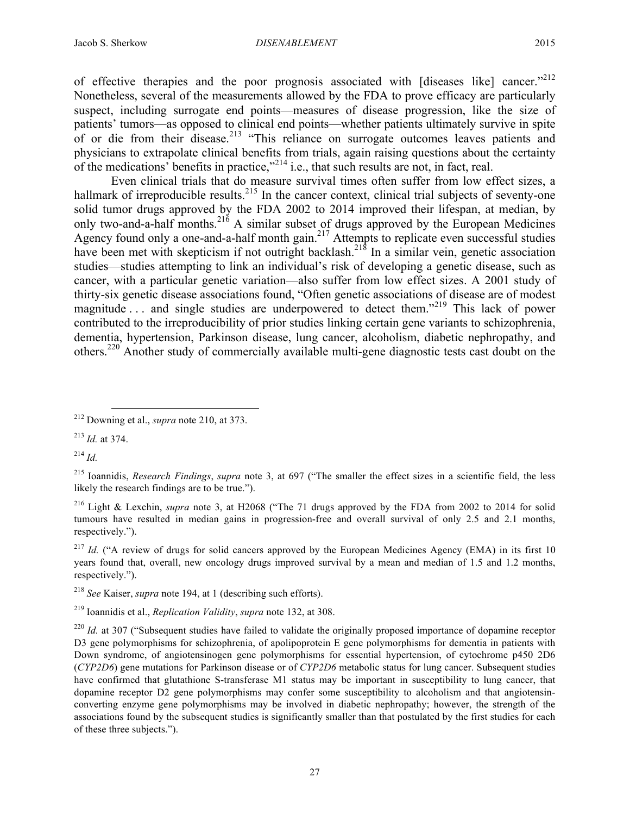of effective therapies and the poor prognosis associated with [diseases like] cancer."<sup>212</sup> Nonetheless, several of the measurements allowed by the FDA to prove efficacy are particularly suspect, including surrogate end points—measures of disease progression, like the size of patients' tumors—as opposed to clinical end points—whether patients ultimately survive in spite of or die from their disease.<sup>213</sup> "This reliance on surrogate outcomes leaves patients and physicians to extrapolate clinical benefits from trials, again raising questions about the certainty of the medications' benefits in practice,"<sup>214</sup> i.e., that such results are not, in fact, real.

Even clinical trials that do measure survival times often suffer from low effect sizes, a hallmark of irreproducible results.<sup>215</sup> In the cancer context, clinical trial subjects of seventy-one solid tumor drugs approved by the FDA 2002 to 2014 improved their lifespan, at median, by only two-and-a-half months.<sup>216</sup> A similar subset of drugs approved by the European Medicines Agency found only a one-and-a-half month gain.<sup>217</sup> Attempts to replicate even successful studies have been met with skepticism if not outright backlash.<sup>218</sup> In a similar vein, genetic association studies—studies attempting to link an individual's risk of developing a genetic disease, such as cancer, with a particular genetic variation—also suffer from low effect sizes. A 2001 study of thirty-six genetic disease associations found, "Often genetic associations of disease are of modest magnitude ... and single studies are underpowered to detect them."<sup>219</sup> This lack of power contributed to the irreproducibility of prior studies linking certain gene variants to schizophrenia, dementia, hypertension, Parkinson disease, lung cancer, alcoholism, diabetic nephropathy, and others.<sup>220</sup> Another study of commercially available multi-gene diagnostic tests cast doubt on the

<sup>214</sup> *Id.*

<sup>216</sup> Light & Lexchin, *supra* note 3, at H2068 ("The 71 drugs approved by the FDA from 2002 to 2014 for solid tumours have resulted in median gains in progression-free and overall survival of only 2.5 and 2.1 months, respectively.").

<sup>217</sup> *Id.* ("A review of drugs for solid cancers approved by the European Medicines Agency (EMA) in its first 10 years found that, overall, new oncology drugs improved survival by a mean and median of 1.5 and 1.2 months, respectively.").

<sup>218</sup> *See* Kaiser, *supra* note 194, at 1 (describing such efforts).

 <sup>212</sup> Downing et al., *supra* note 210, at 373.

<sup>213</sup> *Id.* at 374.

<sup>215</sup> Ioannidis, *Research Findings*, *supra* note 3, at 697 ("The smaller the effect sizes in a scientific field, the less likely the research findings are to be true.").

<sup>219</sup> Ioannidis et al., *Replication Validity*, *supra* note 132, at 308.

<sup>&</sup>lt;sup>220</sup> *Id.* at 307 ("Subsequent studies have failed to validate the originally proposed importance of dopamine receptor D3 gene polymorphisms for schizophrenia, of apolipoprotein E gene polymorphisms for dementia in patients with Down syndrome, of angiotensinogen gene polymorphisms for essential hypertension, of cytochrome p450 2D6 (*CYP2D6*) gene mutations for Parkinson disease or of *CYP2D6* metabolic status for lung cancer. Subsequent studies have confirmed that glutathione S-transferase M1 status may be important in susceptibility to lung cancer, that dopamine receptor D2 gene polymorphisms may confer some susceptibility to alcoholism and that angiotensinconverting enzyme gene polymorphisms may be involved in diabetic nephropathy; however, the strength of the associations found by the subsequent studies is significantly smaller than that postulated by the first studies for each of these three subjects.").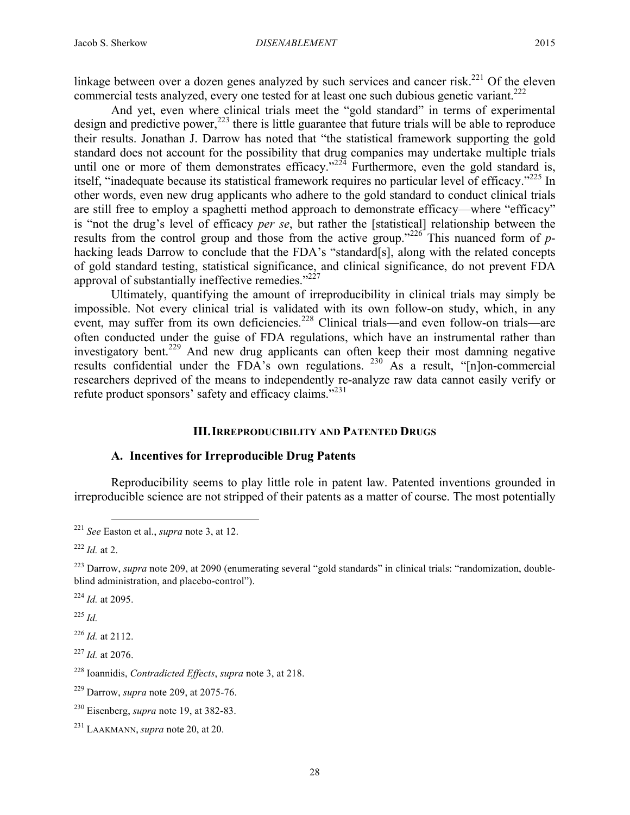linkage between over a dozen genes analyzed by such services and cancer risk.<sup>221</sup> Of the eleven commercial tests analyzed, every one tested for at least one such dubious genetic variant.<sup>222</sup>

And yet, even where clinical trials meet the "gold standard" in terms of experimental design and predictive power, $^{223}$  there is little guarantee that future trials will be able to reproduce their results. Jonathan J. Darrow has noted that "the statistical framework supporting the gold standard does not account for the possibility that drug companies may undertake multiple trials until one or more of them demonstrates efficacy."<sup>224</sup> Furthermore, even the gold standard is, itself, "inadequate because its statistical framework requires no particular level of efficacy."<sup>225</sup> In other words, even new drug applicants who adhere to the gold standard to conduct clinical trials are still free to employ a spaghetti method approach to demonstrate efficacy—where "efficacy" is "not the drug's level of efficacy *per se*, but rather the [statistical] relationship between the results from the control group and those from the active group."<sup>226</sup> This nuanced form of phacking leads Darrow to conclude that the FDA's "standard[s], along with the related concepts of gold standard testing, statistical significance, and clinical significance, do not prevent FDA approval of substantially ineffective remedies."<sup>227</sup>

Ultimately, quantifying the amount of irreproducibility in clinical trials may simply be impossible. Not every clinical trial is validated with its own follow-on study, which, in any event, may suffer from its own deficiencies.<sup>228</sup> Clinical trials—and even follow-on trials—are often conducted under the guise of FDA regulations, which have an instrumental rather than investigatory bent.<sup>229</sup> And new drug applicants can often keep their most damning negative results confidential under the FDA's own regulations. <sup>230</sup> As a result, "[n]on-commercial researchers deprived of the means to independently re-analyze raw data cannot easily verify or refute product sponsors' safety and efficacy claims.<sup>5231</sup>

## **III.IRREPRODUCIBILITY AND PATENTED DRUGS**

## **A. Incentives for Irreproducible Drug Patents**

Reproducibility seems to play little role in patent law. Patented inventions grounded in irreproducible science are not stripped of their patents as a matter of course. The most potentially

<sup>224</sup> *Id.* at 2095.

<sup>225</sup> *Id.*

<sup>226</sup> *Id.* at 2112.

<sup>227</sup> *Id.* at 2076.

 <sup>221</sup> *See* Easton et al., *supra* note 3, at 12.

 $^{222}$  *Id.* at 2.

<sup>&</sup>lt;sup>223</sup> Darrow, *supra* note 209, at 2090 (enumerating several "gold standards" in clinical trials: "randomization, doubleblind administration, and placebo-control").

<sup>228</sup> Ioannidis, *Contradicted Effects*, *supra* note 3, at 218.

<sup>229</sup> Darrow, *supra* note 209, at 2075-76.

<sup>230</sup> Eisenberg, *supra* note 19, at 382-83.

<sup>231</sup> LAAKMANN, *supra* note 20, at 20.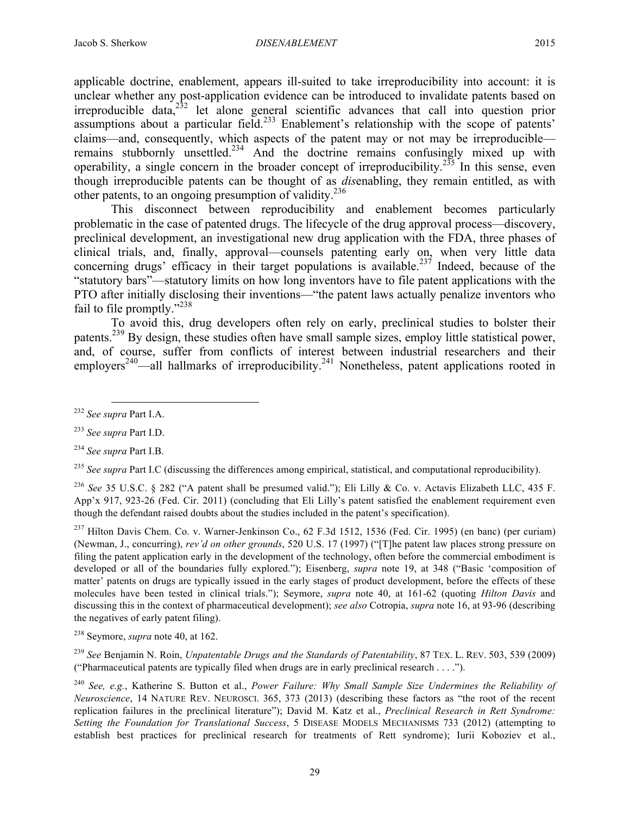applicable doctrine, enablement, appears ill-suited to take irreproducibility into account: it is unclear whether any post-application evidence can be introduced to invalidate patents based on irreproducible data,  $232$  let alone general scientific advances that call into question prior assumptions about a particular field.<sup>233</sup> Enablement's relationship with the scope of patents' claims—and, consequently, which aspects of the patent may or not may be irreproducible remains stubbornly unsettled.<sup>234</sup> And the doctrine remains confusingly mixed up with operability, a single concern in the broader concept of irreproducibility.<sup>235</sup> In this sense, even though irreproducible patents can be thought of as *dis*enabling, they remain entitled, as with other patents, to an ongoing presumption of validity.<sup>236</sup>

This disconnect between reproducibility and enablement becomes particularly problematic in the case of patented drugs. The lifecycle of the drug approval process—discovery, preclinical development, an investigational new drug application with the FDA, three phases of clinical trials, and, finally, approval—counsels patenting early on, when very little data concerning drugs' efficacy in their target populations is available.<sup>237</sup> Indeed, because of the "statutory bars"—statutory limits on how long inventors have to file patent applications with the PTO after initially disclosing their inventions—"the patent laws actually penalize inventors who fail to file promptly."<sup>238</sup>

To avoid this, drug developers often rely on early, preclinical studies to bolster their patents.<sup>239</sup> By design, these studies often have small sample sizes, employ little statistical power, and, of course, suffer from conflicts of interest between industrial researchers and their employers<sup>240</sup>—all hallmarks of irreproducibility.<sup>241</sup> Nonetheless, patent applications rooted in

 <sup>232</sup> *See supra* Part I.A.

<sup>233</sup> *See supra* Part I.D.

<sup>234</sup> *See supra* Part I.B.

<sup>&</sup>lt;sup>235</sup> See supra Part I.C (discussing the differences among empirical, statistical, and computational reproducibility).

<sup>236</sup> *See* 35 U.S.C. § 282 ("A patent shall be presumed valid."); Eli Lilly & Co. v. Actavis Elizabeth LLC, 435 F. App'x 917, 923-26 (Fed. Cir. 2011) (concluding that Eli Lilly's patent satisfied the enablement requirement even though the defendant raised doubts about the studies included in the patent's specification).

<sup>237</sup> Hilton Davis Chem. Co. v. Warner-Jenkinson Co., 62 F.3d 1512, 1536 (Fed. Cir. 1995) (en banc) (per curiam) (Newman, J., concurring), *rev'd on other grounds*, 520 U.S. 17 (1997) ("[T]he patent law places strong pressure on filing the patent application early in the development of the technology, often before the commercial embodiment is developed or all of the boundaries fully explored."); Eisenberg, *supra* note 19, at 348 ("Basic 'composition of matter' patents on drugs are typically issued in the early stages of product development, before the effects of these molecules have been tested in clinical trials."); Seymore, *supra* note 40, at 161-62 (quoting *Hilton Davis* and discussing this in the context of pharmaceutical development); *see also* Cotropia, *supra* note 16, at 93-96 (describing the negatives of early patent filing).

<sup>238</sup> Seymore, *supra* note 40, at 162.

<sup>239</sup> *See* Benjamin N. Roin, *Unpatentable Drugs and the Standards of Patentability*, 87 TEX. L. REV. 503, 539 (2009) ("Pharmaceutical patents are typically filed when drugs are in early preclinical research . . . .").

<sup>240</sup> *See, e.g.*, Katherine S. Button et al., *Power Failure: Why Small Sample Size Undermines the Reliability of Neuroscience*, 14 NATURE REV. NEUROSCI. 365, 373 (2013) (describing these factors as "the root of the recent replication failures in the preclinical literature"); David M. Katz et al., *Preclinical Research in Rett Syndrome: Setting the Foundation for Translational Success*, 5 DISEASE MODELS MECHANISMS 733 (2012) (attempting to establish best practices for preclinical research for treatments of Rett syndrome); Iurii Koboziev et al.,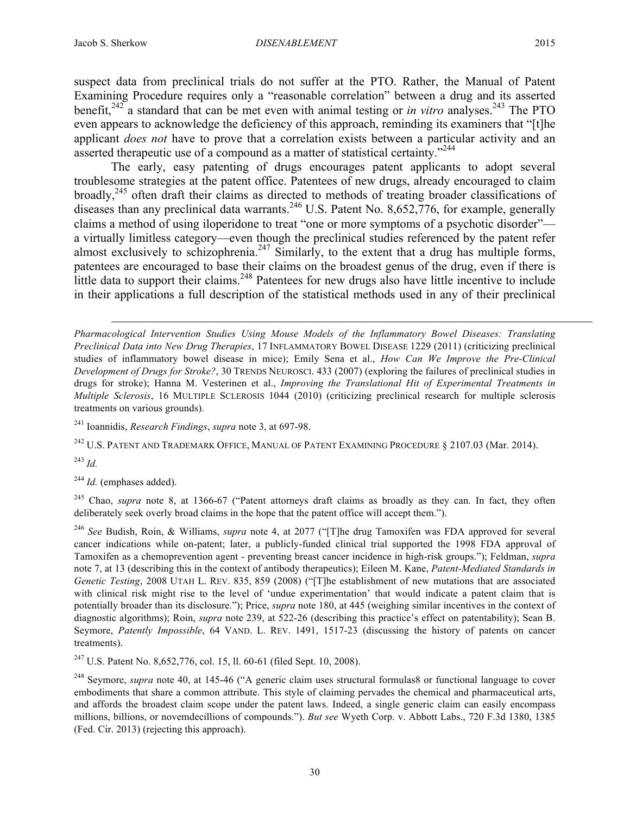suspect data from preclinical trials do not suffer at the PTO. Rather, the Manual of Patent Examining Procedure requires only a "reasonable correlation" between a drug and its asserted benefit, $242$ <sup>2</sup> a standard that can be met even with animal testing or *in vitro* analyses.<sup>243</sup> The PTO even appears to acknowledge the deficiency of this approach, reminding its examiners that "[t]he applicant *does not* have to prove that a correlation exists between a particular activity and an asserted therapeutic use of a compound as a matter of statistical certainty."<sup>244</sup>

The early, easy patenting of drugs encourages patent applicants to adopt several troublesome strategies at the patent office. Patentees of new drugs, already encouraged to claim broadly,<sup>245</sup> often draft their claims as directed to methods of treating broader classifications of diseases than any preclinical data warrants.<sup>246</sup> U.S. Patent No. 8,652,776, for example, generally claims a method of using iloperidone to treat "one or more symptoms of a psychotic disorder" a virtually limitless category—even though the preclinical studies referenced by the patent refer almost exclusively to schizophrenia.<sup>247</sup> Similarly, to the extent that a drug has multiple forms, patentees are encouraged to base their claims on the broadest genus of the drug, even if there is little data to support their claims.<sup>248</sup> Patentees for new drugs also have little incentive to include in their applications a full description of the statistical methods used in any of their preclinical

<sup>241</sup> Ioannidis, *Research Findings*, *supra* note 3, at 697-98.

<sup>242</sup> U.S. PATENT AND TRADEMARK OFFICE, MANUAL OF PATENT EXAMINING PROCEDURE § 2107.03 (Mar. 2014).

<sup>243</sup> *Id.*

<sup>244</sup> *Id.* (emphases added).

 $\overline{a}$ 

<sup>245</sup> Chao, *supra* note 8, at 1366-67 ("Patent attorneys draft claims as broadly as they can. In fact, they often deliberately seek overly broad claims in the hope that the patent office will accept them.").

<sup>246</sup> *See* Budish, Roin, & Williams, *supra* note 4, at 2077 ("[T]he drug Tamoxifen was FDA approved for several cancer indications while on-patent; later, a publicly-funded clinical trial supported the 1998 FDA approval of Tamoxifen as a chemoprevention agent - preventing breast cancer incidence in high-risk groups."); Feldman, *supra* note 7, at 13 (describing this in the context of antibody therapeutics); Eileen M. Kane, *Patent-Mediated Standards in Genetic Testing*, 2008 UTAH L. REV. 835, 859 (2008) ("[T]he establishment of new mutations that are associated with clinical risk might rise to the level of 'undue experimentation' that would indicate a patent claim that is potentially broader than its disclosure."); Price, *supra* note 180, at 445 (weighing similar incentives in the context of diagnostic algorithms); Roin, *supra* note 239, at 522-26 (describing this practice's effect on patentability); Sean B. Seymore, *Patently Impossible*, 64 VAND. L. REV. 1491, 1517-23 (discussing the history of patents on cancer treatments).

<sup>247</sup> U.S. Patent No. 8,652,776, col. 15, ll. 60-61 (filed Sept. 10, 2008).

<sup>248</sup> Seymore, *supra* note 40, at 145-46 ("A generic claim uses structural formulas8 or functional language to cover embodiments that share a common attribute. This style of claiming pervades the chemical and pharmaceutical arts, and affords the broadest claim scope under the patent laws. Indeed, a single generic claim can easily encompass millions, billions, or novemdecillions of compounds."). *But see* Wyeth Corp. v. Abbott Labs., 720 F.3d 1380, 1385 (Fed. Cir. 2013) (rejecting this approach).

*Pharmacological Intervention Studies Using Mouse Models of the Inflammatory Bowel Diseases: Translating Preclinical Data into New Drug Therapies*, 17 INFLAMMATORY BOWEL DISEASE 1229 (2011) (criticizing preclinical studies of inflammatory bowel disease in mice); Emily Sena et al., *How Can We Improve the Pre-Clinical Development of Drugs for Stroke?*, 30 TRENDS NEUROSCI. 433 (2007) (exploring the failures of preclinical studies in drugs for stroke); Hanna M. Vesterinen et al., *Improving the Translational Hit of Experimental Treatments in Multiple Sclerosis*, 16 MULTIPLE SCLEROSIS 1044 (2010) (criticizing preclinical research for multiple sclerosis treatments on various grounds).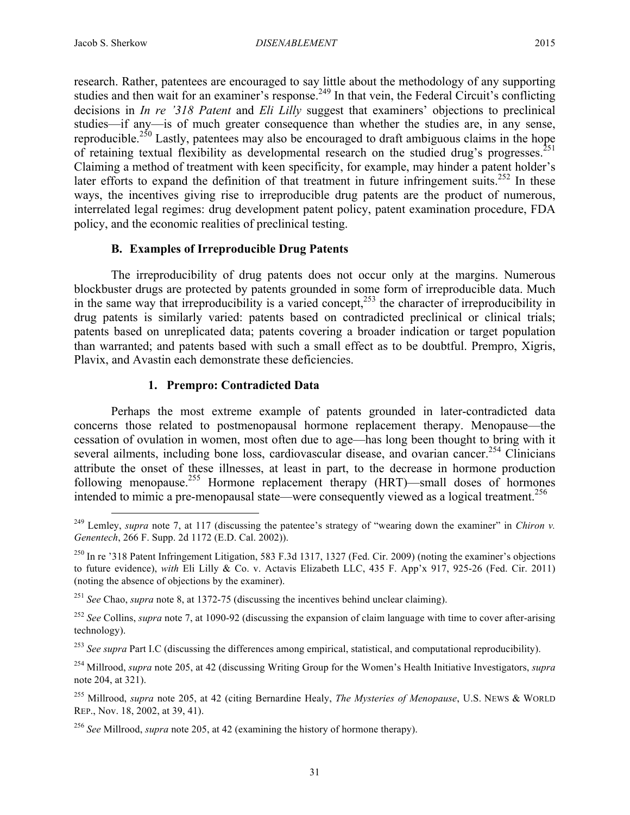research. Rather, patentees are encouraged to say little about the methodology of any supporting studies and then wait for an examiner's response.<sup>249</sup> In that vein, the Federal Circuit's conflicting decisions in *In re '318 Patent* and *Eli Lilly* suggest that examiners' objections to preclinical studies—if any—is of much greater consequence than whether the studies are, in any sense, reproducible.<sup>250</sup> Lastly, patentees may also be encouraged to draft ambiguous claims in the hope of retaining textual flexibility as developmental research on the studied drug's progresses.<sup>251</sup> Claiming a method of treatment with keen specificity, for example, may hinder a patent holder's later efforts to expand the definition of that treatment in future infringement suits.<sup>252</sup> In these ways, the incentives giving rise to irreproducible drug patents are the product of numerous, interrelated legal regimes: drug development patent policy, patent examination procedure, FDA policy, and the economic realities of preclinical testing.

## **B. Examples of Irreproducible Drug Patents**

The irreproducibility of drug patents does not occur only at the margins. Numerous blockbuster drugs are protected by patents grounded in some form of irreproducible data. Much in the same way that irreproducibility is a varied concept,  $253$  the character of irreproducibility in drug patents is similarly varied: patents based on contradicted preclinical or clinical trials; patents based on unreplicated data; patents covering a broader indication or target population than warranted; and patents based with such a small effect as to be doubtful. Prempro, Xigris, Plavix, and Avastin each demonstrate these deficiencies.

## **1. Prempro: Contradicted Data**

Perhaps the most extreme example of patents grounded in later-contradicted data concerns those related to postmenopausal hormone replacement therapy. Menopause—the cessation of ovulation in women, most often due to age—has long been thought to bring with it several ailments, including bone loss, cardiovascular disease, and ovarian cancer.<sup>254</sup> Clinicians attribute the onset of these illnesses, at least in part, to the decrease in hormone production following menopause.255 Hormone replacement therapy (HRT)—small doses of hormones intended to mimic a pre-menopausal state—were consequently viewed as a logical treatment.<sup>256</sup>

<sup>&</sup>lt;sup>249</sup> Lemley, *supra* note 7, at 117 (discussing the patentee's strategy of "wearing down the examiner" in *Chiron v. Genentech*, 266 F. Supp. 2d 1172 (E.D. Cal. 2002)).

 $^{250}$  In re '318 Patent Infringement Litigation, 583 F.3d 1317, 1327 (Fed. Cir. 2009) (noting the examiner's objections to future evidence), *with* Eli Lilly & Co. v. Actavis Elizabeth LLC, 435 F. App'x 917, 925-26 (Fed. Cir. 2011) (noting the absence of objections by the examiner).

<sup>251</sup> *See* Chao, *supra* note 8, at 1372-75 (discussing the incentives behind unclear claiming).

<sup>&</sup>lt;sup>252</sup> See Collins, *supra* note 7, at 1090-92 (discussing the expansion of claim language with time to cover after-arising technology).

<sup>253</sup> *See supra* Part I.C (discussing the differences among empirical, statistical, and computational reproducibility).

<sup>254</sup> Millrood, *supra* note 205, at 42 (discussing Writing Group for the Women's Health Initiative Investigators, *supra* note 204, at 321).

<sup>255</sup> Millrood, *supra* note 205, at 42 (citing Bernardine Healy, *The Mysteries of Menopause*, U.S. NEWS & WORLD REP., Nov. 18, 2002, at 39, 41).

<sup>256</sup> *See* Millrood, *supra* note 205, at 42 (examining the history of hormone therapy).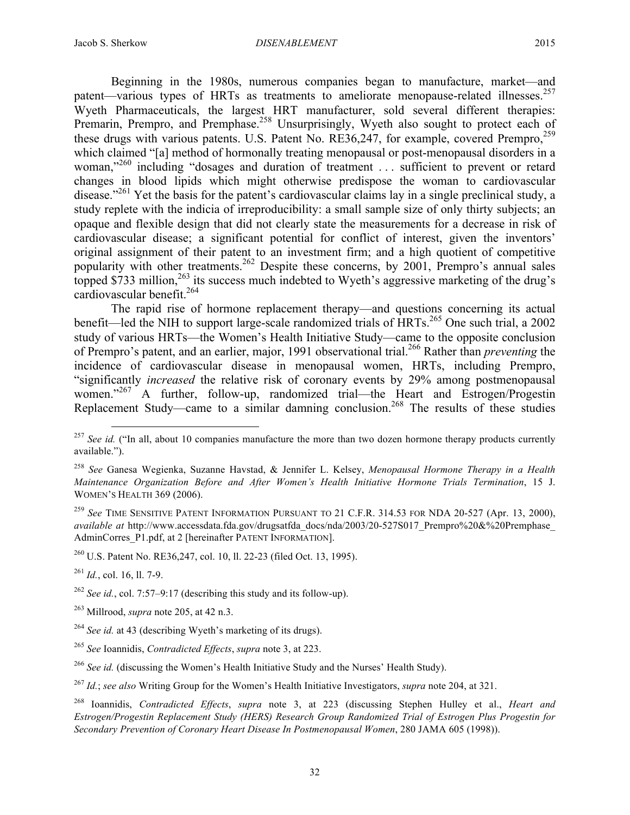Beginning in the 1980s, numerous companies began to manufacture, market—and patent—various types of HRTs as treatments to ameliorate menopause-related illnesses.<sup>257</sup> Wyeth Pharmaceuticals, the largest HRT manufacturer, sold several different therapies: Premarin, Prempro, and Premphase.<sup>258</sup> Unsurprisingly, Wyeth also sought to protect each of these drugs with various patents. U.S. Patent No. RE36,247, for example, covered Prempro,<sup>259</sup> which claimed "[a] method of hormonally treating menopausal or post-menopausal disorders in a woman,"<sup>260</sup> including "dosages and duration of treatment ... sufficient to prevent or retard changes in blood lipids which might otherwise predispose the woman to cardiovascular disease."<sup>261</sup> Yet the basis for the patent's cardiovascular claims lay in a single preclinical study, a study replete with the indicia of irreproducibility: a small sample size of only thirty subjects; an opaque and flexible design that did not clearly state the measurements for a decrease in risk of cardiovascular disease; a significant potential for conflict of interest, given the inventors' original assignment of their patent to an investment firm; and a high quotient of competitive popularity with other treatments.<sup>262</sup> Despite these concerns, by 2001, Prempro's annual sales topped \$733 million,  $263$  its success much indebted to Wyeth's aggressive marketing of the drug's cardiovascular benefit. $264$ 

The rapid rise of hormone replacement therapy—and questions concerning its actual benefit—led the NIH to support large-scale randomized trials of HRTs.<sup>265</sup> One such trial, a 2002 study of various HRTs—the Women's Health Initiative Study—came to the opposite conclusion of Prempro's patent, and an earlier, major, 1991 observational trial. <sup>266</sup> Rather than *preventing* the incidence of cardiovascular disease in menopausal women, HRTs, including Prempro, "significantly *increased* the relative risk of coronary events by 29% among postmenopausal women."<sup>267</sup> A further, follow-up, randomized trial—the Heart and Estrogen/Progestin Replacement Study—came to a similar damning conclusion.<sup>268</sup> The results of these studies

- <sup>261</sup> *Id.*, col. 16, ll. 7-9.
- <sup>262</sup> *See id.*, col. 7:57–9:17 (describing this study and its follow-up).
- <sup>263</sup> Millrood, *supra* note 205, at 42 n.3.

<sup>&</sup>lt;sup>257</sup> *See id.* ("In all, about 10 companies manufacture the more than two dozen hormone therapy products currently available.").

<sup>258</sup> *See* Ganesa Wegienka, Suzanne Havstad, & Jennifer L. Kelsey, *Menopausal Hormone Therapy in a Health Maintenance Organization Before and After Women's Health Initiative Hormone Trials Termination*, 15 J. WOMEN'S HEALTH 369 (2006).

<sup>259</sup> *See* TIME SENSITIVE PATENT INFORMATION PURSUANT TO 21 C.F.R. 314.53 FOR NDA 20-527 (Apr. 13, 2000), *available at* http://www.accessdata.fda.gov/drugsatfda\_docs/nda/2003/20-527S017\_Prempro%20&%20Premphase\_ AdminCorres P1.pdf, at 2 [hereinafter PATENT INFORMATION].

<sup>260</sup> U.S. Patent No. RE36,247, col. 10, ll. 22-23 (filed Oct. 13, 1995).

<sup>264</sup> *See id.* at 43 (describing Wyeth's marketing of its drugs).

<sup>265</sup> *See* Ioannidis, *Contradicted Effects*, *supra* note 3, at 223.

<sup>266</sup> *See id.* (discussing the Women's Health Initiative Study and the Nurses' Health Study).

<sup>267</sup> *Id.*; *see also* Writing Group for the Women's Health Initiative Investigators, *supra* note 204, at 321.

<sup>268</sup> Ioannidis, *Contradicted Effects*, *supra* note 3, at 223 (discussing Stephen Hulley et al., *Heart and Estrogen/Progestin Replacement Study (HERS) Research Group Randomized Trial of Estrogen Plus Progestin for Secondary Prevention of Coronary Heart Disease In Postmenopausal Women*, 280 JAMA 605 (1998)).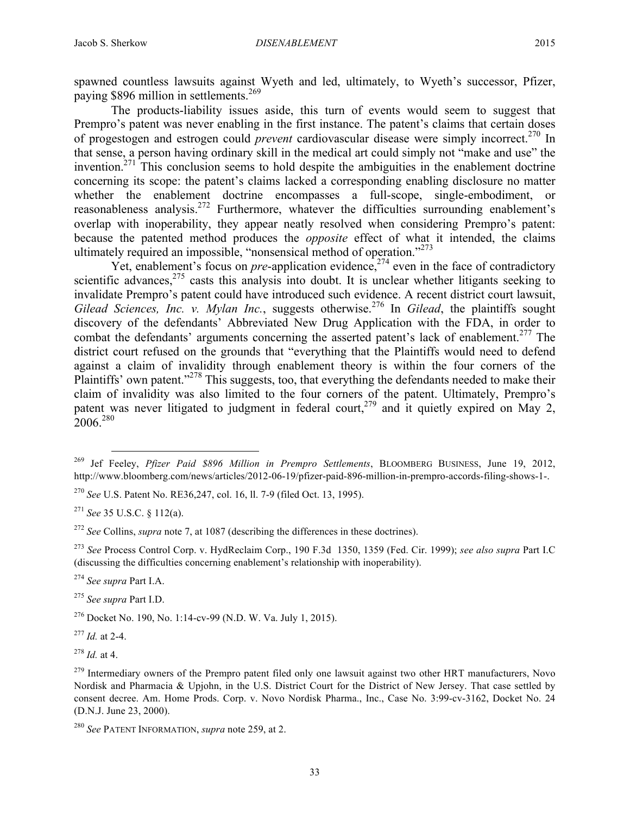spawned countless lawsuits against Wyeth and led, ultimately, to Wyeth's successor, Pfizer, paying \$896 million in settlements.<sup>269</sup>

The products-liability issues aside, this turn of events would seem to suggest that Prempro's patent was never enabling in the first instance. The patent's claims that certain doses of progestogen and estrogen could *prevent* cardiovascular disease were simply incorrect.270 In that sense, a person having ordinary skill in the medical art could simply not "make and use" the invention.<sup>271</sup> This conclusion seems to hold despite the ambiguities in the enablement doctrine concerning its scope: the patent's claims lacked a corresponding enabling disclosure no matter whether the enablement doctrine encompasses a full-scope, single-embodiment, or reasonableness analysis.<sup>272</sup> Furthermore, whatever the difficulties surrounding enablement's overlap with inoperability, they appear neatly resolved when considering Prempro's patent: because the patented method produces the *opposite* effect of what it intended, the claims ultimately required an impossible, "nonsensical method of operation."<sup>273</sup>

Yet, enablement's focus on *pre*-application evidence,<sup>274</sup> even in the face of contradictory scientific advances,  $275$  casts this analysis into doubt. It is unclear whether litigants seeking to invalidate Prempro's patent could have introduced such evidence. A recent district court lawsuit, *Gilead Sciences, Inc. v. Mylan Inc.*, suggests otherwise. <sup>276</sup> In *Gilead*, the plaintiffs sought discovery of the defendants' Abbreviated New Drug Application with the FDA, in order to combat the defendants' arguments concerning the asserted patent's lack of enablement.<sup>277</sup> The district court refused on the grounds that "everything that the Plaintiffs would need to defend against a claim of invalidity through enablement theory is within the four corners of the Plaintiffs' own patent."<sup>278</sup> This suggests, too, that everything the defendants needed to make their claim of invalidity was also limited to the four corners of the patent. Ultimately, Prempro's patent was never litigated to judgment in federal court,  $279$  and it quietly expired on May 2, 2006.<sup>280</sup>

<sup>274</sup> *See supra* Part I.A.

<sup>275</sup> *See supra* Part I.D.

<sup>277</sup> *Id.* at 2-4.

<sup>278</sup> *Id.* at 4.

 <sup>269</sup> Jef Feeley, *Pfizer Paid \$896 Million in Prempro Settlements*, BLOOMBERG BUSINESS, June 19, 2012, http://www.bloomberg.com/news/articles/2012-06-19/pfizer-paid-896-million-in-prempro-accords-filing-shows-1-.

<sup>270</sup> *See* U.S. Patent No. RE36,247, col. 16, ll. 7-9 (filed Oct. 13, 1995).

<sup>271</sup> *See* 35 U.S.C. § 112(a).

<sup>272</sup> *See* Collins, *supra* note 7, at 1087 (describing the differences in these doctrines).

<sup>273</sup> *See* Process Control Corp. v. HydReclaim Corp., 190 F.3d 1350, 1359 (Fed. Cir. 1999); *see also supra* Part I.C (discussing the difficulties concerning enablement's relationship with inoperability).

<sup>276</sup> Docket No. 190, No. 1:14-cv-99 (N.D. W. Va. July 1, 2015).

<sup>&</sup>lt;sup>279</sup> Intermediary owners of the Prempro patent filed only one lawsuit against two other HRT manufacturers, Novo Nordisk and Pharmacia & Upjohn, in the U.S. District Court for the District of New Jersey. That case settled by consent decree. Am. Home Prods. Corp. v. Novo Nordisk Pharma., Inc., Case No. 3:99-cv-3162, Docket No. 24 (D.N.J. June 23, 2000).

<sup>280</sup> *See* PATENT INFORMATION, *supra* note 259, at 2.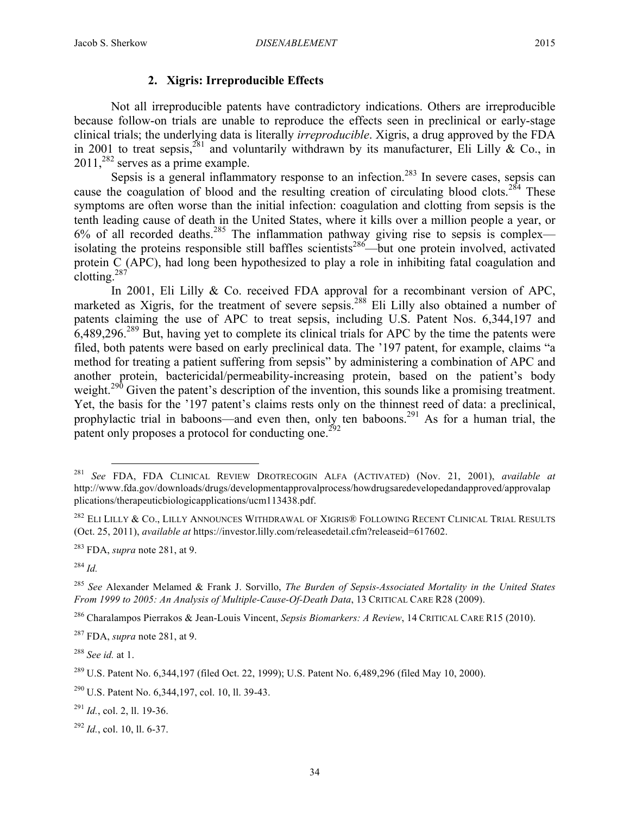# **2. Xigris: Irreproducible Effects**

Not all irreproducible patents have contradictory indications. Others are irreproducible because follow-on trials are unable to reproduce the effects seen in preclinical or early-stage clinical trials; the underlying data is literally *irreproducible*. Xigris, a drug approved by the FDA in 2001 to treat sepsis,<sup>281</sup> and voluntarily withdrawn by its manufacturer, Eli Lilly & Co., in 2011,<sup>282</sup> serves as a prime example.

Sepsis is a general inflammatory response to an infection.<sup>283</sup> In severe cases, sepsis can cause the coagulation of blood and the resulting creation of circulating blood clots.<sup>284</sup> These symptoms are often worse than the initial infection: coagulation and clotting from sepsis is the tenth leading cause of death in the United States, where it kills over a million people a year, or  $6\%$  of all recorded deaths.<sup>285</sup> The inflammation pathway giving rise to sepsis is complex isolating the proteins responsible still baffles scientists<sup>286</sup>—but one protein involved, activated protein C (APC), had long been hypothesized to play a role in inhibiting fatal coagulation and clotting. $287$ 

In 2001, Eli Lilly  $& Co.$  received FDA approval for a recombinant version of APC, marketed as Xigris, for the treatment of severe sepsis.<sup>288</sup> Eli Lilly also obtained a number of patents claiming the use of APC to treat sepsis, including U.S. Patent Nos. 6,344,197 and  $6,489,296.$ <sup>289</sup> But, having yet to complete its clinical trials for APC by the time the patents were filed, both patents were based on early preclinical data. The '197 patent, for example, claims "a method for treating a patient suffering from sepsis" by administering a combination of APC and another protein, bactericidal/permeability-increasing protein, based on the patient's body weight.<sup>290</sup> Given the patent's description of the invention, this sounds like a promising treatment. Yet, the basis for the '197 patent's claims rests only on the thinnest reed of data: a preclinical, prophylactic trial in baboons—and even then, only ten baboons.<sup>291</sup> As for a human trial, the patent only proposes a protocol for conducting one.<sup>292</sup>

<sup>284</sup> *Id.*

<sup>288</sup> *See id.* at 1.

<sup>291</sup> *Id.*, col. 2, ll. 19-36.

<sup>292</sup> *Id.*, col. 10, ll. 6-37.

 <sup>281</sup> *See* FDA, FDA CLINICAL REVIEW DROTRECOGIN ALFA (ACTIVATED) (Nov. 21, 2001), *available at* http://www.fda.gov/downloads/drugs/developmentapprovalprocess/howdrugsaredevelopedandapproved/approvalap plications/therapeuticbiologicapplications/ucm113438.pdf.

<sup>&</sup>lt;sup>282</sup> ELI LILLY & CO., LILLY ANNOUNCES WITHDRAWAL OF XIGRIS® FOLLOWING RECENT CLINICAL TRIAL RESULTS (Oct. 25, 2011), *available at* https://investor.lilly.com/releasedetail.cfm?releaseid=617602.

<sup>283</sup> FDA, *supra* note 281, at 9.

<sup>285</sup> *See* Alexander Melamed & Frank J. Sorvillo, *The Burden of Sepsis-Associated Mortality in the United States From 1999 to 2005: An Analysis of Multiple-Cause-Of-Death Data*, 13 CRITICAL CARE R28 (2009).

<sup>286</sup> Charalampos Pierrakos & Jean-Louis Vincent, *Sepsis Biomarkers: A Review*, 14 CRITICAL CARE R15 (2010).

<sup>287</sup> FDA, *supra* note 281, at 9.

<sup>&</sup>lt;sup>289</sup> U.S. Patent No. 6,344,197 (filed Oct. 22, 1999); U.S. Patent No. 6,489,296 (filed May 10, 2000).

<sup>290</sup> U.S. Patent No. 6,344,197, col. 10, ll. 39-43.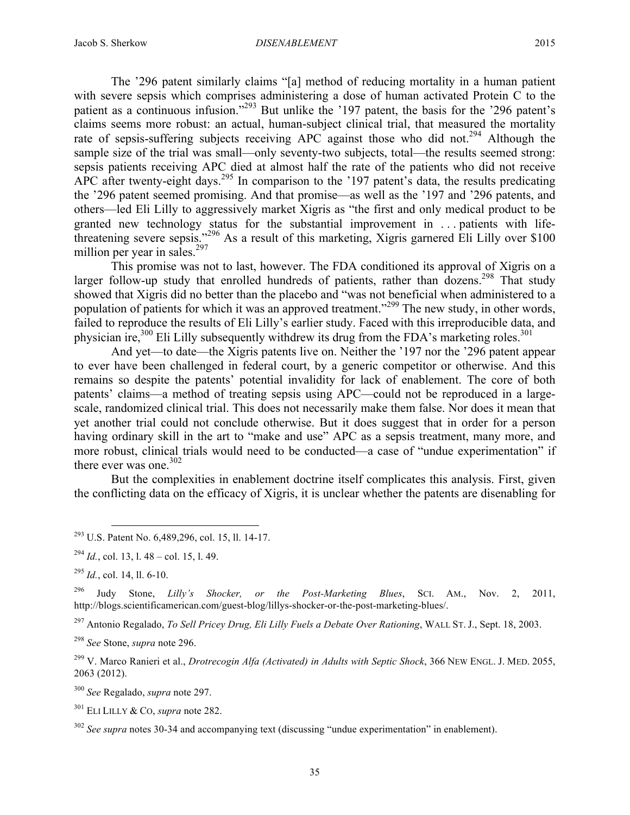The '296 patent similarly claims "[a] method of reducing mortality in a human patient with severe sepsis which comprises administering a dose of human activated Protein C to the patient as a continuous infusion."<sup>293</sup> But unlike the '197 patent, the basis for the '296 patent's claims seems more robust: an actual, human-subject clinical trial, that measured the mortality rate of sepsis-suffering subjects receiving APC against those who did not.<sup>294</sup> Although the sample size of the trial was small—only seventy-two subjects, total—the results seemed strong: sepsis patients receiving APC died at almost half the rate of the patients who did not receive APC after twenty-eight days.<sup>295</sup> In comparison to the '197 patent's data, the results predicating the '296 patent seemed promising. And that promise—as well as the '197 and '296 patents, and others—led Eli Lilly to aggressively market Xigris as "the first and only medical product to be granted new technology status for the substantial improvement in . . . patients with lifethreatening severe sepsis."<sup>296</sup> As a result of this marketing, Xigris garnered Eli Lilly over \$100 million per year in sales. $297$ 

This promise was not to last, however. The FDA conditioned its approval of Xigris on a larger follow-up study that enrolled hundreds of patients, rather than dozens.<sup>298</sup> That study showed that Xigris did no better than the placebo and "was not beneficial when administered to a population of patients for which it was an approved treatment."<sup>299</sup> The new study, in other words, failed to reproduce the results of Eli Lilly's earlier study. Faced with this irreproducible data, and physician ire, $300$  Eli Lilly subsequently withdrew its drug from the FDA's marketing roles.  $301$ 

And yet—to date—the Xigris patents live on. Neither the '197 nor the '296 patent appear to ever have been challenged in federal court, by a generic competitor or otherwise. And this remains so despite the patents' potential invalidity for lack of enablement. The core of both patents' claims—a method of treating sepsis using APC—could not be reproduced in a largescale, randomized clinical trial. This does not necessarily make them false. Nor does it mean that yet another trial could not conclude otherwise. But it does suggest that in order for a person having ordinary skill in the art to "make and use" APC as a sepsis treatment, many more, and more robust, clinical trials would need to be conducted—a case of "undue experimentation" if there ever was one. $302$ 

But the complexities in enablement doctrine itself complicates this analysis. First, given the conflicting data on the efficacy of Xigris, it is unclear whether the patents are disenabling for

<sup>297</sup> Antonio Regalado, *To Sell Pricey Drug, Eli Lilly Fuels a Debate Over Rationing*, WALL ST. J., Sept. 18, 2003.

<sup>298</sup> *See* Stone, *supra* note 296.

<sup>300</sup> *See* Regalado, *supra* note 297.

<sup>301</sup> ELI LILLY & CO, *supra* note 282.

 <sup>293</sup> U.S. Patent No. 6,489,296, col. 15, ll. 14-17.

 $^{294}$  *Id.*, col. 13, 1. 48 – col. 15, 1. 49.

<sup>295</sup> *Id.*, col. 14, ll. 6-10.

<sup>296</sup> Judy Stone, *Lilly's Shocker, or the Post-Marketing Blues*, SCI. AM., Nov. 2, 2011, http://blogs.scientificamerican.com/guest-blog/lillys-shocker-or-the-post-marketing-blues/.

<sup>299</sup> V. Marco Ranieri et al., *Drotrecogin Alfa (Activated) in Adults with Septic Shock*, 366 NEW ENGL. J. MED. 2055, 2063 (2012).

<sup>302</sup> *See supra* notes 30-34 and accompanying text (discussing "undue experimentation" in enablement).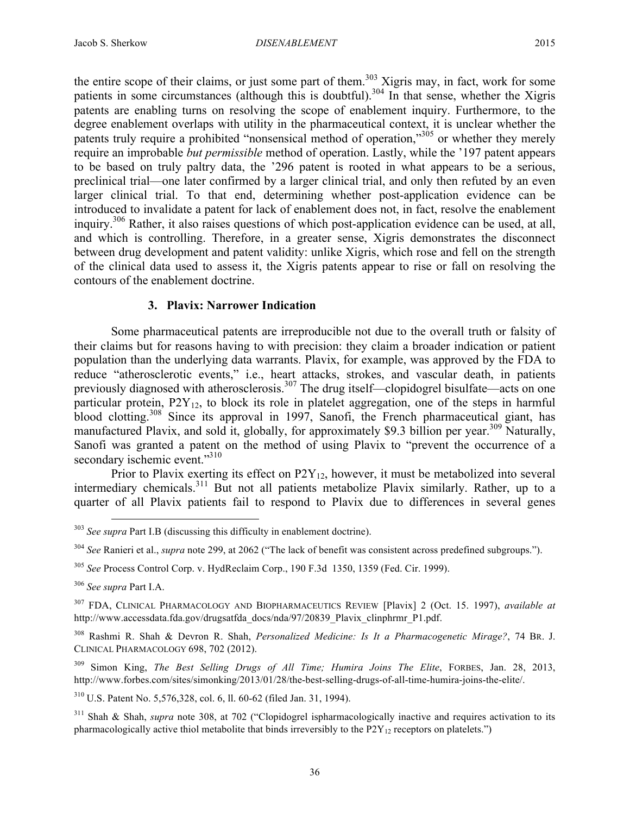the entire scope of their claims, or just some part of them.<sup>303</sup> Xigris may, in fact, work for some patients in some circumstances (although this is doubtful).<sup>304</sup> In that sense, whether the Xigris patents are enabling turns on resolving the scope of enablement inquiry. Furthermore, to the degree enablement overlaps with utility in the pharmaceutical context, it is unclear whether the patents truly require a prohibited "nonsensical method of operation,"<sup>305</sup> or whether they merely require an improbable *but permissible* method of operation. Lastly, while the '197 patent appears to be based on truly paltry data, the '296 patent is rooted in what appears to be a serious, preclinical trial—one later confirmed by a larger clinical trial, and only then refuted by an even larger clinical trial. To that end, determining whether post-application evidence can be introduced to invalidate a patent for lack of enablement does not, in fact, resolve the enablement inquiry.<sup>306</sup> Rather, it also raises questions of which post-application evidence can be used, at all, and which is controlling. Therefore, in a greater sense, Xigris demonstrates the disconnect between drug development and patent validity: unlike Xigris, which rose and fell on the strength of the clinical data used to assess it, the Xigris patents appear to rise or fall on resolving the contours of the enablement doctrine.

## **3. Plavix: Narrower Indication**

Some pharmaceutical patents are irreproducible not due to the overall truth or falsity of their claims but for reasons having to with precision: they claim a broader indication or patient population than the underlying data warrants. Plavix, for example, was approved by the FDA to reduce "atherosclerotic events," i.e., heart attacks, strokes, and vascular death, in patients previously diagnosed with atherosclerosis.<sup>307</sup> The drug itself—clopidogrel bisulfate—acts on one particular protein,  $P2Y_{12}$ , to block its role in platelet aggregation, one of the steps in harmful blood clotting.<sup>308</sup> Since its approval in 1997, Sanofi, the French pharmaceutical giant, has manufactured Plavix, and sold it, globally, for approximately \$9.3 billion per year.<sup>309</sup> Naturally, Sanofi was granted a patent on the method of using Plavix to "prevent the occurrence of a secondary ischemic event."<sup>310</sup>

Prior to Plavix exerting its effect on  $P2Y_{12}$ , however, it must be metabolized into several intermediary chemicals.<sup>311</sup> But not all patients metabolize Plavix similarly. Rather, up to a quarter of all Plavix patients fail to respond to Plavix due to differences in several genes

 <sup>303</sup> *See supra* Part I.B (discussing this difficulty in enablement doctrine).

<sup>304</sup> *See* Ranieri et al., *supra* note 299, at 2062 ("The lack of benefit was consistent across predefined subgroups.").

<sup>305</sup> *See* Process Control Corp. v. HydReclaim Corp., 190 F.3d 1350, 1359 (Fed. Cir. 1999).

<sup>306</sup> *See supra* Part I.A.

<sup>307</sup> FDA, CLINICAL PHARMACOLOGY AND BIOPHARMACEUTICS REVIEW [Plavix] 2 (Oct. 15. 1997), *available at* http://www.accessdata.fda.gov/drugsatfda\_docs/nda/97/20839\_Plavix\_clinphrmr\_P1.pdf.

<sup>308</sup> Rashmi R. Shah & Devron R. Shah, *Personalized Medicine: Is It a Pharmacogenetic Mirage?*, 74 BR. J. CLINICAL PHARMACOLOGY 698, 702 (2012).

<sup>309</sup> Simon King, *The Best Selling Drugs of All Time; Humira Joins The Elite*, FORBES, Jan. 28, 2013, http://www.forbes.com/sites/simonking/2013/01/28/the-best-selling-drugs-of-all-time-humira-joins-the-elite/.

<sup>310</sup> U.S. Patent No. 5,576,328, col. 6, ll. 60-62 (filed Jan. 31, 1994).

<sup>&</sup>lt;sup>311</sup> Shah & Shah, *supra* note 308, at 702 ("Clopidogrel ispharmacologically inactive and requires activation to its pharmacologically active thiol metabolite that binds irreversibly to the  $P2Y_{12}$  receptors on platelets.")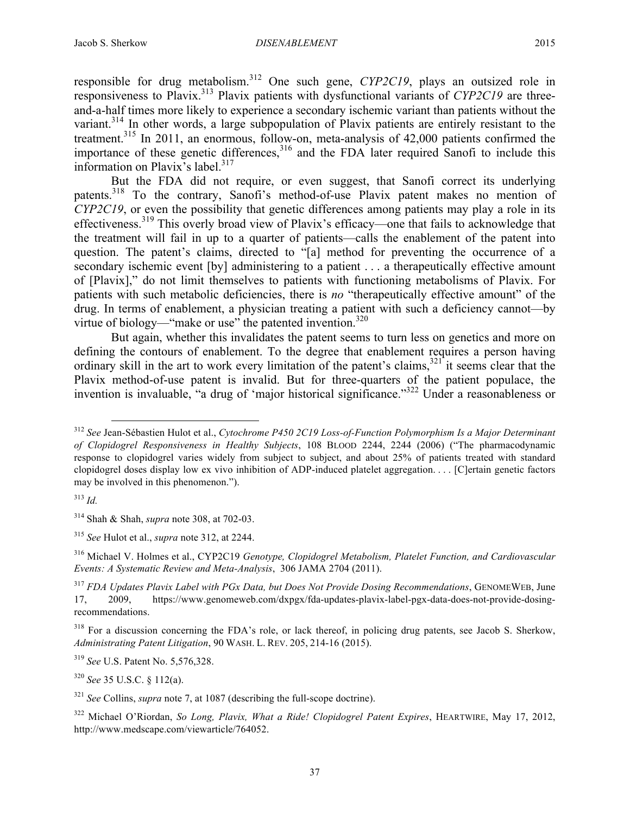responsible for drug metabolism.312 One such gene, *CYP2C19*, plays an outsized role in responsiveness to Plavix.313 Plavix patients with dysfunctional variants of *CYP2C19* are threeand-a-half times more likely to experience a secondary ischemic variant than patients without the variant.<sup>314</sup> In other words, a large subpopulation of Plavix patients are entirely resistant to the treatment.315 In 2011, an enormous, follow-on, meta-analysis of 42,000 patients confirmed the importance of these genetic differences,  $316$  and the FDA later required Sanofi to include this information on Plavix's label. $317$ 

But the FDA did not require, or even suggest, that Sanofi correct its underlying patents.<sup>318</sup> To the contrary, Sanofi's method-of-use Plavix patent makes no mention of *CYP2C19*, or even the possibility that genetic differences among patients may play a role in its effectiveness.<sup>319</sup> This overly broad view of Plavix's efficacy—one that fails to acknowledge that the treatment will fail in up to a quarter of patients—calls the enablement of the patent into question. The patent's claims, directed to "[a] method for preventing the occurrence of a secondary ischemic event [by] administering to a patient . . . a therapeutically effective amount of [Plavix]," do not limit themselves to patients with functioning metabolisms of Plavix. For patients with such metabolic deficiencies, there is *no* "therapeutically effective amount" of the drug. In terms of enablement, a physician treating a patient with such a deficiency cannot—by virtue of biology—"make or use" the patented invention.<sup>320</sup>

But again, whether this invalidates the patent seems to turn less on genetics and more on defining the contours of enablement. To the degree that enablement requires a person having ordinary skill in the art to work every limitation of the patent's claims,  $321$  it seems clear that the Plavix method-of-use patent is invalid. But for three-quarters of the patient populace, the invention is invaluable, "a drug of 'major historical significance."322 Under a reasonableness or

<sup>315</sup> *See* Hulot et al., *supra* note 312, at 2244.

<sup>316</sup> Michael V. Holmes et al., CYP2C19 *Genotype, Clopidogrel Metabolism, Platelet Function, and Cardiovascular Events: A Systematic Review and Meta-Analysis*, 306 JAMA 2704 (2011).

<sup>317</sup> *FDA Updates Plavix Label with PGx Data, but Does Not Provide Dosing Recommendations*, GENOMEWEB, June 17, 2009, https://www.genomeweb.com/dxpgx/fda-updates-plavix-label-pgx-data-does-not-provide-dosingrecommendations.

<sup>318</sup> For a discussion concerning the FDA's role, or lack thereof, in policing drug patents, see Jacob S. Sherkow, *Administrating Patent Litigation*, 90 WASH. L. REV. 205, 214-16 (2015).

<sup>319</sup> *See* U.S. Patent No. 5,576,328.

<sup>320</sup> *See* 35 U.S.C. § 112(a).

<sup>321</sup> *See* Collins, *supra* note 7, at 1087 (describing the full-scope doctrine).

 <sup>312</sup> *See* Jean-Sébastien Hulot et al., *Cytochrome P450 2C19 Loss-of-Function Polymorphism Is a Major Determinant of Clopidogrel Responsiveness in Healthy Subjects*, 108 BLOOD 2244, 2244 (2006) ("The pharmacodynamic response to clopidogrel varies widely from subject to subject, and about 25% of patients treated with standard clopidogrel doses display low ex vivo inhibition of ADP-induced platelet aggregation. . . . [C]ertain genetic factors may be involved in this phenomenon.").

<sup>313</sup> *Id.*

<sup>314</sup> Shah & Shah, *supra* note 308, at 702-03.

<sup>322</sup> Michael O'Riordan, *So Long, Plavix, What a Ride! Clopidogrel Patent Expires*, HEARTWIRE, May 17, 2012, http://www.medscape.com/viewarticle/764052.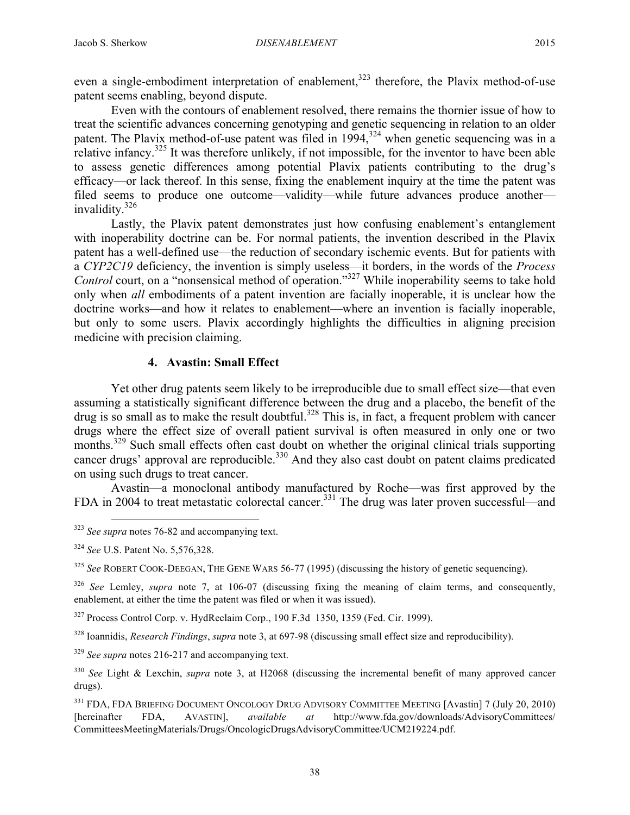even a single-embodiment interpretation of enablement,<sup>323</sup> therefore, the Plavix method-of-use patent seems enabling, beyond dispute.

Even with the contours of enablement resolved, there remains the thornier issue of how to treat the scientific advances concerning genotyping and genetic sequencing in relation to an older patent. The Plavix method-of-use patent was filed in  $1994$ ,  $324$  when genetic sequencing was in a relative infancy.<sup>325</sup> It was therefore unlikely, if not impossible, for the inventor to have been able to assess genetic differences among potential Plavix patients contributing to the drug's efficacy—or lack thereof. In this sense, fixing the enablement inquiry at the time the patent was filed seems to produce one outcome—validity—while future advances produce another invalidity.326

Lastly, the Plavix patent demonstrates just how confusing enablement's entanglement with inoperability doctrine can be. For normal patients, the invention described in the Plavix patent has a well-defined use—the reduction of secondary ischemic events. But for patients with a *CYP2C19* deficiency, the invention is simply useless—it borders, in the words of the *Process Control* court, on a "nonsensical method of operation."<sup>327</sup> While inoperability seems to take hold only when *all* embodiments of a patent invention are facially inoperable, it is unclear how the doctrine works—and how it relates to enablement—where an invention is facially inoperable, but only to some users. Plavix accordingly highlights the difficulties in aligning precision medicine with precision claiming.

# **4. Avastin: Small Effect**

Yet other drug patents seem likely to be irreproducible due to small effect size—that even assuming a statistically significant difference between the drug and a placebo, the benefit of the drug is so small as to make the result doubtful.<sup>328</sup> This is, in fact, a frequent problem with cancer drugs where the effect size of overall patient survival is often measured in only one or two months.<sup>329</sup> Such small effects often cast doubt on whether the original clinical trials supporting cancer drugs' approval are reproducible.<sup>330</sup> And they also cast doubt on patent claims predicated on using such drugs to treat cancer.

Avastin—a monoclonal antibody manufactured by Roche—was first approved by the FDA in 2004 to treat metastatic colorectal cancer.<sup>331</sup> The drug was later proven successful—and

<sup>325</sup> See ROBERT COOK-DEEGAN, THE GENE WARS 56-77 (1995) (discussing the history of genetic sequencing).

<sup>327</sup> Process Control Corp. v. HydReclaim Corp., 190 F.3d 1350, 1359 (Fed. Cir. 1999).

<sup>328</sup> Ioannidis, *Research Findings*, *supra* note 3, at 697-98 (discussing small effect size and reproducibility).

<sup>329</sup> *See supra* notes 216-217 and accompanying text.

 <sup>323</sup> *See supra* notes 76-82 and accompanying text.

<sup>324</sup> *See* U.S. Patent No. 5,576,328.

<sup>&</sup>lt;sup>326</sup> *See* Lemley, *supra* note 7, at 106-07 (discussing fixing the meaning of claim terms, and consequently, enablement, at either the time the patent was filed or when it was issued).

<sup>330</sup> *See* Light & Lexchin, *supra* note 3, at H2068 (discussing the incremental benefit of many approved cancer drugs).

<sup>&</sup>lt;sup>331</sup> FDA, FDA BRIEFING DOCUMENT ONCOLOGY DRUG ADVISORY COMMITTEE MEETING [Avastin] 7 (July 20, 2010) [hereinafter FDA, AVASTIN], *available at* http://www.fda.gov/downloads/AdvisoryCommittees/ CommitteesMeetingMaterials/Drugs/OncologicDrugsAdvisoryCommittee/UCM219224.pdf.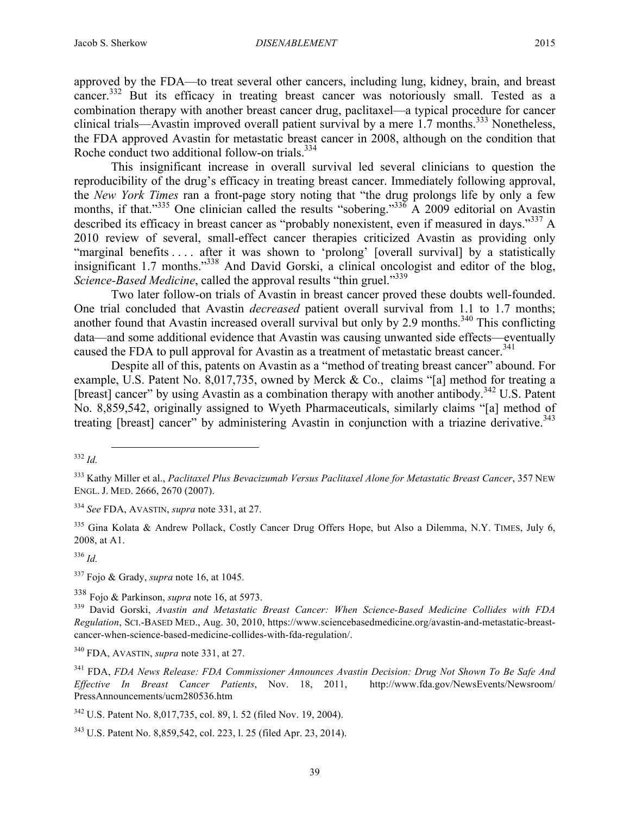approved by the FDA—to treat several other cancers, including lung, kidney, brain, and breast cancer.<sup>332</sup> But its efficacy in treating breast cancer was notoriously small. Tested as a combination therapy with another breast cancer drug, paclitaxel—a typical procedure for cancer clinical trials—Avastin improved overall patient survival by a mere  $1.7$  months.<sup>333</sup> Nonetheless, the FDA approved Avastin for metastatic breast cancer in 2008, although on the condition that Roche conduct two additional follow-on trials.<sup>334</sup>

This insignificant increase in overall survival led several clinicians to question the reproducibility of the drug's efficacy in treating breast cancer. Immediately following approval, the *New York Times* ran a front-page story noting that "the drug prolongs life by only a few months, if that."<sup>335</sup> One clinician called the results "sobering."<sup>336</sup> A 2009 editorial on Avastin described its efficacy in breast cancer as "probably nonexistent, even if measured in days."<sup>337</sup> A 2010 review of several, small-effect cancer therapies criticized Avastin as providing only "marginal benefits . . . . after it was shown to 'prolong' [overall survival] by a statistically insignificant 1.7 months."338 And David Gorski, a clinical oncologist and editor of the blog, *Science-Based Medicine*, called the approval results "thin gruel."<sup>339</sup>

Two later follow-on trials of Avastin in breast cancer proved these doubts well-founded. One trial concluded that Avastin *decreased* patient overall survival from 1.1 to 1.7 months; another found that Avastin increased overall survival but only by 2.9 months.<sup>340</sup> This conflicting data—and some additional evidence that Avastin was causing unwanted side effects—eventually caused the FDA to pull approval for Avastin as a treatment of metastatic breast cancer.<sup>341</sup>

Despite all of this, patents on Avastin as a "method of treating breast cancer" abound. For example, U.S. Patent No. 8,017,735, owned by Merck & Co., claims "[a] method for treating a [breast] cancer" by using Avastin as a combination therapy with another antibody.<sup>342</sup> U.S. Patent No. 8,859,542, originally assigned to Wyeth Pharmaceuticals, similarly claims "[a] method of treating [breast] cancer" by administering Avastin in conjunction with a triazine derivative.<sup>343</sup>

<sup>336</sup> *Id.*

<sup>337</sup> Fojo & Grady, *supra* note 16, at 1045.

 <sup>332</sup> *Id.*

<sup>333</sup> Kathy Miller et al., *Paclitaxel Plus Bevacizumab Versus Paclitaxel Alone for Metastatic Breast Cancer*, 357 NEW ENGL. J. MED. 2666, 2670 (2007).

<sup>334</sup> *See* FDA, AVASTIN, *supra* note 331, at 27.

<sup>&</sup>lt;sup>335</sup> Gina Kolata & Andrew Pollack, Costly Cancer Drug Offers Hope, but Also a Dilemma, N.Y. TIMES, July 6, 2008, at A1.

<sup>338</sup> Fojo & Parkinson, *supra* note 16, at 5973.

<sup>339</sup> David Gorski, *Avastin and Metastatic Breast Cancer: When Science-Based Medicine Collides with FDA Regulation*, SCI.-BASED MED., Aug. 30, 2010, https://www.sciencebasedmedicine.org/avastin-and-metastatic-breastcancer-when-science-based-medicine-collides-with-fda-regulation/.

<sup>340</sup> FDA, AVASTIN, *supra* note 331, at 27.

<sup>341</sup> FDA, *FDA News Release: FDA Commissioner Announces Avastin Decision: Drug Not Shown To Be Safe And Effective In Breast Cancer Patients*, Nov. 18, 2011, http://www.fda.gov/NewsEvents/Newsroom/ PressAnnouncements/ucm280536.htm

<sup>342</sup> U.S. Patent No. 8,017,735, col. 89, l. 52 (filed Nov. 19, 2004).

<sup>343</sup> U.S. Patent No. 8,859,542, col. 223, l. 25 (filed Apr. 23, 2014).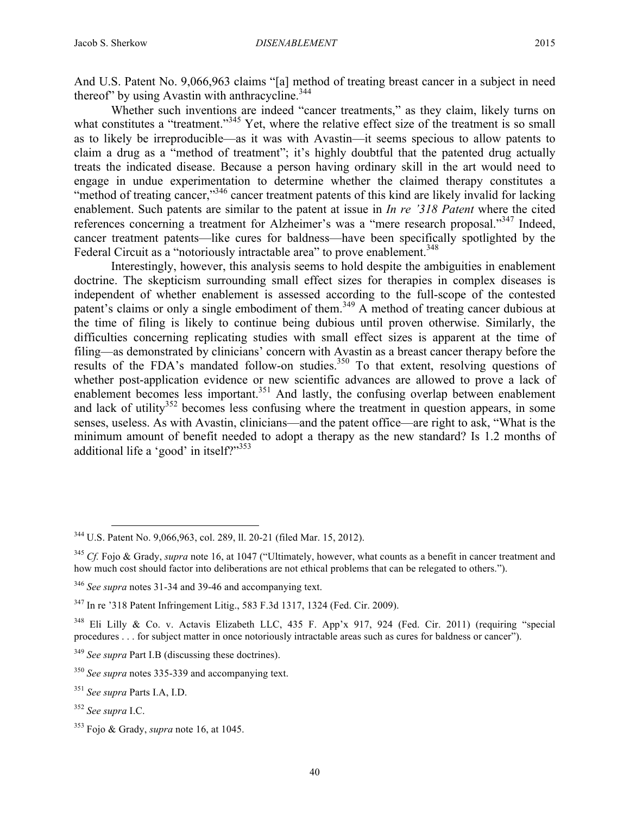And U.S. Patent No. 9,066,963 claims "[a] method of treating breast cancer in a subject in need thereof" by using Avastin with anthracycline.<sup>344</sup>

Whether such inventions are indeed "cancer treatments," as they claim, likely turns on what constitutes a "treatment."<sup>345</sup> Yet, where the relative effect size of the treatment is so small as to likely be irreproducible—as it was with Avastin—it seems specious to allow patents to claim a drug as a "method of treatment"; it's highly doubtful that the patented drug actually treats the indicated disease. Because a person having ordinary skill in the art would need to engage in undue experimentation to determine whether the claimed therapy constitutes a "method of treating cancer,"<sup>346</sup> cancer treatment patents of this kind are likely invalid for lacking enablement. Such patents are similar to the patent at issue in *In re '318 Patent* where the cited references concerning a treatment for Alzheimer's was a "mere research proposal."<sup>347</sup> Indeed, cancer treatment patents—like cures for baldness—have been specifically spotlighted by the Federal Circuit as a "notoriously intractable area" to prove enablement.<sup>348</sup>

Interestingly, however, this analysis seems to hold despite the ambiguities in enablement doctrine. The skepticism surrounding small effect sizes for therapies in complex diseases is independent of whether enablement is assessed according to the full-scope of the contested patent's claims or only a single embodiment of them.<sup>349</sup> A method of treating cancer dubious at the time of filing is likely to continue being dubious until proven otherwise. Similarly, the difficulties concerning replicating studies with small effect sizes is apparent at the time of filing—as demonstrated by clinicians' concern with Avastin as a breast cancer therapy before the results of the FDA's mandated follow-on studies.<sup>350</sup> To that extent, resolving questions of whether post-application evidence or new scientific advances are allowed to prove a lack of enablement becomes less important.<sup>351</sup> And lastly, the confusing overlap between enablement and lack of utility<sup>352</sup> becomes less confusing where the treatment in question appears, in some senses, useless. As with Avastin, clinicians—and the patent office—are right to ask, "What is the minimum amount of benefit needed to adopt a therapy as the new standard? Is 1.2 months of additional life a 'good' in itself?"<sup>353</sup>

 <sup>344</sup> U.S. Patent No. 9,066,963, col. 289, ll. 20-21 (filed Mar. 15, 2012).

<sup>345</sup> *Cf.* Fojo & Grady, *supra* note 16, at 1047 ("Ultimately, however, what counts as a benefit in cancer treatment and how much cost should factor into deliberations are not ethical problems that can be relegated to others.").

<sup>346</sup> *See supra* notes 31-34 and 39-46 and accompanying text.

<sup>347</sup> In re '318 Patent Infringement Litig., 583 F.3d 1317, 1324 (Fed. Cir. 2009).

<sup>&</sup>lt;sup>348</sup> Eli Lilly & Co. v. Actavis Elizabeth LLC, 435 F. App'x 917, 924 (Fed. Cir. 2011) (requiring "special procedures . . . for subject matter in once notoriously intractable areas such as cures for baldness or cancer").

<sup>349</sup> *See supra* Part I.B (discussing these doctrines).

<sup>350</sup> *See supra* notes 335-339 and accompanying text.

<sup>351</sup> *See supra* Parts I.A, I.D.

<sup>352</sup> *See supra* I.C.

<sup>353</sup> Fojo & Grady, *supra* note 16, at 1045.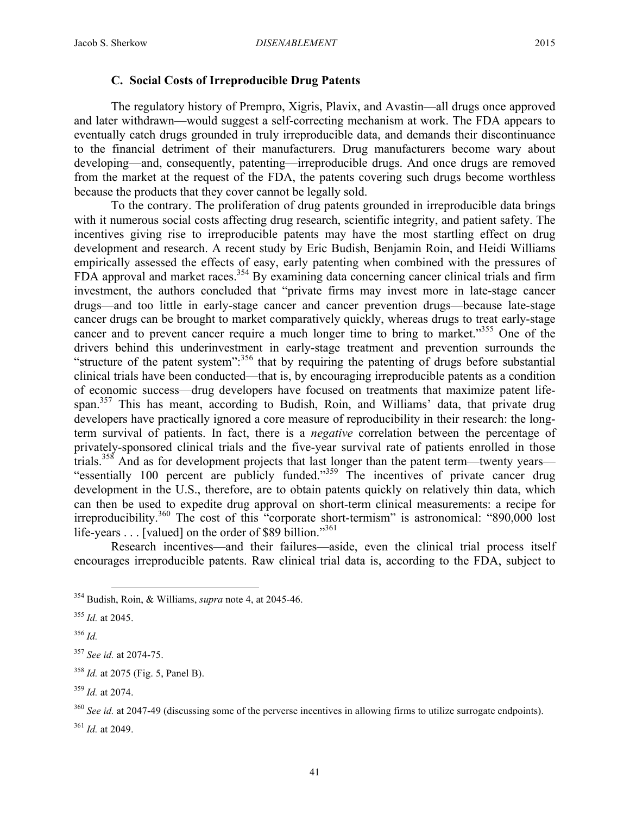#### **C. Social Costs of Irreproducible Drug Patents**

The regulatory history of Prempro, Xigris, Plavix, and Avastin—all drugs once approved and later withdrawn—would suggest a self-correcting mechanism at work. The FDA appears to eventually catch drugs grounded in truly irreproducible data, and demands their discontinuance to the financial detriment of their manufacturers. Drug manufacturers become wary about developing—and, consequently, patenting—irreproducible drugs. And once drugs are removed from the market at the request of the FDA, the patents covering such drugs become worthless because the products that they cover cannot be legally sold.

To the contrary. The proliferation of drug patents grounded in irreproducible data brings with it numerous social costs affecting drug research, scientific integrity, and patient safety. The incentives giving rise to irreproducible patents may have the most startling effect on drug development and research. A recent study by Eric Budish, Benjamin Roin, and Heidi Williams empirically assessed the effects of easy, early patenting when combined with the pressures of FDA approval and market races.<sup>354</sup> By examining data concerning cancer clinical trials and firm investment, the authors concluded that "private firms may invest more in late-stage cancer drugs—and too little in early-stage cancer and cancer prevention drugs—because late-stage cancer drugs can be brought to market comparatively quickly, whereas drugs to treat early-stage cancer and to prevent cancer require a much longer time to bring to market." <sup>355</sup> One of the drivers behind this underinvestment in early-stage treatment and prevention surrounds the "structure of the patent system":<sup>356</sup> that by requiring the patenting of drugs before substantial clinical trials have been conducted—that is, by encouraging irreproducible patents as a condition of economic success—drug developers have focused on treatments that maximize patent lifespan.<sup>357</sup> This has meant, according to Budish, Roin, and Williams' data, that private drug developers have practically ignored a core measure of reproducibility in their research: the longterm survival of patients. In fact, there is a *negative* correlation between the percentage of privately-sponsored clinical trials and the five-year survival rate of patients enrolled in those trials.<sup>358</sup> And as for development projects that last longer than the patent term—twenty years— "essentially 100 percent are publicly funded."<sup>359</sup> The incentives of private cancer drug development in the U.S., therefore, are to obtain patents quickly on relatively thin data, which can then be used to expedite drug approval on short-term clinical measurements: a recipe for irreproducibility.360 The cost of this "corporate short-termism" is astronomical: "890,000 lost life-years . . . [valued] on the order of \$89 billion."<sup>361</sup>

Research incentives—and their failures—aside, even the clinical trial process itself encourages irreproducible patents. Raw clinical trial data is, according to the FDA, subject to

 <sup>354</sup> Budish, Roin, & Williams, *supra* note 4, at 2045-46.

<sup>355</sup> *Id.* at 2045.

<sup>356</sup> *Id.*

<sup>357</sup> *See id.* at 2074-75.

<sup>358</sup> *Id.* at 2075 (Fig. 5, Panel B).

<sup>359</sup> *Id.* at 2074.

<sup>&</sup>lt;sup>360</sup> *See id.* at 2047-49 (discussing some of the perverse incentives in allowing firms to utilize surrogate endpoints). <sup>361</sup> *Id.* at 2049.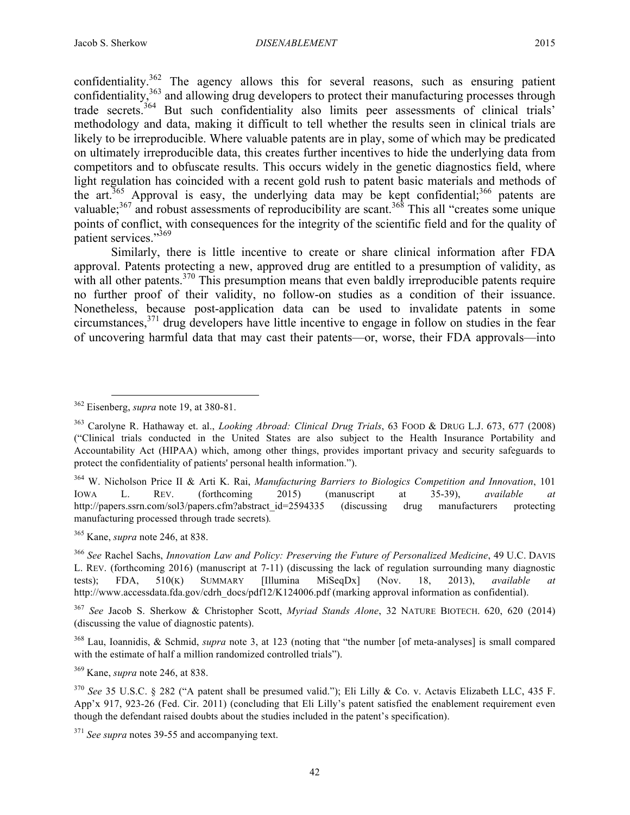confidentiality.<sup>362</sup> The agency allows this for several reasons, such as ensuring patient confidentiality,  $363$  and allowing drug developers to protect their manufacturing processes through trade secrets.<sup>364</sup> But such confidentiality also limits peer assessments of clinical trials' methodology and data, making it difficult to tell whether the results seen in clinical trials are likely to be irreproducible. Where valuable patents are in play, some of which may be predicated on ultimately irreproducible data, this creates further incentives to hide the underlying data from competitors and to obfuscate results. This occurs widely in the genetic diagnostics field, where light regulation has coincided with a recent gold rush to patent basic materials and methods of the art.<sup>365</sup> Approval is easy, the underlying data may be kept confidential;<sup>366</sup> patents are valuable;<sup>367</sup> and robust assessments of reproducibility are scant.<sup>368</sup> This all "creates some unique points of conflict, with consequences for the integrity of the scientific field and for the quality of patient services."369

Similarly, there is little incentive to create or share clinical information after FDA approval. Patents protecting a new, approved drug are entitled to a presumption of validity, as with all other patents.<sup>370</sup> This presumption means that even baldly irreproducible patents require no further proof of their validity, no follow-on studies as a condition of their issuance. Nonetheless, because post-application data can be used to invalidate patents in some circumstances,  $371$  drug developers have little incentive to engage in follow on studies in the fear of uncovering harmful data that may cast their patents—or, worse, their FDA approvals—into

<sup>365</sup> Kane, *supra* note 246, at 838.

<sup>367</sup> *See* Jacob S. Sherkow & Christopher Scott, *Myriad Stands Alone*, 32 NATURE BIOTECH. 620, 620 (2014) (discussing the value of diagnostic patents).

<sup>368</sup> Lau, Ioannidis, & Schmid, *supra* note 3, at 123 (noting that "the number [of meta-analyses] is small compared with the estimate of half a million randomized controlled trials").

<sup>369</sup> Kane, *supra* note 246, at 838.

 <sup>362</sup> Eisenberg, *supra* note 19, at 380-81.

<sup>363</sup> Carolyne R. Hathaway et. al., *Looking Abroad: Clinical Drug Trials*, 63 FOOD & DRUG L.J. 673, 677 (2008) ("Clinical trials conducted in the United States are also subject to the Health Insurance Portability and Accountability Act (HIPAA) which, among other things, provides important privacy and security safeguards to protect the confidentiality of patients' personal health information.").

<sup>364</sup> W. Nicholson Price II & Arti K. Rai, *Manufacturing Barriers to Biologics Competition and Innovation*, 101 IOWA L. REV. (forthcoming 2015) (manuscript at 35-39), *available at*  http://papers.ssrn.com/sol3/papers.cfm?abstract\_id=2594335 (discussing drug manufacturers protecting manufacturing processed through trade secrets)*.*

<sup>366</sup> *See* Rachel Sachs, *Innovation Law and Policy: Preserving the Future of Personalized Medicine*, 49 U.C. DAVIS L. REV. (forthcoming 2016) (manuscript at 7-11) (discussing the lack of regulation surrounding many diagnostic tests); FDA, 510(K) SUMMARY [Illumina MiSeqDx] (Nov. 18, 2013), *available at* http://www.accessdata.fda.gov/cdrh\_docs/pdf12/K124006.pdf (marking approval information as confidential).

<sup>370</sup> *See* 35 U.S.C. § 282 ("A patent shall be presumed valid."); Eli Lilly & Co. v. Actavis Elizabeth LLC, 435 F. App'x 917, 923-26 (Fed. Cir. 2011) (concluding that Eli Lilly's patent satisfied the enablement requirement even though the defendant raised doubts about the studies included in the patent's specification).

<sup>371</sup> *See supra* notes 39-55 and accompanying text.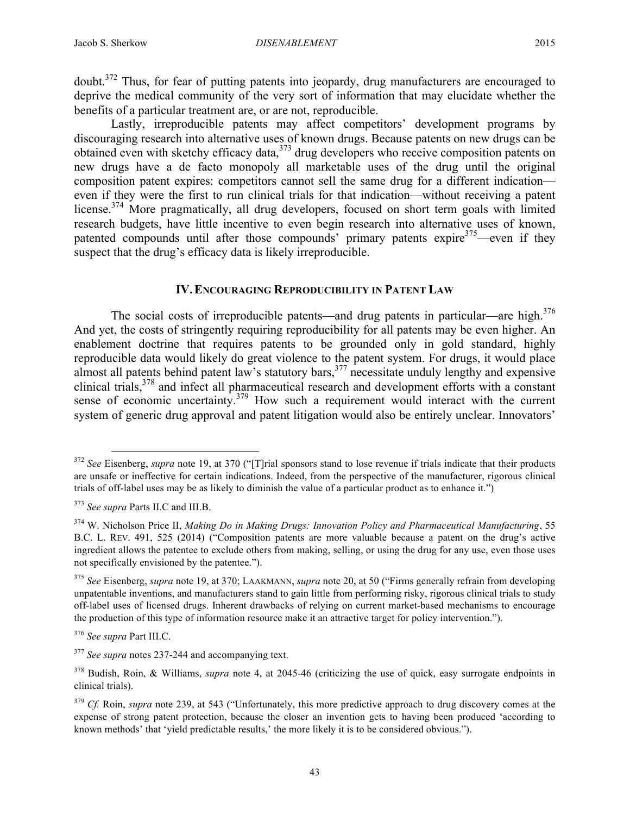doubt.372 Thus, for fear of putting patents into jeopardy, drug manufacturers are encouraged to deprive the medical community of the very sort of information that may elucidate whether the benefits of a particular treatment are, or are not, reproducible.

Lastly, irreproducible patents may affect competitors' development programs by discouraging research into alternative uses of known drugs. Because patents on new drugs can be obtained even with sketchy efficacy data,<sup>373</sup> drug developers who receive composition patents on new drugs have a de facto monopoly all marketable uses of the drug until the original composition patent expires: competitors cannot sell the same drug for a different indication even if they were the first to run clinical trials for that indication—without receiving a patent license.<sup>374</sup> More pragmatically, all drug developers, focused on short term goals with limited research budgets, have little incentive to even begin research into alternative uses of known, patented compounds until after those compounds' primary patents expire $375$ —even if they suspect that the drug's efficacy data is likely irreproducible.

#### **IV.ENCOURAGING REPRODUCIBILITY IN PATENT LAW**

The social costs of irreproducible patents—and drug patents in particular—are high.<sup>376</sup> And yet, the costs of stringently requiring reproducibility for all patents may be even higher. An enablement doctrine that requires patents to be grounded only in gold standard, highly reproducible data would likely do great violence to the patent system. For drugs, it would place almost all patents behind patent law's statutory bars,<sup>377</sup> necessitate unduly lengthy and expensive clinical trials,<sup>378</sup> and infect all pharmaceutical research and development efforts with a constant sense of economic uncertainty.<sup>379</sup> How such a requirement would interact with the current system of generic drug approval and patent litigation would also be entirely unclear. Innovators'

<sup>&</sup>lt;sup>372</sup> *See* Eisenberg, *supra* note 19, at 370 ("[T]rial sponsors stand to lose revenue if trials indicate that their products are unsafe or ineffective for certain indications. Indeed, from the perspective of the manufacturer, rigorous clinical trials of off-label uses may be as likely to diminish the value of a particular product as to enhance it.")

<sup>373</sup> *See supra* Parts II.C and III.B.

<sup>374</sup> W. Nicholson Price II, *Making Do in Making Drugs: Innovation Policy and Pharmaceutical Manufacturing*, 55 B.C. L. REV. 491, 525 (2014) ("Composition patents are more valuable because a patent on the drug's active ingredient allows the patentee to exclude others from making, selling, or using the drug for any use, even those uses not specifically envisioned by the patentee.").

<sup>375</sup> *See* Eisenberg, *supra* note 19, at 370; LAAKMANN, *supra* note 20, at 50 ("Firms generally refrain from developing unpatentable inventions, and manufacturers stand to gain little from performing risky, rigorous clinical trials to study off-label uses of licensed drugs. Inherent drawbacks of relying on current market-based mechanisms to encourage the production of this type of information resource make it an attractive target for policy intervention.").

<sup>376</sup> *See supra* Part III.C.

<sup>377</sup> *See supra* notes 237-244 and accompanying text.

<sup>378</sup> Budish, Roin, & Williams, *supra* note 4, at 2045-46 (criticizing the use of quick, easy surrogate endpoints in clinical trials).

<sup>&</sup>lt;sup>379</sup> *Cf.* Roin, *supra* note 239, at 543 ("Unfortunately, this more predictive approach to drug discovery comes at the expense of strong patent protection, because the closer an invention gets to having been produced 'according to known methods' that 'yield predictable results,' the more likely it is to be considered obvious.").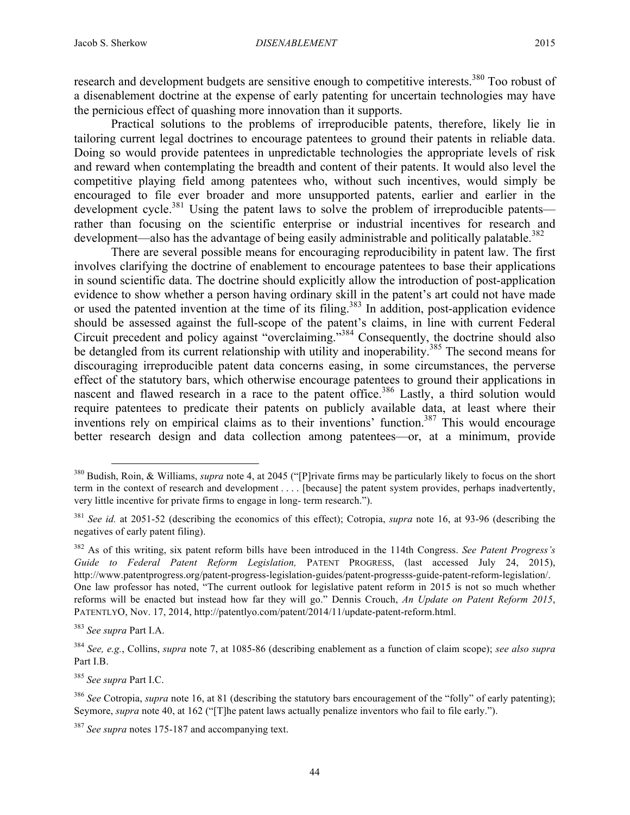research and development budgets are sensitive enough to competitive interests.<sup>380</sup> Too robust of a disenablement doctrine at the expense of early patenting for uncertain technologies may have the pernicious effect of quashing more innovation than it supports.

Practical solutions to the problems of irreproducible patents, therefore, likely lie in tailoring current legal doctrines to encourage patentees to ground their patents in reliable data. Doing so would provide patentees in unpredictable technologies the appropriate levels of risk and reward when contemplating the breadth and content of their patents. It would also level the competitive playing field among patentees who, without such incentives, would simply be encouraged to file ever broader and more unsupported patents, earlier and earlier in the development cycle.<sup>381</sup> Using the patent laws to solve the problem of irreproducible patents rather than focusing on the scientific enterprise or industrial incentives for research and development—also has the advantage of being easily administrable and politically palatable.<sup>382</sup>

There are several possible means for encouraging reproducibility in patent law. The first involves clarifying the doctrine of enablement to encourage patentees to base their applications in sound scientific data. The doctrine should explicitly allow the introduction of post-application evidence to show whether a person having ordinary skill in the patent's art could not have made or used the patented invention at the time of its filing.<sup>383</sup> In addition, post-application evidence should be assessed against the full-scope of the patent's claims, in line with current Federal Circuit precedent and policy against "overclaiming."384 Consequently, the doctrine should also be detangled from its current relationship with utility and inoperability.<sup>385</sup> The second means for discouraging irreproducible patent data concerns easing, in some circumstances, the perverse effect of the statutory bars, which otherwise encourage patentees to ground their applications in nascent and flawed research in a race to the patent office.<sup>386</sup> Lastly, a third solution would require patentees to predicate their patents on publicly available data, at least where their inventions rely on empirical claims as to their inventions' function.<sup>387</sup> This would encourage better research design and data collection among patentees—or, at a minimum, provide

<sup>385</sup> *See supra* Part I.C.

 <sup>380</sup> Budish, Roin, & Williams, *supra* note 4, at 2045 ("[P]rivate firms may be particularly likely to focus on the short term in the context of research and development . . . . [because] the patent system provides, perhaps inadvertently, very little incentive for private firms to engage in long- term research.").

<sup>381</sup> *See id.* at 2051-52 (describing the economics of this effect); Cotropia, *supra* note 16, at 93-96 (describing the negatives of early patent filing).

<sup>382</sup> As of this writing, six patent reform bills have been introduced in the 114th Congress. *See Patent Progress's Guide to Federal Patent Reform Legislation,* PATENT PROGRESS, (last accessed July 24, 2015), http://www.patentprogress.org/patent-progress-legislation-guides/patent-progresss-guide-patent-reform-legislation/. One law professor has noted, "The current outlook for legislative patent reform in 2015 is not so much whether reforms will be enacted but instead how far they will go." Dennis Crouch, *An Update on Patent Reform 2015*, PATENTLYO, Nov. 17, 2014, http://patentlyo.com/patent/2014/11/update-patent-reform.html.

<sup>383</sup> *See supra* Part I.A.

<sup>384</sup> *See, e.g.*, Collins, *supra* note 7, at 1085-86 (describing enablement as a function of claim scope); *see also supra* Part I.B.

<sup>&</sup>lt;sup>386</sup> See Cotropia, *supra* note 16, at 81 (describing the statutory bars encouragement of the "folly" of early patenting); Seymore, *supra* note 40, at 162 ("[T]he patent laws actually penalize inventors who fail to file early.").

<sup>387</sup> *See supra* notes 175-187 and accompanying text.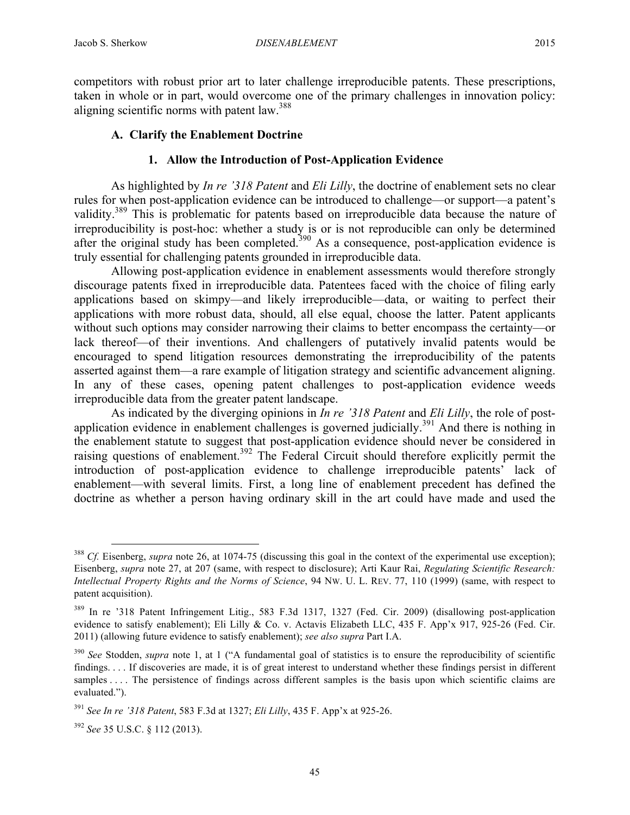competitors with robust prior art to later challenge irreproducible patents. These prescriptions, taken in whole or in part, would overcome one of the primary challenges in innovation policy: aligning scientific norms with patent law.<sup>388</sup>

# **A. Clarify the Enablement Doctrine**

## **1. Allow the Introduction of Post-Application Evidence**

As highlighted by *In re '318 Patent* and *Eli Lilly*, the doctrine of enablement sets no clear rules for when post-application evidence can be introduced to challenge—or support—a patent's validity.<sup>389</sup> This is problematic for patents based on irreproducible data because the nature of irreproducibility is post-hoc: whether a study is or is not reproducible can only be determined after the original study has been completed.<sup>390</sup> As a consequence, post-application evidence is truly essential for challenging patents grounded in irreproducible data.

Allowing post-application evidence in enablement assessments would therefore strongly discourage patents fixed in irreproducible data. Patentees faced with the choice of filing early applications based on skimpy—and likely irreproducible—data, or waiting to perfect their applications with more robust data, should, all else equal, choose the latter. Patent applicants without such options may consider narrowing their claims to better encompass the certainty—or lack thereof—of their inventions. And challengers of putatively invalid patents would be encouraged to spend litigation resources demonstrating the irreproducibility of the patents asserted against them—a rare example of litigation strategy and scientific advancement aligning. In any of these cases, opening patent challenges to post-application evidence weeds irreproducible data from the greater patent landscape.

As indicated by the diverging opinions in *In re '318 Patent* and *Eli Lilly*, the role of postapplication evidence in enablement challenges is governed judicially.<sup>391</sup> And there is nothing in the enablement statute to suggest that post-application evidence should never be considered in raising questions of enablement.<sup>392</sup> The Federal Circuit should therefore explicitly permit the introduction of post-application evidence to challenge irreproducible patents' lack of enablement—with several limits. First, a long line of enablement precedent has defined the doctrine as whether a person having ordinary skill in the art could have made and used the

<sup>&</sup>lt;sup>388</sup> *Cf.* Eisenberg, *supra* note 26, at 1074-75 (discussing this goal in the context of the experimental use exception); Eisenberg, *supra* note 27, at 207 (same, with respect to disclosure); Arti Kaur Rai, *Regulating Scientific Research: Intellectual Property Rights and the Norms of Science*, 94 NW. U. L. REV. 77, 110 (1999) (same, with respect to patent acquisition).

<sup>389</sup> In re '318 Patent Infringement Litig., 583 F.3d 1317, 1327 (Fed. Cir. 2009) (disallowing post-application evidence to satisfy enablement); Eli Lilly & Co. v. Actavis Elizabeth LLC, 435 F. App'x 917, 925-26 (Fed. Cir. 2011) (allowing future evidence to satisfy enablement); *see also supra* Part I.A.

<sup>390</sup> *See* Stodden, *supra* note 1, at 1 ("A fundamental goal of statistics is to ensure the reproducibility of scientific findings. . . . If discoveries are made, it is of great interest to understand whether these findings persist in different samples .... The persistence of findings across different samples is the basis upon which scientific claims are evaluated.").

<sup>391</sup> *See In re '318 Patent*, 583 F.3d at 1327; *Eli Lilly*, 435 F. App'x at 925-26.

<sup>392</sup> *See* 35 U.S.C. § 112 (2013).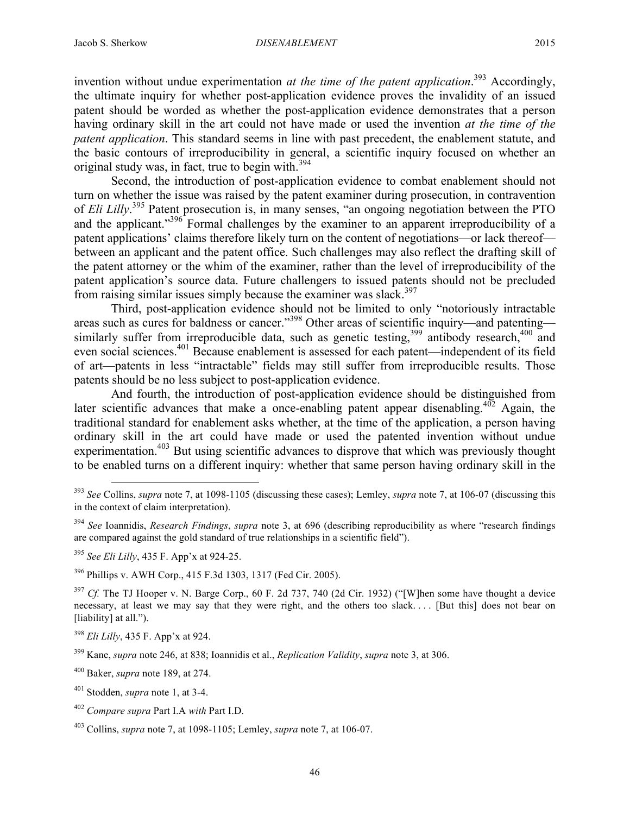invention without undue experimentation *at the time of the patent application*. <sup>393</sup> Accordingly, the ultimate inquiry for whether post-application evidence proves the invalidity of an issued patent should be worded as whether the post-application evidence demonstrates that a person having ordinary skill in the art could not have made or used the invention *at the time of the patent application*. This standard seems in line with past precedent, the enablement statute, and the basic contours of irreproducibility in general, a scientific inquiry focused on whether an original study was, in fact, true to begin with.<sup>394</sup>

Second, the introduction of post-application evidence to combat enablement should not turn on whether the issue was raised by the patent examiner during prosecution, in contravention of *Eli Lilly*. <sup>395</sup> Patent prosecution is, in many senses, "an ongoing negotiation between the PTO and the applicant." $396$  Formal challenges by the examiner to an apparent irreproducibility of a patent applications' claims therefore likely turn on the content of negotiations—or lack thereof between an applicant and the patent office. Such challenges may also reflect the drafting skill of the patent attorney or the whim of the examiner, rather than the level of irreproducibility of the patent application's source data. Future challengers to issued patents should not be precluded from raising similar issues simply because the examiner was slack.<sup>397</sup>

Third, post-application evidence should not be limited to only "notoriously intractable areas such as cures for baldness or cancer."398 Other areas of scientific inquiry—and patenting similarly suffer from irreproducible data, such as genetic testing,<sup>399</sup> antibody research,<sup>400</sup> and even social sciences.401 Because enablement is assessed for each patent—independent of its field of art—patents in less "intractable" fields may still suffer from irreproducible results. Those patents should be no less subject to post-application evidence.

And fourth, the introduction of post-application evidence should be distinguished from later scientific advances that make a once-enabling patent appear disenabling.<sup>402</sup> Again, the traditional standard for enablement asks whether, at the time of the application, a person having ordinary skill in the art could have made or used the patented invention without undue experimentation.<sup>403</sup> But using scientific advances to disprove that which was previously thought to be enabled turns on a different inquiry: whether that same person having ordinary skill in the

<sup>396</sup> Phillips v. AWH Corp., 415 F.3d 1303, 1317 (Fed Cir. 2005).

<sup>397</sup> *Cf.* The TJ Hooper v. N. Barge Corp., 60 F. 2d 737, 740 (2d Cir. 1932) ("[W]hen some have thought a device necessary, at least we may say that they were right, and the others too slack. . . . [But this] does not bear on [liability] at all.").

<sup>398</sup> *Eli Lilly*, 435 F. App'x at 924.

 <sup>393</sup> *See* Collins, *supra* note 7, at 1098-1105 (discussing these cases); Lemley, *supra* note 7, at 106-07 (discussing this in the context of claim interpretation).

<sup>394</sup> *See* Ioannidis, *Research Findings*, *supra* note 3, at 696 (describing reproducibility as where "research findings are compared against the gold standard of true relationships in a scientific field").

<sup>395</sup> *See Eli Lilly*, 435 F. App'x at 924-25.

<sup>399</sup> Kane, *supra* note 246, at 838; Ioannidis et al., *Replication Validity*, *supra* note 3, at 306.

<sup>400</sup> Baker, *supra* note 189, at 274.

<sup>401</sup> Stodden, *supra* note 1, at 3-4.

<sup>402</sup> *Compare supra* Part I.A *with* Part I.D.

<sup>403</sup> Collins, *supra* note 7, at 1098-1105; Lemley, *supra* note 7, at 106-07.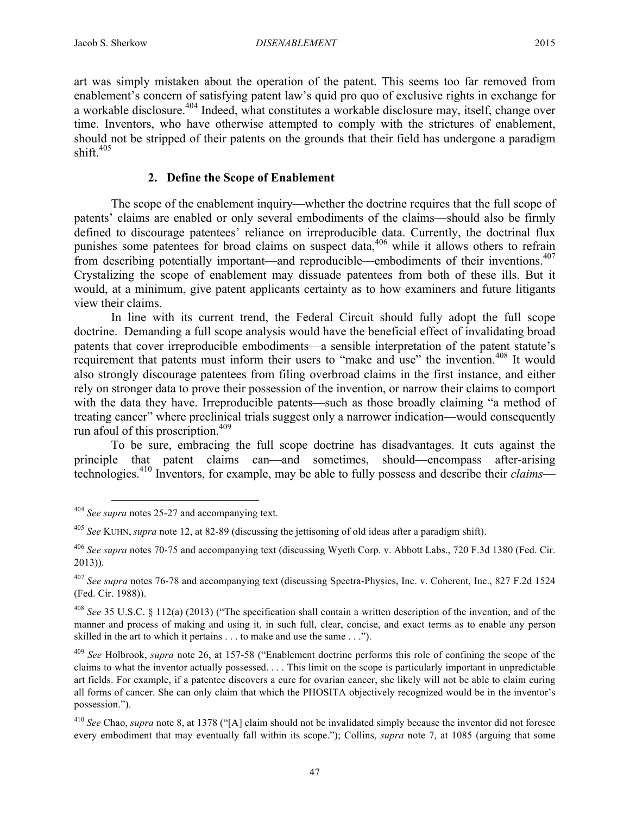art was simply mistaken about the operation of the patent. This seems too far removed from enablement's concern of satisfying patent law's quid pro quo of exclusive rights in exchange for a workable disclosure.<sup>404</sup> Indeed, what constitutes a workable disclosure may, itself, change over time. Inventors, who have otherwise attempted to comply with the strictures of enablement, should not be stripped of their patents on the grounds that their field has undergone a paradigm shift. $405$ 

# **2. Define the Scope of Enablement**

The scope of the enablement inquiry—whether the doctrine requires that the full scope of patents' claims are enabled or only several embodiments of the claims—should also be firmly defined to discourage patentees' reliance on irreproducible data. Currently, the doctrinal flux punishes some patentees for broad claims on suspect data,<sup>406</sup> while it allows others to refrain from describing potentially important—and reproducible—embodiments of their inventions.<sup>407</sup> Crystalizing the scope of enablement may dissuade patentees from both of these ills. But it would, at a minimum, give patent applicants certainty as to how examiners and future litigants view their claims.

In line with its current trend, the Federal Circuit should fully adopt the full scope doctrine. Demanding a full scope analysis would have the beneficial effect of invalidating broad patents that cover irreproducible embodiments—a sensible interpretation of the patent statute's requirement that patents must inform their users to "make and use" the invention.<sup>408</sup> It would also strongly discourage patentees from filing overbroad claims in the first instance, and either rely on stronger data to prove their possession of the invention, or narrow their claims to comport with the data they have. Irreproducible patents—such as those broadly claiming "a method of treating cancer" where preclinical trials suggest only a narrower indication—would consequently run afoul of this proscription.409

To be sure, embracing the full scope doctrine has disadvantages. It cuts against the principle that patent claims can—and sometimes, should—encompass after-arising technologies.410 Inventors, for example, may be able to fully possess and describe their *claims*—

 <sup>404</sup> *See supra* notes 25-27 and accompanying text.

<sup>405</sup> *See* KUHN, *supra* note 12, at 82-89 (discussing the jettisoning of old ideas after a paradigm shift).

<sup>406</sup> *See supra* notes 70-75 and accompanying text (discussing Wyeth Corp. v. Abbott Labs., 720 F.3d 1380 (Fed. Cir. 2013)).

<sup>407</sup> *See supra* notes 76-78 and accompanying text (discussing Spectra-Physics, Inc. v. Coherent, Inc., 827 F.2d 1524 (Fed. Cir. 1988)).

<sup>408</sup> *See* 35 U.S.C. § 112(a) (2013) ("The specification shall contain a written description of the invention, and of the manner and process of making and using it, in such full, clear, concise, and exact terms as to enable any person skilled in the art to which it pertains . . . to make and use the same . . .").

<sup>409</sup> *See* Holbrook, *supra* note 26, at 157-58 ("Enablement doctrine performs this role of confining the scope of the claims to what the inventor actually possessed. . . . This limit on the scope is particularly important in unpredictable art fields. For example, if a patentee discovers a cure for ovarian cancer, she likely will not be able to claim curing all forms of cancer. She can only claim that which the PHOSITA objectively recognized would be in the inventor's possession.").

<sup>410</sup> *See* Chao, *supra* note 8, at 1378 ("[A] claim should not be invalidated simply because the inventor did not foresee every embodiment that may eventually fall within its scope."); Collins, *supra* note 7, at 1085 (arguing that some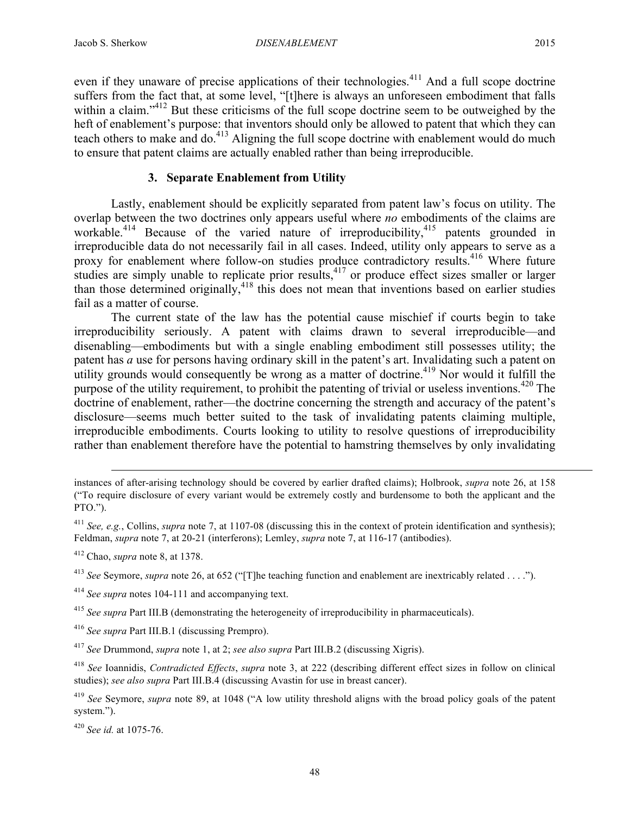even if they unaware of precise applications of their technologies.<sup>411</sup> And a full scope doctrine suffers from the fact that, at some level, "[t]here is always an unforeseen embodiment that falls within a claim."<sup>412</sup> But these criticisms of the full scope doctrine seem to be outweighed by the heft of enablement's purpose: that inventors should only be allowed to patent that which they can teach others to make and do.<sup>413</sup> Aligning the full scope doctrine with enablement would do much to ensure that patent claims are actually enabled rather than being irreproducible.

## **3. Separate Enablement from Utility**

Lastly, enablement should be explicitly separated from patent law's focus on utility. The overlap between the two doctrines only appears useful where *no* embodiments of the claims are workable.<sup>414</sup> Because of the varied nature of irreproducibility,<sup>415</sup> patents grounded in irreproducible data do not necessarily fail in all cases. Indeed, utility only appears to serve as a proxy for enablement where follow-on studies produce contradictory results.<sup>416</sup> Where future studies are simply unable to replicate prior results,<sup>417</sup> or produce effect sizes smaller or larger than those determined originally,  $418$  this does not mean that inventions based on earlier studies fail as a matter of course.

The current state of the law has the potential cause mischief if courts begin to take irreproducibility seriously. A patent with claims drawn to several irreproducible—and disenabling—embodiments but with a single enabling embodiment still possesses utility; the patent has *a* use for persons having ordinary skill in the patent's art. Invalidating such a patent on utility grounds would consequently be wrong as a matter of doctrine.<sup>419</sup> Nor would it fulfill the purpose of the utility requirement, to prohibit the patenting of trivial or useless inventions.<sup>420</sup> The doctrine of enablement, rather—the doctrine concerning the strength and accuracy of the patent's disclosure—seems much better suited to the task of invalidating patents claiming multiple, irreproducible embodiments. Courts looking to utility to resolve questions of irreproducibility rather than enablement therefore have the potential to hamstring themselves by only invalidating

 $\overline{a}$ 

instances of after-arising technology should be covered by earlier drafted claims); Holbrook, *supra* note 26, at 158 ("To require disclosure of every variant would be extremely costly and burdensome to both the applicant and the PTO.").

<sup>&</sup>lt;sup>411</sup> *See, e.g.*, Collins, *supra* note 7, at 1107-08 (discussing this in the context of protein identification and synthesis); Feldman, *supra* note 7, at 20-21 (interferons); Lemley, *supra* note 7, at 116-17 (antibodies).

<sup>412</sup> Chao, *supra* note 8, at 1378.

<sup>413</sup> *See* Seymore, *supra* note 26, at 652 ("[T]he teaching function and enablement are inextricably related . . . .").

<sup>414</sup> *See supra* notes 104-111 and accompanying text.

<sup>415</sup> *See supra* Part III.B (demonstrating the heterogeneity of irreproducibility in pharmaceuticals).

<sup>416</sup> *See supra* Part III.B.1 (discussing Prempro).

<sup>417</sup> *See* Drummond, *supra* note 1, at 2; *see also supra* Part III.B.2 (discussing Xigris).

<sup>418</sup> *See* Ioannidis, *Contradicted Effects*, *supra* note 3, at 222 (describing different effect sizes in follow on clinical studies); *see also supra* Part III.B.4 (discussing Avastin for use in breast cancer).

<sup>419</sup> *See* Seymore, *supra* note 89, at 1048 ("A low utility threshold aligns with the broad policy goals of the patent system.").

<sup>420</sup> *See id.* at 1075-76.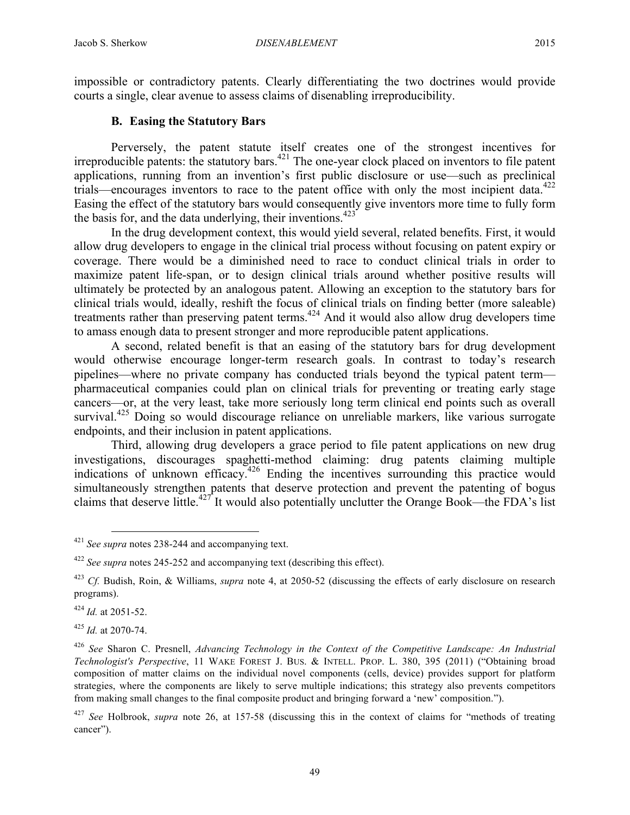impossible or contradictory patents. Clearly differentiating the two doctrines would provide courts a single, clear avenue to assess claims of disenabling irreproducibility.

## **B. Easing the Statutory Bars**

Perversely, the patent statute itself creates one of the strongest incentives for irreproducible patents: the statutory bars. $421$  The one-year clock placed on inventors to file patent applications, running from an invention's first public disclosure or use—such as preclinical trials—encourages inventors to race to the patent office with only the most incipient data.<sup>422</sup> Easing the effect of the statutory bars would consequently give inventors more time to fully form the basis for, and the data underlying, their inventions.<sup>423</sup>

In the drug development context, this would yield several, related benefits. First, it would allow drug developers to engage in the clinical trial process without focusing on patent expiry or coverage. There would be a diminished need to race to conduct clinical trials in order to maximize patent life-span, or to design clinical trials around whether positive results will ultimately be protected by an analogous patent. Allowing an exception to the statutory bars for clinical trials would, ideally, reshift the focus of clinical trials on finding better (more saleable) treatments rather than preserving patent terms. <sup>424</sup> And it would also allow drug developers time to amass enough data to present stronger and more reproducible patent applications.

A second, related benefit is that an easing of the statutory bars for drug development would otherwise encourage longer-term research goals. In contrast to today's research pipelines—where no private company has conducted trials beyond the typical patent term pharmaceutical companies could plan on clinical trials for preventing or treating early stage cancers—or, at the very least, take more seriously long term clinical end points such as overall survival.<sup>425</sup> Doing so would discourage reliance on unreliable markers, like various surrogate endpoints, and their inclusion in patent applications.

Third, allowing drug developers a grace period to file patent applications on new drug investigations, discourages spaghetti-method claiming: drug patents claiming multiple indications of unknown efficacy.<sup>426</sup> Ending the incentives surrounding this practice would simultaneously strengthen patents that deserve protection and prevent the patenting of bogus claims that deserve little.<sup>427</sup> It would also potentially unclutter the Orange Book—the FDA's list

<sup>424</sup> *Id.* at 2051-52.

<sup>425</sup> *Id.* at 2070-74.

 <sup>421</sup> *See supra* notes 238-244 and accompanying text.

<sup>422</sup> *See supra* notes 245-252 and accompanying text (describing this effect).

<sup>423</sup> *Cf.* Budish, Roin, & Williams, *supra* note 4, at 2050-52 (discussing the effects of early disclosure on research programs).

<sup>426</sup> *See* Sharon C. Presnell, *Advancing Technology in the Context of the Competitive Landscape: An Industrial Technologist's Perspective*, 11 WAKE FOREST J. BUS. & INTELL. PROP. L. 380, 395 (2011) ("Obtaining broad composition of matter claims on the individual novel components (cells, device) provides support for platform strategies, where the components are likely to serve multiple indications; this strategy also prevents competitors from making small changes to the final composite product and bringing forward a 'new' composition.").

<sup>427</sup> *See* Holbrook, *supra* note 26, at 157-58 (discussing this in the context of claims for "methods of treating cancer").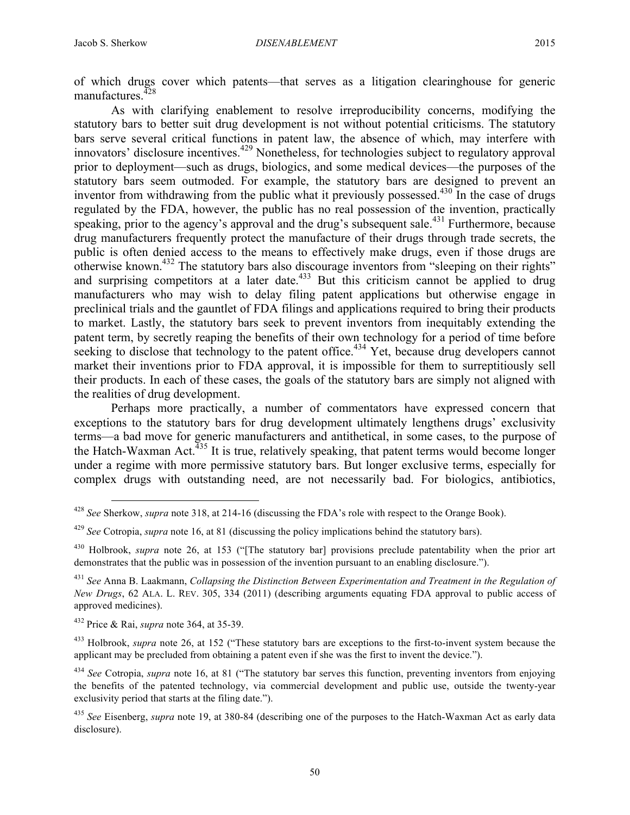of which drugs cover which patents—that serves as a litigation clearinghouse for generic manufactures. $428$ 

As with clarifying enablement to resolve irreproducibility concerns, modifying the statutory bars to better suit drug development is not without potential criticisms. The statutory bars serve several critical functions in patent law, the absence of which, may interfere with innovators' disclosure incentives.<sup>429</sup> Nonetheless, for technologies subject to regulatory approval prior to deployment—such as drugs, biologics, and some medical devices—the purposes of the statutory bars seem outmoded. For example, the statutory bars are designed to prevent an inventor from withdrawing from the public what it previously possessed.<sup>430</sup> In the case of drugs regulated by the FDA, however, the public has no real possession of the invention, practically speaking, prior to the agency's approval and the drug's subsequent sale.<sup>431</sup> Furthermore, because drug manufacturers frequently protect the manufacture of their drugs through trade secrets, the public is often denied access to the means to effectively make drugs, even if those drugs are otherwise known.432 The statutory bars also discourage inventors from "sleeping on their rights" and surprising competitors at a later date.<sup>433</sup> But this criticism cannot be applied to drug manufacturers who may wish to delay filing patent applications but otherwise engage in preclinical trials and the gauntlet of FDA filings and applications required to bring their products to market. Lastly, the statutory bars seek to prevent inventors from inequitably extending the patent term, by secretly reaping the benefits of their own technology for a period of time before seeking to disclose that technology to the patent office.<sup> $434$ </sup> Yet, because drug developers cannot market their inventions prior to FDA approval, it is impossible for them to surreptitiously sell their products. In each of these cases, the goals of the statutory bars are simply not aligned with the realities of drug development.

Perhaps more practically, a number of commentators have expressed concern that exceptions to the statutory bars for drug development ultimately lengthens drugs' exclusivity terms—a bad move for generic manufacturers and antithetical, in some cases, to the purpose of the Hatch-Waxman Act.<sup> $435$ </sup> It is true, relatively speaking, that patent terms would become longer under a regime with more permissive statutory bars. But longer exclusive terms, especially for complex drugs with outstanding need, are not necessarily bad. For biologics, antibiotics,

 <sup>428</sup> *See* Sherkow, *supra* note 318, at 214-16 (discussing the FDA's role with respect to the Orange Book).

<sup>429</sup> *See* Cotropia, *supra* note 16, at 81 (discussing the policy implications behind the statutory bars).

<sup>430</sup> Holbrook, *supra* note 26, at 153 ("[The statutory bar] provisions preclude patentability when the prior art demonstrates that the public was in possession of the invention pursuant to an enabling disclosure.").

<sup>431</sup> *See* Anna B. Laakmann, *Collapsing the Distinction Between Experimentation and Treatment in the Regulation of New Drugs*, 62 ALA. L. REV. 305, 334 (2011) (describing arguments equating FDA approval to public access of approved medicines).

<sup>432</sup> Price & Rai, *supra* note 364, at 35-39.

<sup>433</sup> Holbrook, *supra* note 26, at 152 ("These statutory bars are exceptions to the first-to-invent system because the applicant may be precluded from obtaining a patent even if she was the first to invent the device.").

<sup>434</sup> *See* Cotropia, *supra* note 16, at 81 ("The statutory bar serves this function, preventing inventors from enjoying the benefits of the patented technology, via commercial development and public use, outside the twenty-year exclusivity period that starts at the filing date.").

<sup>435</sup> *See* Eisenberg, *supra* note 19, at 380-84 (describing one of the purposes to the Hatch-Waxman Act as early data disclosure).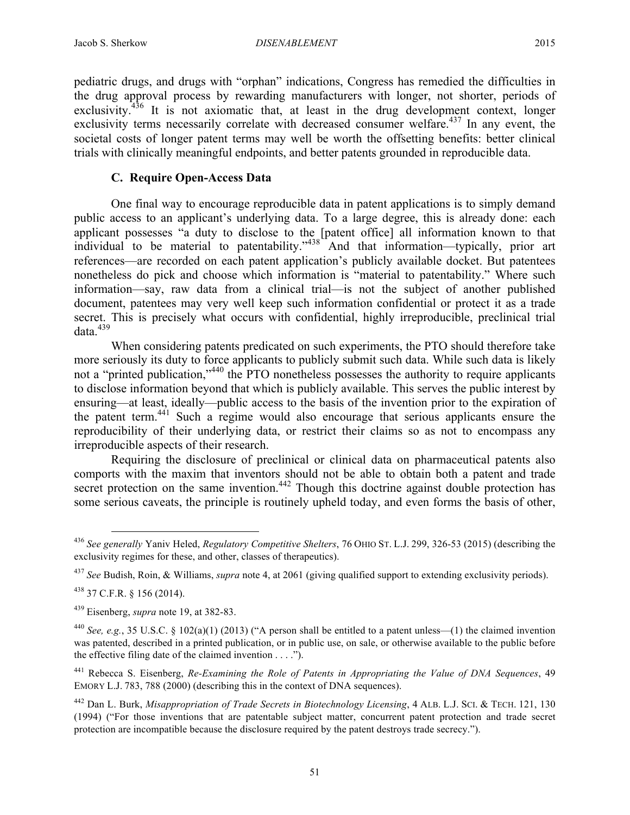pediatric drugs, and drugs with "orphan" indications, Congress has remedied the difficulties in

the drug approval process by rewarding manufacturers with longer, not shorter, periods of exclusivity.<sup>436</sup> It is not axiomatic that, at least in the drug development context, longer exclusivity terms necessarily correlate with decreased consumer welfare.<sup> $437$ </sup> In any event, the societal costs of longer patent terms may well be worth the offsetting benefits: better clinical trials with clinically meaningful endpoints, and better patents grounded in reproducible data.

# **C. Require Open-Access Data**

One final way to encourage reproducible data in patent applications is to simply demand public access to an applicant's underlying data. To a large degree, this is already done: each applicant possesses "a duty to disclose to the [patent office] all information known to that individual to be material to patentability."<sup>438</sup> And that information—typically, prior art references—are recorded on each patent application's publicly available docket. But patentees nonetheless do pick and choose which information is "material to patentability." Where such information—say, raw data from a clinical trial—is not the subject of another published document, patentees may very well keep such information confidential or protect it as a trade secret. This is precisely what occurs with confidential, highly irreproducible, preclinical trial  $data^{439}$ 

When considering patents predicated on such experiments, the PTO should therefore take more seriously its duty to force applicants to publicly submit such data. While such data is likely not a "printed publication,"<sup>440</sup> the PTO nonetheless possesses the authority to require applicants to disclose information beyond that which is publicly available. This serves the public interest by ensuring—at least, ideally—public access to the basis of the invention prior to the expiration of the patent term. <sup>441</sup> Such a regime would also encourage that serious applicants ensure the reproducibility of their underlying data, or restrict their claims so as not to encompass any irreproducible aspects of their research.

Requiring the disclosure of preclinical or clinical data on pharmaceutical patents also comports with the maxim that inventors should not be able to obtain both a patent and trade secret protection on the same invention.<sup>442</sup> Though this doctrine against double protection has some serious caveats, the principle is routinely upheld today, and even forms the basis of other,

 <sup>436</sup> *See generally* Yaniv Heled, *Regulatory Competitive Shelters*, 76 OHIO ST. L.J. 299, 326-53 (2015) (describing the exclusivity regimes for these, and other, classes of therapeutics).

<sup>437</sup> *See* Budish, Roin, & Williams, *supra* note 4, at 2061 (giving qualified support to extending exclusivity periods).

<sup>438</sup> 37 C.F.R. § 156 (2014).

<sup>439</sup> Eisenberg, *supra* note 19, at 382-83.

<sup>440</sup> *See, e.g.*, 35 U.S.C. § 102(a)(1) (2013) ("A person shall be entitled to a patent unless—(1) the claimed invention was patented, described in a printed publication, or in public use, on sale, or otherwise available to the public before the effective filing date of the claimed invention . . . .").

<sup>441</sup> Rebecca S. Eisenberg, *Re-Examining the Role of Patents in Appropriating the Value of DNA Sequences*, 49 EMORY L.J. 783, 788 (2000) (describing this in the context of DNA sequences).

<sup>442</sup> Dan L. Burk, *Misappropriation of Trade Secrets in Biotechnology Licensing*, 4 ALB. L.J. SCI. & TECH. 121, 130 (1994) ("For those inventions that are patentable subject matter, concurrent patent protection and trade secret protection are incompatible because the disclosure required by the patent destroys trade secrecy.").